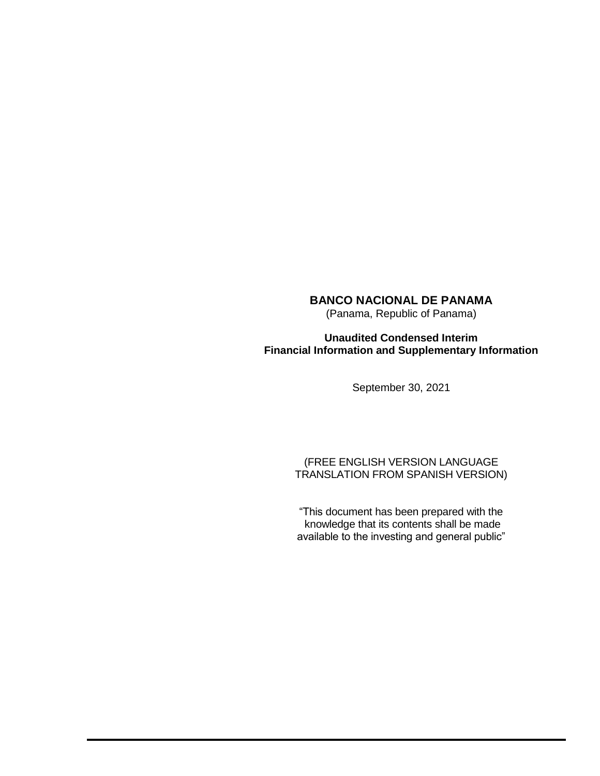(Panama, Republic of Panama)

**Unaudited Condensed Interim Financial Information and Supplementary Information**

September 30, 2021

(FREE ENGLISH VERSION LANGUAGE TRANSLATION FROM SPANISH VERSION)

"This document has been prepared with the knowledge that its contents shall be made available to the investing and general public"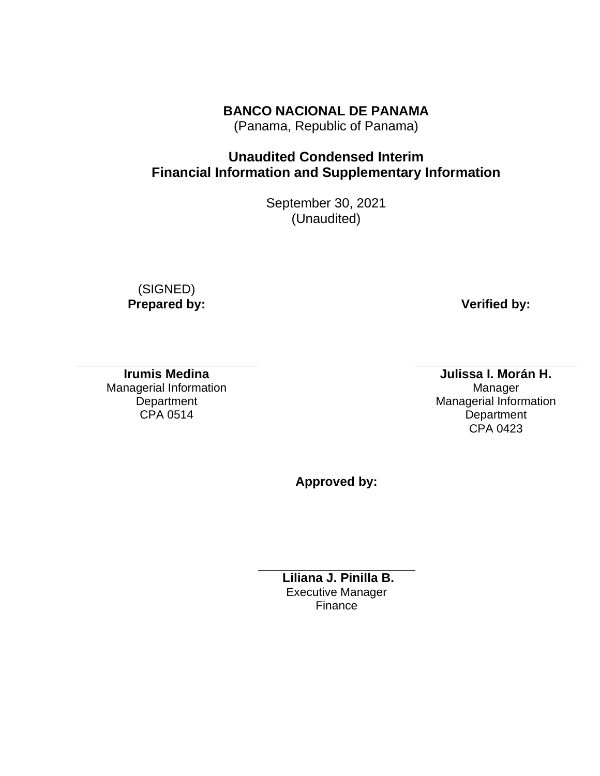(Panama, Republic of Panama)

# **Unaudited Condensed Interim Financial Information and Supplementary Information**

September 30, 2021 (Unaudited)

 (SIGNED) **Prepared by: Verified by: Verified by:** 

**Irumis Medina** Managerial Information **Department** CPA 0514

**Julissa I. Morán H.** Manager Managerial Information **Department** CPA 0423

**Approved by:**

**Liliana J. Pinilla B.**  Executive Manager Finance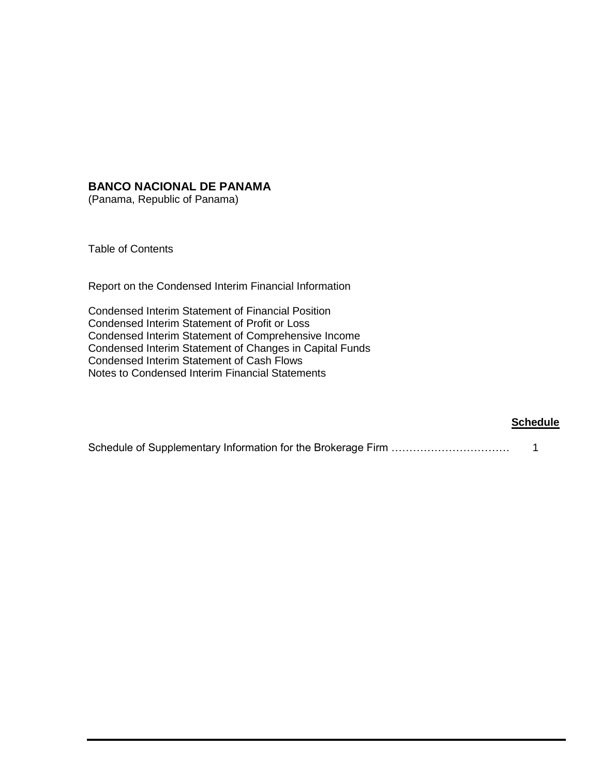(Panama, Republic of Panama)

Table of Contents

Report on the Condensed Interim Financial Information

Condensed Interim Statement of Financial Position Condensed Interim Statement of Profit or Loss Condensed Interim Statement of Comprehensive Income Condensed Interim Statement of Changes in Capital Funds Condensed Interim Statement of Cash Flows Notes to Condensed Interim Financial Statements

#### **Schedule**

|--|--|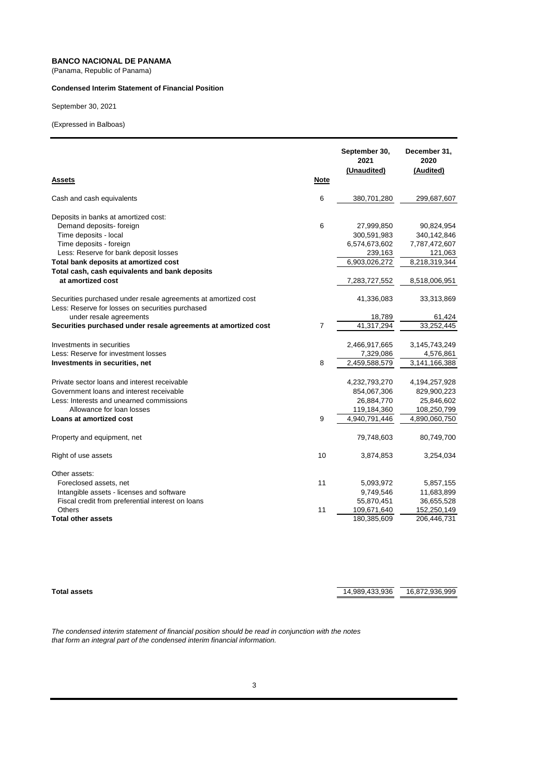(Panama, Republic of Panama)

#### **Condensed Interim Statement of Financial Position**

September 30, 2021

(Expressed in Balboas)

| <b>Assets</b>                                                                                                      | <b>Note</b> | September 30,<br>2021<br>(Unaudited) | December 31,<br>2020<br>(Audited) |
|--------------------------------------------------------------------------------------------------------------------|-------------|--------------------------------------|-----------------------------------|
| Cash and cash equivalents                                                                                          | 6           | 380,701,280                          | 299,687,607                       |
| Deposits in banks at amortized cost:                                                                               |             |                                      |                                   |
| Demand deposits- foreign                                                                                           | 6           | 27,999,850                           | 90,824,954                        |
| Time deposits - local                                                                                              |             | 300,591,983                          | 340,142,846                       |
| Time deposits - foreign                                                                                            |             | 6,574,673,602                        | 7,787,472,607                     |
| Less: Reserve for bank deposit losses                                                                              |             | 239,163                              | 121,063                           |
| Total bank deposits at amortized cost                                                                              |             | 6,903,026,272                        | 8,218,319,344                     |
| Total cash, cash equivalents and bank deposits                                                                     |             |                                      |                                   |
| at amortized cost                                                                                                  |             | 7,283,727,552                        | 8,518,006,951                     |
| Securities purchased under resale agreements at amortized cost<br>Less: Reserve for losses on securities purchased |             | 41,336,083                           | 33,313,869                        |
| under resale agreements                                                                                            |             | 18,789                               | 61,424                            |
| Securities purchased under resale agreements at amortized cost                                                     | 7           | 41.317.294                           | 33,252,445                        |
| Investments in securities                                                                                          |             | 2,466,917,665                        | 3,145,743,249                     |
| Less: Reserve for investment losses                                                                                |             | 7,329,086                            | 4,576,861                         |
| Investments in securities, net                                                                                     | 8           | 2,459,588,579                        | 3,141,166,388                     |
|                                                                                                                    |             |                                      |                                   |
| Private sector loans and interest receivable                                                                       |             | 4,232,793,270                        | 4,194,257,928                     |
| Government loans and interest receivable                                                                           |             | 854,067,306                          | 829,900,223                       |
| Less: Interests and unearned commissions                                                                           |             | 26,884,770                           | 25,846,602                        |
| Allowance for loan losses                                                                                          |             | 119,184,360                          | 108,250,799                       |
| Loans at amortized cost                                                                                            | 9           | 4,940,791,446                        | 4,890,060,750                     |
| Property and equipment, net                                                                                        |             | 79,748,603                           | 80,749,700                        |
| Right of use assets                                                                                                | 10          | 3,874,853                            | 3,254,034                         |
| Other assets:                                                                                                      |             |                                      |                                   |
| Foreclosed assets, net                                                                                             | 11          | 5,093,972                            | 5,857,155                         |
| Intangible assets - licenses and software                                                                          |             | 9,749,546                            | 11,683,899                        |
| Fiscal credit from preferential interest on loans                                                                  |             | 55,870,451                           | 36,655,528                        |
| Others                                                                                                             | 11          | 109,671,640                          | 152,250,149                       |
| <b>Total other assets</b>                                                                                          |             | 180,385,609                          | 206,446,731                       |

**Total assets** 14,989,433,936 16,872,936,999

*The condensed interim statement of financial position should be read in conjunction with the notes that form an integral part of the condensed interim financial information.*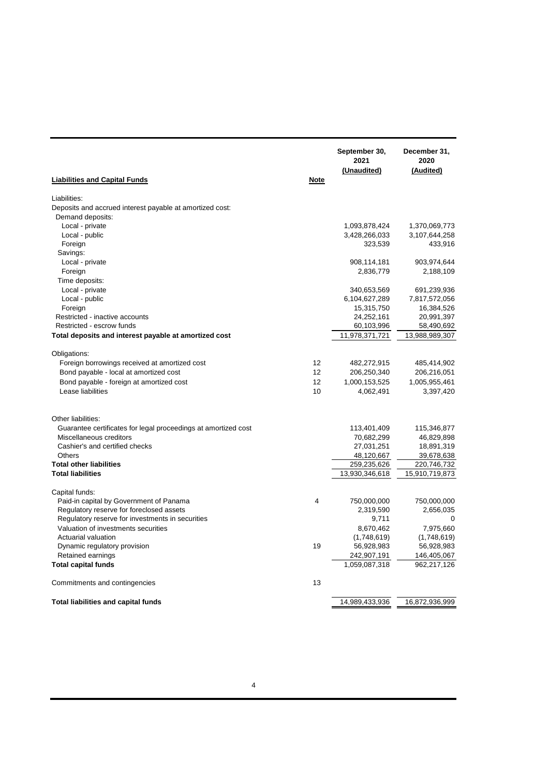| Liabilities:<br>Deposits and accrued interest payable at amortized cost:<br>Demand deposits:<br>Local - private<br>1,093,878,424<br>1,370,069,773<br>Local - public<br>3,428,266,033<br>3,107,644,258<br>Foreign<br>323,539<br>433,916<br>Savings:<br>Local - private<br>908,114,181<br>903,974,644<br>2,836,779<br>Foreign<br>2,188,109<br>Time deposits:<br>Local - private<br>340,653,569<br>691,239,936<br>Local - public<br>6,104,627,289<br>7,817,572,056<br>Foreign<br>15,315,750<br>16,384,526<br>Restricted - inactive accounts<br>24,252,161<br>20,991,397<br>Restricted - escrow funds<br>60,103,996<br>58,490,692<br>Total deposits and interest payable at amortized cost<br>11,978,371,721<br>Obligations:<br>Foreign borrowings received at amortized cost<br>12<br>482,272,915<br>485,414,902<br>Bond payable - local at amortized cost<br>12<br>206,250,340<br>206,216,051<br>12<br>Bond payable - foreign at amortized cost<br>1,000,153,525<br>1,005,955,461<br>Lease liabilities<br>10<br>4,062,491<br>3,397,420<br>Other liabilities:<br>Guarantee certificates for legal proceedings at amortized cost<br>113,401,409<br>115,346,877<br>Miscellaneous creditors<br>70,682,299<br>46,829,898<br>Cashier's and certified checks<br>27,031,251<br>18,891,319<br><b>Others</b><br>48,120,667<br>39,678,638<br><b>Total other liabilities</b><br>259,235,626<br>220,746,732<br>13,930,346,618<br><b>Total liabilities</b><br>15,910,719,873<br>Capital funds:<br>$\overline{\mathbf{4}}$<br>Paid-in capital by Government of Panama<br>750,000,000<br>750,000,000<br>Regulatory reserve for foreclosed assets<br>2,319,590<br>2,656,035<br>Regulatory reserve for investments in securities<br>9,711<br>0<br>Valuation of investments securities<br>7,975,660<br>8,670,462<br>Actuarial valuation<br>(1,748,619)<br>(1,748,619)<br>19<br>Dynamic regulatory provision<br>56,928,983<br>56,928,983<br>Retained earnings<br>242,907,191<br>146,405,067<br><b>Total capital funds</b><br>1,059,087,318<br>962,217,126<br>13<br>Commitments and contingencies<br><b>Total liabilities and capital funds</b><br>14,989,433,936<br>16,872,936,999 | <b>Liabilities and Capital Funds</b> | <b>Note</b> | September 30,<br>2021<br>(Unaudited) | December 31,<br>2020<br>(Audited) |
|--------------------------------------------------------------------------------------------------------------------------------------------------------------------------------------------------------------------------------------------------------------------------------------------------------------------------------------------------------------------------------------------------------------------------------------------------------------------------------------------------------------------------------------------------------------------------------------------------------------------------------------------------------------------------------------------------------------------------------------------------------------------------------------------------------------------------------------------------------------------------------------------------------------------------------------------------------------------------------------------------------------------------------------------------------------------------------------------------------------------------------------------------------------------------------------------------------------------------------------------------------------------------------------------------------------------------------------------------------------------------------------------------------------------------------------------------------------------------------------------------------------------------------------------------------------------------------------------------------------------------------------------------------------------------------------------------------------------------------------------------------------------------------------------------------------------------------------------------------------------------------------------------------------------------------------------------------------------------------------------------------------------------------------------------------------------------------------------------------------------------------------------------------------|--------------------------------------|-------------|--------------------------------------|-----------------------------------|
|                                                                                                                                                                                                                                                                                                                                                                                                                                                                                                                                                                                                                                                                                                                                                                                                                                                                                                                                                                                                                                                                                                                                                                                                                                                                                                                                                                                                                                                                                                                                                                                                                                                                                                                                                                                                                                                                                                                                                                                                                                                                                                                                                              |                                      |             |                                      |                                   |
|                                                                                                                                                                                                                                                                                                                                                                                                                                                                                                                                                                                                                                                                                                                                                                                                                                                                                                                                                                                                                                                                                                                                                                                                                                                                                                                                                                                                                                                                                                                                                                                                                                                                                                                                                                                                                                                                                                                                                                                                                                                                                                                                                              |                                      |             |                                      |                                   |
|                                                                                                                                                                                                                                                                                                                                                                                                                                                                                                                                                                                                                                                                                                                                                                                                                                                                                                                                                                                                                                                                                                                                                                                                                                                                                                                                                                                                                                                                                                                                                                                                                                                                                                                                                                                                                                                                                                                                                                                                                                                                                                                                                              |                                      |             |                                      |                                   |
|                                                                                                                                                                                                                                                                                                                                                                                                                                                                                                                                                                                                                                                                                                                                                                                                                                                                                                                                                                                                                                                                                                                                                                                                                                                                                                                                                                                                                                                                                                                                                                                                                                                                                                                                                                                                                                                                                                                                                                                                                                                                                                                                                              |                                      |             |                                      |                                   |
|                                                                                                                                                                                                                                                                                                                                                                                                                                                                                                                                                                                                                                                                                                                                                                                                                                                                                                                                                                                                                                                                                                                                                                                                                                                                                                                                                                                                                                                                                                                                                                                                                                                                                                                                                                                                                                                                                                                                                                                                                                                                                                                                                              |                                      |             |                                      |                                   |
|                                                                                                                                                                                                                                                                                                                                                                                                                                                                                                                                                                                                                                                                                                                                                                                                                                                                                                                                                                                                                                                                                                                                                                                                                                                                                                                                                                                                                                                                                                                                                                                                                                                                                                                                                                                                                                                                                                                                                                                                                                                                                                                                                              |                                      |             |                                      |                                   |
|                                                                                                                                                                                                                                                                                                                                                                                                                                                                                                                                                                                                                                                                                                                                                                                                                                                                                                                                                                                                                                                                                                                                                                                                                                                                                                                                                                                                                                                                                                                                                                                                                                                                                                                                                                                                                                                                                                                                                                                                                                                                                                                                                              |                                      |             |                                      |                                   |
|                                                                                                                                                                                                                                                                                                                                                                                                                                                                                                                                                                                                                                                                                                                                                                                                                                                                                                                                                                                                                                                                                                                                                                                                                                                                                                                                                                                                                                                                                                                                                                                                                                                                                                                                                                                                                                                                                                                                                                                                                                                                                                                                                              |                                      |             |                                      |                                   |
|                                                                                                                                                                                                                                                                                                                                                                                                                                                                                                                                                                                                                                                                                                                                                                                                                                                                                                                                                                                                                                                                                                                                                                                                                                                                                                                                                                                                                                                                                                                                                                                                                                                                                                                                                                                                                                                                                                                                                                                                                                                                                                                                                              |                                      |             |                                      |                                   |
|                                                                                                                                                                                                                                                                                                                                                                                                                                                                                                                                                                                                                                                                                                                                                                                                                                                                                                                                                                                                                                                                                                                                                                                                                                                                                                                                                                                                                                                                                                                                                                                                                                                                                                                                                                                                                                                                                                                                                                                                                                                                                                                                                              |                                      |             |                                      |                                   |
|                                                                                                                                                                                                                                                                                                                                                                                                                                                                                                                                                                                                                                                                                                                                                                                                                                                                                                                                                                                                                                                                                                                                                                                                                                                                                                                                                                                                                                                                                                                                                                                                                                                                                                                                                                                                                                                                                                                                                                                                                                                                                                                                                              |                                      |             |                                      |                                   |
|                                                                                                                                                                                                                                                                                                                                                                                                                                                                                                                                                                                                                                                                                                                                                                                                                                                                                                                                                                                                                                                                                                                                                                                                                                                                                                                                                                                                                                                                                                                                                                                                                                                                                                                                                                                                                                                                                                                                                                                                                                                                                                                                                              |                                      |             |                                      |                                   |
|                                                                                                                                                                                                                                                                                                                                                                                                                                                                                                                                                                                                                                                                                                                                                                                                                                                                                                                                                                                                                                                                                                                                                                                                                                                                                                                                                                                                                                                                                                                                                                                                                                                                                                                                                                                                                                                                                                                                                                                                                                                                                                                                                              |                                      |             |                                      |                                   |
|                                                                                                                                                                                                                                                                                                                                                                                                                                                                                                                                                                                                                                                                                                                                                                                                                                                                                                                                                                                                                                                                                                                                                                                                                                                                                                                                                                                                                                                                                                                                                                                                                                                                                                                                                                                                                                                                                                                                                                                                                                                                                                                                                              |                                      |             |                                      |                                   |
|                                                                                                                                                                                                                                                                                                                                                                                                                                                                                                                                                                                                                                                                                                                                                                                                                                                                                                                                                                                                                                                                                                                                                                                                                                                                                                                                                                                                                                                                                                                                                                                                                                                                                                                                                                                                                                                                                                                                                                                                                                                                                                                                                              |                                      |             |                                      |                                   |
|                                                                                                                                                                                                                                                                                                                                                                                                                                                                                                                                                                                                                                                                                                                                                                                                                                                                                                                                                                                                                                                                                                                                                                                                                                                                                                                                                                                                                                                                                                                                                                                                                                                                                                                                                                                                                                                                                                                                                                                                                                                                                                                                                              |                                      |             |                                      | 13,988,989,307                    |
|                                                                                                                                                                                                                                                                                                                                                                                                                                                                                                                                                                                                                                                                                                                                                                                                                                                                                                                                                                                                                                                                                                                                                                                                                                                                                                                                                                                                                                                                                                                                                                                                                                                                                                                                                                                                                                                                                                                                                                                                                                                                                                                                                              |                                      |             |                                      |                                   |
|                                                                                                                                                                                                                                                                                                                                                                                                                                                                                                                                                                                                                                                                                                                                                                                                                                                                                                                                                                                                                                                                                                                                                                                                                                                                                                                                                                                                                                                                                                                                                                                                                                                                                                                                                                                                                                                                                                                                                                                                                                                                                                                                                              |                                      |             |                                      |                                   |
|                                                                                                                                                                                                                                                                                                                                                                                                                                                                                                                                                                                                                                                                                                                                                                                                                                                                                                                                                                                                                                                                                                                                                                                                                                                                                                                                                                                                                                                                                                                                                                                                                                                                                                                                                                                                                                                                                                                                                                                                                                                                                                                                                              |                                      |             |                                      |                                   |
|                                                                                                                                                                                                                                                                                                                                                                                                                                                                                                                                                                                                                                                                                                                                                                                                                                                                                                                                                                                                                                                                                                                                                                                                                                                                                                                                                                                                                                                                                                                                                                                                                                                                                                                                                                                                                                                                                                                                                                                                                                                                                                                                                              |                                      |             |                                      |                                   |
|                                                                                                                                                                                                                                                                                                                                                                                                                                                                                                                                                                                                                                                                                                                                                                                                                                                                                                                                                                                                                                                                                                                                                                                                                                                                                                                                                                                                                                                                                                                                                                                                                                                                                                                                                                                                                                                                                                                                                                                                                                                                                                                                                              |                                      |             |                                      |                                   |
|                                                                                                                                                                                                                                                                                                                                                                                                                                                                                                                                                                                                                                                                                                                                                                                                                                                                                                                                                                                                                                                                                                                                                                                                                                                                                                                                                                                                                                                                                                                                                                                                                                                                                                                                                                                                                                                                                                                                                                                                                                                                                                                                                              |                                      |             |                                      |                                   |
|                                                                                                                                                                                                                                                                                                                                                                                                                                                                                                                                                                                                                                                                                                                                                                                                                                                                                                                                                                                                                                                                                                                                                                                                                                                                                                                                                                                                                                                                                                                                                                                                                                                                                                                                                                                                                                                                                                                                                                                                                                                                                                                                                              |                                      |             |                                      |                                   |
|                                                                                                                                                                                                                                                                                                                                                                                                                                                                                                                                                                                                                                                                                                                                                                                                                                                                                                                                                                                                                                                                                                                                                                                                                                                                                                                                                                                                                                                                                                                                                                                                                                                                                                                                                                                                                                                                                                                                                                                                                                                                                                                                                              |                                      |             |                                      |                                   |
|                                                                                                                                                                                                                                                                                                                                                                                                                                                                                                                                                                                                                                                                                                                                                                                                                                                                                                                                                                                                                                                                                                                                                                                                                                                                                                                                                                                                                                                                                                                                                                                                                                                                                                                                                                                                                                                                                                                                                                                                                                                                                                                                                              |                                      |             |                                      |                                   |
|                                                                                                                                                                                                                                                                                                                                                                                                                                                                                                                                                                                                                                                                                                                                                                                                                                                                                                                                                                                                                                                                                                                                                                                                                                                                                                                                                                                                                                                                                                                                                                                                                                                                                                                                                                                                                                                                                                                                                                                                                                                                                                                                                              |                                      |             |                                      |                                   |
|                                                                                                                                                                                                                                                                                                                                                                                                                                                                                                                                                                                                                                                                                                                                                                                                                                                                                                                                                                                                                                                                                                                                                                                                                                                                                                                                                                                                                                                                                                                                                                                                                                                                                                                                                                                                                                                                                                                                                                                                                                                                                                                                                              |                                      |             |                                      |                                   |
|                                                                                                                                                                                                                                                                                                                                                                                                                                                                                                                                                                                                                                                                                                                                                                                                                                                                                                                                                                                                                                                                                                                                                                                                                                                                                                                                                                                                                                                                                                                                                                                                                                                                                                                                                                                                                                                                                                                                                                                                                                                                                                                                                              |                                      |             |                                      |                                   |
|                                                                                                                                                                                                                                                                                                                                                                                                                                                                                                                                                                                                                                                                                                                                                                                                                                                                                                                                                                                                                                                                                                                                                                                                                                                                                                                                                                                                                                                                                                                                                                                                                                                                                                                                                                                                                                                                                                                                                                                                                                                                                                                                                              |                                      |             |                                      |                                   |
|                                                                                                                                                                                                                                                                                                                                                                                                                                                                                                                                                                                                                                                                                                                                                                                                                                                                                                                                                                                                                                                                                                                                                                                                                                                                                                                                                                                                                                                                                                                                                                                                                                                                                                                                                                                                                                                                                                                                                                                                                                                                                                                                                              |                                      |             |                                      |                                   |
|                                                                                                                                                                                                                                                                                                                                                                                                                                                                                                                                                                                                                                                                                                                                                                                                                                                                                                                                                                                                                                                                                                                                                                                                                                                                                                                                                                                                                                                                                                                                                                                                                                                                                                                                                                                                                                                                                                                                                                                                                                                                                                                                                              |                                      |             |                                      |                                   |
|                                                                                                                                                                                                                                                                                                                                                                                                                                                                                                                                                                                                                                                                                                                                                                                                                                                                                                                                                                                                                                                                                                                                                                                                                                                                                                                                                                                                                                                                                                                                                                                                                                                                                                                                                                                                                                                                                                                                                                                                                                                                                                                                                              |                                      |             |                                      |                                   |
|                                                                                                                                                                                                                                                                                                                                                                                                                                                                                                                                                                                                                                                                                                                                                                                                                                                                                                                                                                                                                                                                                                                                                                                                                                                                                                                                                                                                                                                                                                                                                                                                                                                                                                                                                                                                                                                                                                                                                                                                                                                                                                                                                              |                                      |             |                                      |                                   |
|                                                                                                                                                                                                                                                                                                                                                                                                                                                                                                                                                                                                                                                                                                                                                                                                                                                                                                                                                                                                                                                                                                                                                                                                                                                                                                                                                                                                                                                                                                                                                                                                                                                                                                                                                                                                                                                                                                                                                                                                                                                                                                                                                              |                                      |             |                                      |                                   |
|                                                                                                                                                                                                                                                                                                                                                                                                                                                                                                                                                                                                                                                                                                                                                                                                                                                                                                                                                                                                                                                                                                                                                                                                                                                                                                                                                                                                                                                                                                                                                                                                                                                                                                                                                                                                                                                                                                                                                                                                                                                                                                                                                              |                                      |             |                                      |                                   |
|                                                                                                                                                                                                                                                                                                                                                                                                                                                                                                                                                                                                                                                                                                                                                                                                                                                                                                                                                                                                                                                                                                                                                                                                                                                                                                                                                                                                                                                                                                                                                                                                                                                                                                                                                                                                                                                                                                                                                                                                                                                                                                                                                              |                                      |             |                                      |                                   |
|                                                                                                                                                                                                                                                                                                                                                                                                                                                                                                                                                                                                                                                                                                                                                                                                                                                                                                                                                                                                                                                                                                                                                                                                                                                                                                                                                                                                                                                                                                                                                                                                                                                                                                                                                                                                                                                                                                                                                                                                                                                                                                                                                              |                                      |             |                                      |                                   |
|                                                                                                                                                                                                                                                                                                                                                                                                                                                                                                                                                                                                                                                                                                                                                                                                                                                                                                                                                                                                                                                                                                                                                                                                                                                                                                                                                                                                                                                                                                                                                                                                                                                                                                                                                                                                                                                                                                                                                                                                                                                                                                                                                              |                                      |             |                                      |                                   |
|                                                                                                                                                                                                                                                                                                                                                                                                                                                                                                                                                                                                                                                                                                                                                                                                                                                                                                                                                                                                                                                                                                                                                                                                                                                                                                                                                                                                                                                                                                                                                                                                                                                                                                                                                                                                                                                                                                                                                                                                                                                                                                                                                              |                                      |             |                                      |                                   |
|                                                                                                                                                                                                                                                                                                                                                                                                                                                                                                                                                                                                                                                                                                                                                                                                                                                                                                                                                                                                                                                                                                                                                                                                                                                                                                                                                                                                                                                                                                                                                                                                                                                                                                                                                                                                                                                                                                                                                                                                                                                                                                                                                              |                                      |             |                                      |                                   |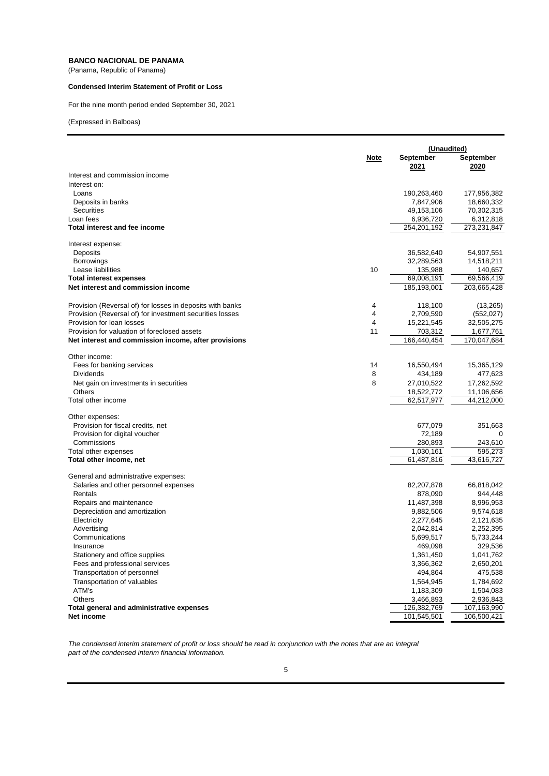(Panama, Republic of Panama)

#### **Condensed Interim Statement of Profit or Loss**

For the nine month period ended September 30, 2021

(Expressed in Balboas)

|                                                           | (Unaudited)    |                          |                          |
|-----------------------------------------------------------|----------------|--------------------------|--------------------------|
|                                                           | Note           | September<br>2021        | September<br>2020        |
| Interest and commission income                            |                |                          |                          |
| Interest on:                                              |                |                          |                          |
| Loans                                                     |                | 190,263,460              | 177,956,382              |
| Deposits in banks                                         |                | 7,847,906                | 18,660,332               |
| <b>Securities</b>                                         |                | 49,153,106               | 70,302,315               |
| Loan fees                                                 |                | 6,936,720                | 6,312,818                |
| Total interest and fee income                             |                | 254,201,192              | 273,231,847              |
| Interest expense:                                         |                |                          |                          |
| Deposits                                                  |                | 36,582,640               | 54,907,551               |
| <b>Borrowings</b>                                         |                | 32,289,563               | 14,518,211               |
| Lease liabilities                                         | 10             | 135,988                  | 140,657                  |
| <b>Total interest expenses</b>                            |                | 69,008,191               | 69,566,419               |
| Net interest and commission income                        |                | 185,193,001              | 203,665,428              |
| Provision (Reversal of) for losses in deposits with banks | 4              | 118,100                  | (13, 265)                |
| Provision (Reversal of) for investment securities losses  | $\overline{4}$ | 2,709,590                | (552, 027)               |
| Provision for loan losses                                 | $\overline{4}$ | 15,221,545               | 32,505,275               |
| Provision for valuation of foreclosed assets              | 11             | 703,312                  | 1,677,761                |
| Net interest and commission income, after provisions      |                | 166,440,454              | 170,047,684              |
| Other income:                                             |                |                          |                          |
| Fees for banking services                                 | 14             | 16,550,494               | 15,365,129               |
| Dividends                                                 | 8              | 434,189                  | 477,623                  |
| Net gain on investments in securities                     | 8              | 27,010,522               | 17,262,592               |
| <b>Others</b>                                             |                | 18,522,772               | 11,106,656               |
| Total other income                                        |                | 62,517,977               | 44,212,000               |
| Other expenses:                                           |                |                          |                          |
| Provision for fiscal credits, net                         |                | 677,079                  | 351,663                  |
| Provision for digital voucher                             |                | 72,189                   | 0                        |
| Commissions                                               |                | 280,893                  | 243,610                  |
| Total other expenses                                      |                | 1,030,161                | 595,273                  |
| Total other income, net                                   |                | 61,487,816               | 43,616,727               |
| General and administrative expenses:                      |                |                          |                          |
| Salaries and other personnel expenses                     |                | 82,207,878               | 66,818,042               |
| Rentals                                                   |                | 878,090                  | 944,448                  |
| Repairs and maintenance                                   |                | 11,487,398               | 8,996,953                |
| Depreciation and amortization                             |                | 9,882,506                | 9,574,618                |
| Electricity                                               |                | 2,277,645                | 2,121,635                |
| Advertising                                               |                | 2,042,814                | 2,252,395                |
| Communications                                            |                | 5,699,517                | 5,733,244                |
| Insurance                                                 |                | 469,098                  | 329,536                  |
| Stationery and office supplies                            |                | 1,361,450                | 1,041,762                |
| Fees and professional services                            |                | 3,366,362                | 2,650,201                |
| Transportation of personnel                               |                | 494,864                  | 475,538                  |
| Transportation of valuables                               |                | 1,564,945                | 1,784,692                |
| ATM's                                                     |                | 1,183,309                | 1,504,083                |
| Others<br>Total general and administrative expenses       |                | 3,466,893<br>126,382,769 | 2,936,843<br>107,163,990 |
| <b>Net income</b>                                         |                | 101,545,501              | 106,500,421              |
|                                                           |                |                          |                          |

*The condensed interim statement of profit or loss should be read in conjunction with the notes that are an integral part of the condensed interim financial information.*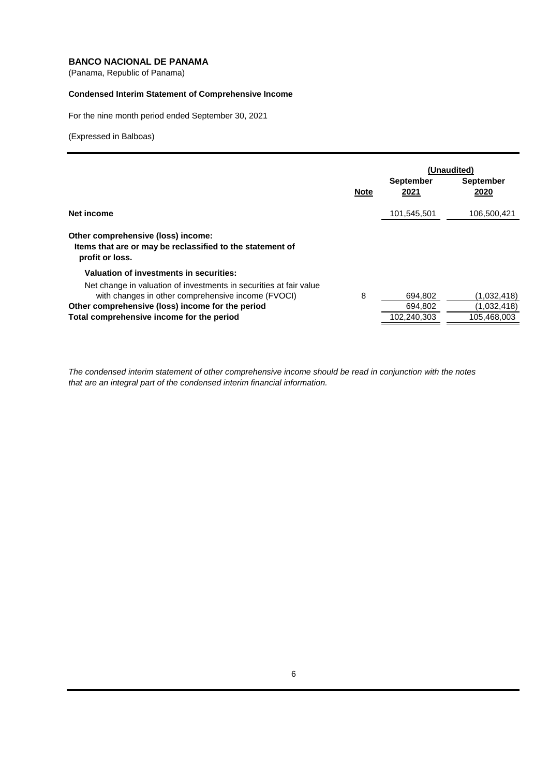(Panama, Republic of Panama)

## **Condensed Interim Statement of Comprehensive Income**

For the nine month period ended September 30, 2021

(Expressed in Balboas)

|                                                                                                                          |             | (Unaudited)              |                          |
|--------------------------------------------------------------------------------------------------------------------------|-------------|--------------------------|--------------------------|
|                                                                                                                          | <b>Note</b> | <b>September</b><br>2021 | <b>September</b><br>2020 |
| Net income                                                                                                               |             | 101,545,501              | 106.500.421              |
| Other comprehensive (loss) income:<br>Items that are or may be reclassified to the statement of<br>profit or loss.       |             |                          |                          |
| Valuation of investments in securities:                                                                                  |             |                          |                          |
| Net change in valuation of investments in securities at fair value<br>with changes in other comprehensive income (FVOCI) | 8           | 694,802                  | (1,032,418)              |
| Other comprehensive (loss) income for the period                                                                         |             | 694,802                  | (1,032,418)              |
| Total comprehensive income for the period                                                                                |             | 102,240,303              | 105,468,003              |

*The condensed interim statement of other comprehensive income should be read in conjunction with the notes that are an integral part of the condensed interim financial information.*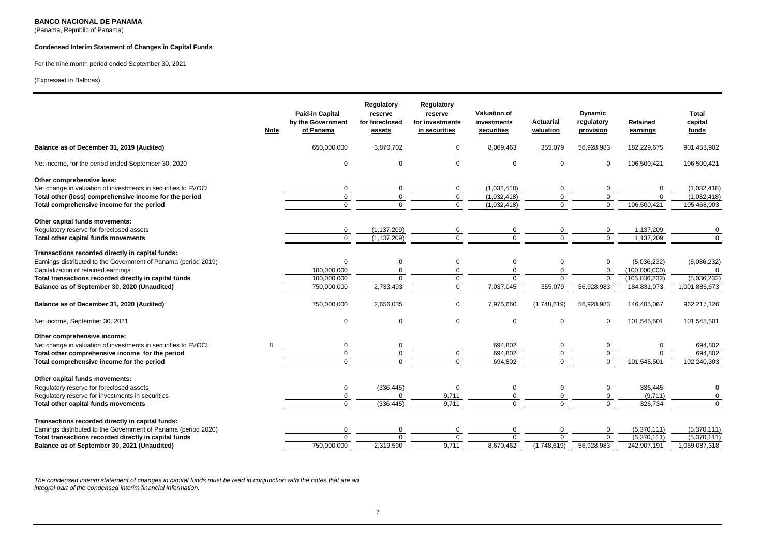(Panama, Republic of Panama)

#### **Condensed Interim Statement of Changes in Capital Funds**

#### For the nine month period ended September 30, 2021

#### (Expressed in Balboas)

|                                                                                                                                                                                                                                                                    | <b>Note</b> | <b>Paid-in Capital</b><br>by the Government<br>of Panama | Regulatory<br>reserve<br>for foreclosed<br>assets | Regulatory<br>reserve<br>for investments<br>in securities      | <b>Valuation of</b><br>investments<br>securities | <b>Actuarial</b><br>valuation               | <b>Dynamic</b><br>regulatory<br>provision | Retained<br>earnings                                           | <b>Total</b><br>capital<br>funds                        |
|--------------------------------------------------------------------------------------------------------------------------------------------------------------------------------------------------------------------------------------------------------------------|-------------|----------------------------------------------------------|---------------------------------------------------|----------------------------------------------------------------|--------------------------------------------------|---------------------------------------------|-------------------------------------------|----------------------------------------------------------------|---------------------------------------------------------|
| Balance as of December 31, 2019 (Audited)                                                                                                                                                                                                                          |             | 650,000,000                                              | 3,870,702                                         | $\mathbf 0$                                                    | 8,069,463                                        | 355,079                                     | 56,928,983                                | 182,229,675                                                    | 901,453,902                                             |
| Net income, for the period ended September 30, 2020                                                                                                                                                                                                                |             | 0                                                        | $\Omega$                                          | $\mathbf 0$                                                    | $\Omega$                                         | 0                                           | $\mathbf 0$                               | 106,500,421                                                    | 106,500,421                                             |
| Other comprehensive loss:<br>Net change in valuation of investments in securities to FVOCI<br>Total other (loss) comprehensive income for the period<br>Total comprehensive income for the period                                                                  |             | $\Omega$<br>$\mathbf 0$<br>$\Omega$                      | 0<br>0<br>$\Omega$                                | $\mathbf 0$<br>$\mathsf 0$<br>$\overline{0}$                   | (1,032,418)<br>(1,032,418)<br>(1,032,418)        | 0<br>0<br>$\Omega$                          | $\Omega$<br>0<br>$\Omega$                 | 0<br>$\Omega$<br>106,500,421                                   | (1,032,418)<br>(1,032,418)<br>105,468,003               |
| Other capital funds movements:<br>Regulatory reserve for foreclosed assets<br>Total other capital funds movements                                                                                                                                                  |             | 0<br>$\overline{0}$                                      | (1, 137, 209)<br>(1, 137, 209)                    | 0<br>$\overline{0}$                                            | 0<br>$\overline{0}$                              | 0<br>$\overline{0}$                         | 0<br>$\overline{0}$                       | 1,137,209<br>1,137,209                                         | $\Omega$<br>$\Omega$                                    |
| Transactions recorded directly in capital funds:<br>Earnings distributed to the Government of Panama (period 2019)<br>Capitalization of retained earnings<br>Total transactions recorded directly in capital funds<br>Balance as of September 30, 2020 (Unaudited) |             | $\Omega$<br>100,000,000<br>100,000,000<br>750,000,000    | $\Omega$<br>0<br>$\Omega$<br>2,733,493            | $\mathbf 0$<br>$\mathbf 0$<br>$\overline{0}$<br>$\overline{0}$ | $\mathbf 0$<br>0<br>$\mathbf 0$<br>7,037,045     | $\Omega$<br>$\Omega$<br>$\Omega$<br>355,079 | 0<br>0<br>$\mathbf 0$<br>56,928,983       | (5,036,232)<br>(100,000,000)<br>(105, 036, 232)<br>184,831,073 | (5,036,232)<br>$\Omega$<br>(5,036,232)<br>1,001,885,673 |
| Balance as of December 31, 2020 (Audited)                                                                                                                                                                                                                          |             | 750,000,000                                              | 2,656,035                                         | $\mathbf 0$                                                    | 7,975,660                                        | (1,748,619)                                 | 56,928,983                                | 146,405,067                                                    | 962,217,126                                             |
| Net income, September 30, 2021                                                                                                                                                                                                                                     |             | 0                                                        | $\Omega$                                          | $\mathbf 0$                                                    | $\Omega$                                         | $\mathbf 0$                                 | 0                                         | 101,545,501                                                    | 101,545,501                                             |
| Other comprehensive income:<br>Net change in valuation of investments in securities to FVOCI<br>Total other comprehensive income for the period<br>Total comprehensive income for the period                                                                       | 8           | 0<br>$\mathbf 0$<br>$\overline{0}$                       | 0<br>0<br>$\Omega$                                | $\mathbf 0$<br>$\overline{0}$                                  | 694,802<br>694,802<br>694,802                    | $\mathbf 0$<br>0<br>$\mathbf 0$             | 0<br>$\mathbf 0$<br>$\mathbf 0$           | 0<br>$\mathbf 0$<br>101,545,501                                | 694,802<br>694,802<br>102,240,303                       |
| Other capital funds movements:<br>Regulatory reserve for foreclosed assets<br>Regulatory reserve for investments in securities<br>Total other capital funds movements                                                                                              |             | 0<br>0<br>$\Omega$                                       | (336, 445)<br>(336, 445)                          | $\mathbf 0$<br>9,711<br>9.711                                  | 0<br>0<br>$\Omega$                               | 0<br>$\mathbf 0$<br>$\Omega$                | 0<br>0<br>$\Omega$                        | 336,445<br>(9,711)<br>326,734                                  | $\Omega$<br>0<br>$\Omega$                               |
| Transactions recorded directly in capital funds:<br>Earnings distributed to the Government of Panama (period 2020)<br>Total transactions recorded directly in capital funds<br>Balance as of September 30, 2021 (Unaudited)                                        |             | 0<br>$\Omega$<br>750,000,000                             | 0<br>$\Omega$<br>2,319,590                        | $\mathbf 0$<br>$\Omega$<br>9,711                               | $\mathbf 0$<br>$\Omega$<br>8,670,462             | 0<br>$\Omega$<br>(1,748,619)                | 0<br>$\Omega$<br>56,928,983               | (5,370,111)<br>(5,370,111)<br>242,907,191                      | (5,370,111)<br>(5,370,111)<br>1,059,087,318             |

*The condensed interim statement of changes in capital funds must be read in conjunction with the notes that are an integral part of the condensed interim financial information.*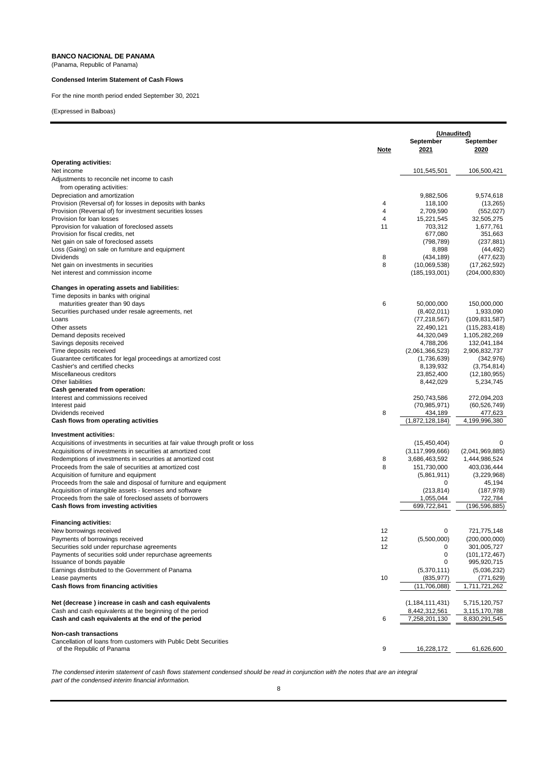(Panama, Republic of Panama)

#### **Condensed Interim Statement of Cash Flows**

For the nine month period ended September 30, 2021

(Expressed in Balboas)

|                                                                                                                            |                     |                                | (Unaudited)                  |  |
|----------------------------------------------------------------------------------------------------------------------------|---------------------|--------------------------------|------------------------------|--|
|                                                                                                                            |                     | September                      | September                    |  |
|                                                                                                                            | <u>Note</u>         | 2021                           | 2020                         |  |
| <b>Operating activities:</b>                                                                                               |                     |                                |                              |  |
| Net income                                                                                                                 |                     | 101,545,501                    | 106,500,421                  |  |
| Adjustments to reconcile net income to cash                                                                                |                     |                                |                              |  |
| from operating activities:                                                                                                 |                     |                                |                              |  |
| Depreciation and amortization                                                                                              |                     | 9,882,506                      | 9,574,618                    |  |
| Provision (Reversal of) for losses in deposits with banks                                                                  | 4<br>$\overline{4}$ | 118,100                        | (13, 265)                    |  |
| Provision (Reversal of) for investment securities losses<br>Provision for loan losses                                      | $\overline{4}$      | 2,709,590<br>15,221,545        | (552, 027)<br>32,505,275     |  |
| Pprovision for valuation of foreclosed assets                                                                              | 11                  | 703,312                        | 1,677,761                    |  |
| Provision for fiscal credits, net                                                                                          |                     | 677,080                        | 351,663                      |  |
| Net gain on sale of foreclosed assets                                                                                      |                     | (798, 789)                     | (237, 881)                   |  |
| Loss (Gaing) on sale on furniture and equipment                                                                            |                     | 8,898                          | (44, 492)                    |  |
| Dividends                                                                                                                  | 8                   | (434, 189)                     | (477, 623)                   |  |
| Net gain on investments in securities                                                                                      | 8                   | (10,069,538)                   | (17, 262, 592)               |  |
| Net interest and commission income                                                                                         |                     | (185, 193, 001)                | (204,000,830)                |  |
| Changes in operating assets and liabilities:                                                                               |                     |                                |                              |  |
| Time deposits in banks with original                                                                                       |                     |                                |                              |  |
| maturities greater than 90 days                                                                                            | 6                   | 50,000,000                     | 150,000,000                  |  |
| Securities purchased under resale agreements, net                                                                          |                     | (8,402,011)                    | 1,933,090                    |  |
| Loans                                                                                                                      |                     | (77, 218, 567)                 | (109, 831, 587)              |  |
| Other assets                                                                                                               |                     | 22,490,121                     | (115, 283, 418)              |  |
| Demand deposits received                                                                                                   |                     | 44,320,049                     | 1,105,282,269                |  |
| Savings deposits received                                                                                                  |                     | 4,788,206                      | 132,041,184                  |  |
| Time deposits received<br>Guarantee certificates for legal proceedings at amortized cost                                   |                     | (2,061,366,523)<br>(1,736,639) | 2,906,832,737<br>(342, 976)  |  |
| Cashier's and certified checks                                                                                             |                     | 8,139,932                      | (3,754,814)                  |  |
| Miscellaneous creditors                                                                                                    |                     | 23,852,400                     | (12, 180, 955)               |  |
| Other liabilities                                                                                                          |                     | 8,442,029                      | 5,234,745                    |  |
| Cash generated from operation:                                                                                             |                     |                                |                              |  |
| Interest and commissions received                                                                                          |                     | 250,743,586                    | 272,094,203                  |  |
| Interest paid                                                                                                              |                     | (70, 985, 971)                 | (60, 526, 749)               |  |
| Dividends received                                                                                                         | 8                   | 434,189                        | 477,623                      |  |
| Cash flows from operating activities                                                                                       |                     | (1,872,128,184)                | 4,199,996,380                |  |
| Investment activities:                                                                                                     |                     |                                |                              |  |
| Acquisitions of investments in securities at fair value through profit or loss                                             |                     | (15, 450, 404)                 | 0                            |  |
| Acquisitions of investments in securities at amortized cost                                                                |                     | (3, 117, 999, 666)             | (2,041,969,885)              |  |
| Redemptions of investments in securities at amortized cost                                                                 | 8                   | 3,686,463,592                  | 1,444,986,524                |  |
| Proceeds from the sale of securities at amortized cost                                                                     | 8                   | 151,730,000                    | 403,036,444                  |  |
| Acquisition of furniture and equipment                                                                                     |                     | (5,861,911)<br>0               | (3,229,968)                  |  |
| Proceeds from the sale and disposal of furniture and equipment<br>Acquisition of intangible assets - licenses and software |                     | (213, 814)                     | 45,194<br>(187, 978)         |  |
| Proceeds from the sale of foreclosed assets of borrowers                                                                   |                     | 1,055,044                      | 722,784                      |  |
| Cash flows from investing activities                                                                                       |                     | 699,722,841                    | (196,596,885)                |  |
|                                                                                                                            |                     |                                |                              |  |
| <b>Financing activities:</b>                                                                                               |                     |                                |                              |  |
| New borrowings received<br>Payments of borrowings received                                                                 | 12<br>12            | 0<br>(5,500,000)               | 721,775,148<br>(200,000,000) |  |
| Securities sold under repurchase agreements                                                                                | 12                  | 0                              | 301,005,727                  |  |
| Payments of securities sold under repurchase agreements                                                                    |                     | 0                              | (101, 172, 467)              |  |
| Issuance of bonds payable                                                                                                  |                     | 0                              | 995,920,715                  |  |
| Earnings distributed to the Government of Panama                                                                           |                     | (5,370,111)                    | (5,036,232)                  |  |
| Lease payments                                                                                                             | 10                  | (835, 977)                     | (771, 629)                   |  |
| Cash flows from financing activities                                                                                       |                     | (11,706,088)                   | 1,711,721,262                |  |
| Net (decrease) increase in cash and cash equivalents                                                                       |                     | (1, 184, 111, 431)             | 5,715,120,757                |  |
| Cash and cash equivalents at the beginning of the period                                                                   |                     | 8,442,312,561                  | 3,115,170,788                |  |
| Cash and cash equivalents at the end of the period                                                                         | 6                   | 7,258,201,130                  | 8,830,291,545                |  |
|                                                                                                                            |                     |                                |                              |  |
| <b>Non-cash transactions</b><br>Cancellation of loans from customers with Public Debt Securities                           |                     |                                |                              |  |
| of the Republic of Panama                                                                                                  | 9                   | 16,228,172                     | 61,626,600                   |  |

*The condensed interim statement of cash flows statement condensed should be read in conjunction with the notes that are an integral part of the condensed interim financial information.*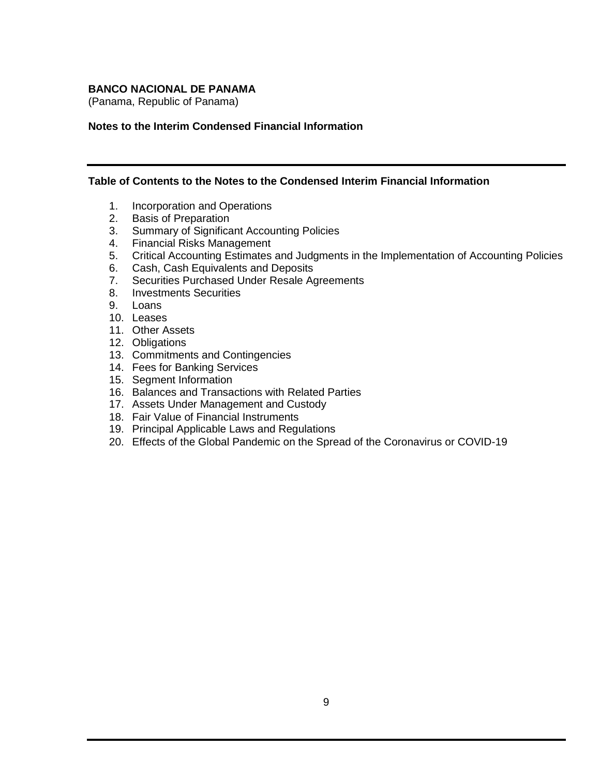(Panama, Republic of Panama)

### **Notes to the Interim Condensed Financial Information**

#### **Table of Contents to the Notes to the Condensed Interim Financial Information**

- 1. Incorporation and Operations
- 2. Basis of Preparation
- 3. Summary of Significant Accounting Policies
- 4. Financial Risks Management
- 5. Critical Accounting Estimates and Judgments in the Implementation of Accounting Policies
- 6. Cash, Cash Equivalents and Deposits
- 7. Securities Purchased Under Resale Agreements
- 8. Investments Securities
- 9. Loans
- 10. Leases
- 11. Other Assets
- 12. Obligations
- 13. Commitments and Contingencies
- 14. Fees for Banking Services
- 15. Segment Information
- 16. Balances and Transactions with Related Parties
- 17. Assets Under Management and Custody
- 18. Fair Value of Financial Instruments
- 19. Principal Applicable Laws and Regulations
- 20. Effects of the Global Pandemic on the Spread of the Coronavirus or COVID-19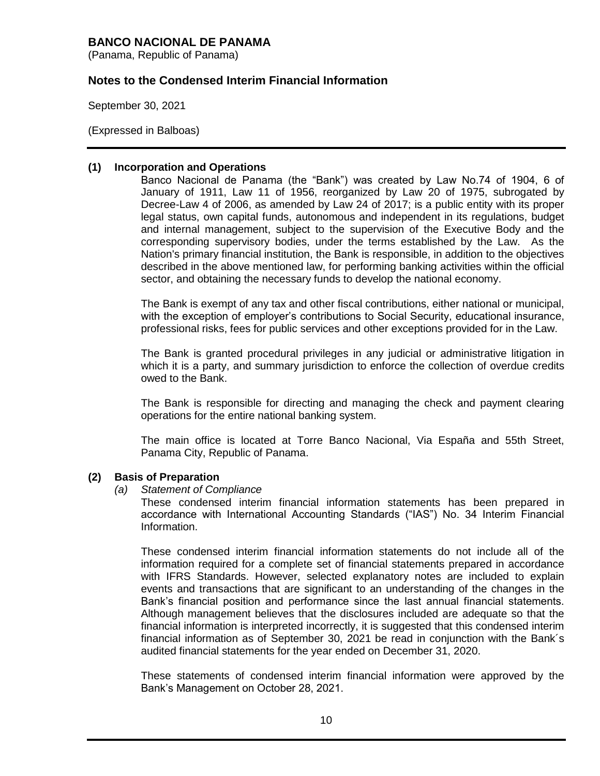(Panama, Republic of Panama)

## **Notes to the Condensed Interim Financial Information**

September 30, 2021

(Expressed in Balboas)

#### **(1) Incorporation and Operations**

Banco Nacional de Panama (the "Bank") was created by Law No.74 of 1904, 6 of January of 1911, Law 11 of 1956, reorganized by Law 20 of 1975, subrogated by Decree-Law 4 of 2006, as amended by Law 24 of 2017; is a public entity with its proper legal status, own capital funds, autonomous and independent in its regulations, budget and internal management, subject to the supervision of the Executive Body and the corresponding supervisory bodies, under the terms established by the Law. As the Nation's primary financial institution, the Bank is responsible, in addition to the objectives described in the above mentioned law, for performing banking activities within the official sector, and obtaining the necessary funds to develop the national economy.

The Bank is exempt of any tax and other fiscal contributions, either national or municipal, with the exception of employer's contributions to Social Security, educational insurance, professional risks, fees for public services and other exceptions provided for in the Law.

The Bank is granted procedural privileges in any judicial or administrative litigation in which it is a party, and summary jurisdiction to enforce the collection of overdue credits owed to the Bank.

The Bank is responsible for directing and managing the check and payment clearing operations for the entire national banking system.

The main office is located at Torre Banco Nacional, Via España and 55th Street, Panama City, Republic of Panama.

#### **(2) Basis of Preparation**

*(a) Statement of Compliance*

These condensed interim financial information statements has been prepared in accordance with International Accounting Standards ("IAS") No. 34 Interim Financial Information.

These condensed interim financial information statements do not include all of the information required for a complete set of financial statements prepared in accordance with IFRS Standards. However, selected explanatory notes are included to explain events and transactions that are significant to an understanding of the changes in the Bank's financial position and performance since the last annual financial statements. Although management believes that the disclosures included are adequate so that the financial information is interpreted incorrectly, it is suggested that this condensed interim financial information as of September 30, 2021 be read in conjunction with the Bank´s audited financial statements for the year ended on December 31, 2020.

These statements of condensed interim financial information were approved by the Bank's Management on October 28, 2021.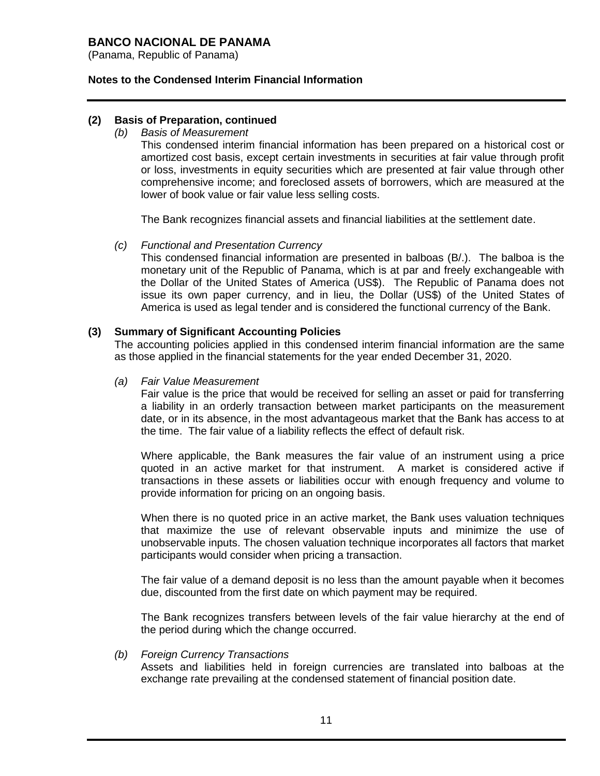(Panama, Republic of Panama)

### **Notes to the Condensed Interim Financial Information**

### **(2) Basis of Preparation, continued**

*(b) Basis of Measurement*

This condensed interim financial information has been prepared on a historical cost or amortized cost basis, except certain investments in securities at fair value through profit or loss, investments in equity securities which are presented at fair value through other comprehensive income; and foreclosed assets of borrowers, which are measured at the lower of book value or fair value less selling costs.

The Bank recognizes financial assets and financial liabilities at the settlement date.

#### *(c) Functional and Presentation Currency*

This condensed financial information are presented in balboas (B/.). The balboa is the monetary unit of the Republic of Panama, which is at par and freely exchangeable with the Dollar of the United States of America (US\$). The Republic of Panama does not issue its own paper currency, and in lieu, the Dollar (US\$) of the United States of America is used as legal tender and is considered the functional currency of the Bank.

### **(3) Summary of Significant Accounting Policies**

The accounting policies applied in this condensed interim financial information are the same as those applied in the financial statements for the year ended December 31, 2020.

#### *(a) Fair Value Measurement*

Fair value is the price that would be received for selling an asset or paid for transferring a liability in an orderly transaction between market participants on the measurement date, or in its absence, in the most advantageous market that the Bank has access to at the time. The fair value of a liability reflects the effect of default risk.

Where applicable, the Bank measures the fair value of an instrument using a price quoted in an active market for that instrument. A market is considered active if transactions in these assets or liabilities occur with enough frequency and volume to provide information for pricing on an ongoing basis.

When there is no quoted price in an active market, the Bank uses valuation techniques that maximize the use of relevant observable inputs and minimize the use of unobservable inputs. The chosen valuation technique incorporates all factors that market participants would consider when pricing a transaction.

The fair value of a demand deposit is no less than the amount payable when it becomes due, discounted from the first date on which payment may be required.

The Bank recognizes transfers between levels of the fair value hierarchy at the end of the period during which the change occurred.

#### *(b) Foreign Currency Transactions*

Assets and liabilities held in foreign currencies are translated into balboas at the exchange rate prevailing at the condensed statement of financial position date.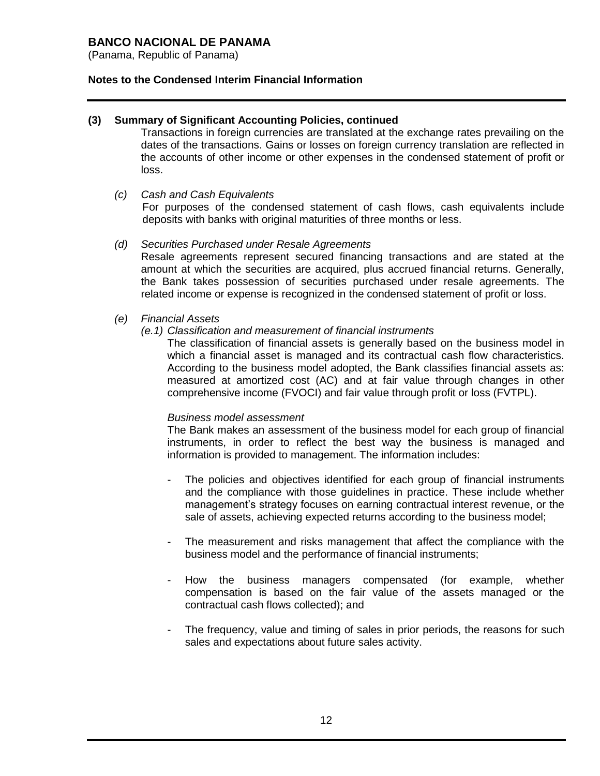(Panama, Republic of Panama)

### **Notes to the Condensed Interim Financial Information**

#### **(3) Summary of Significant Accounting Policies, continued**

Transactions in foreign currencies are translated at the exchange rates prevailing on the dates of the transactions. Gains or losses on foreign currency translation are reflected in the accounts of other income or other expenses in the condensed statement of profit or loss.

#### *(c) Cash and Cash Equivalents*

For purposes of the condensed statement of cash flows, cash equivalents include deposits with banks with original maturities of three months or less.

#### *(d) Securities Purchased under Resale Agreements*

Resale agreements represent secured financing transactions and are stated at the amount at which the securities are acquired, plus accrued financial returns. Generally, the Bank takes possession of securities purchased under resale agreements. The related income or expense is recognized in the condensed statement of profit or loss.

### *(e) Financial Assets*

#### *(e.1) Classification and measurement of financial instruments*

The classification of financial assets is generally based on the business model in which a financial asset is managed and its contractual cash flow characteristics. According to the business model adopted, the Bank classifies financial assets as: measured at amortized cost (AC) and at fair value through changes in other comprehensive income (FVOCI) and fair value through profit or loss (FVTPL).

#### *Business model assessment*

The Bank makes an assessment of the business model for each group of financial instruments, in order to reflect the best way the business is managed and information is provided to management. The information includes:

- The policies and objectives identified for each group of financial instruments and the compliance with those guidelines in practice. These include whether management's strategy focuses on earning contractual interest revenue, or the sale of assets, achieving expected returns according to the business model;
- The measurement and risks management that affect the compliance with the business model and the performance of financial instruments;
- How the business managers compensated (for example, whether compensation is based on the fair value of the assets managed or the contractual cash flows collected); and
- The frequency, value and timing of sales in prior periods, the reasons for such sales and expectations about future sales activity.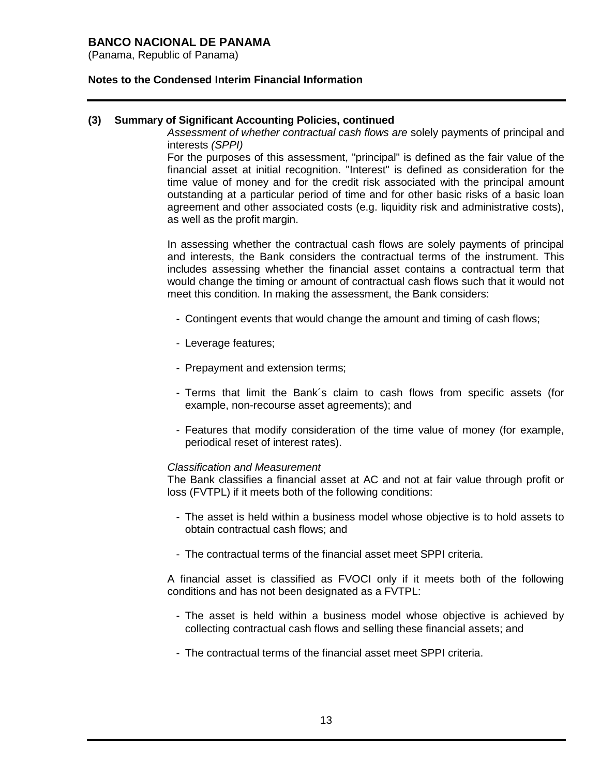(Panama, Republic of Panama)

### **Notes to the Condensed Interim Financial Information**

### **(3) Summary of Significant Accounting Policies, continued**

*Assessment of whether contractual cash flows are* solely payments of principal and interests *(SPPI)*

For the purposes of this assessment, "principal" is defined as the fair value of the financial asset at initial recognition. "Interest" is defined as consideration for the time value of money and for the credit risk associated with the principal amount outstanding at a particular period of time and for other basic risks of a basic loan agreement and other associated costs (e.g. liquidity risk and administrative costs), as well as the profit margin.

In assessing whether the contractual cash flows are solely payments of principal and interests, the Bank considers the contractual terms of the instrument. This includes assessing whether the financial asset contains a contractual term that would change the timing or amount of contractual cash flows such that it would not meet this condition. In making the assessment, the Bank considers:

- Contingent events that would change the amount and timing of cash flows;
- Leverage features;
- Prepayment and extension terms;
- Terms that limit the Bank´s claim to cash flows from specific assets (for example, non-recourse asset agreements); and
- Features that modify consideration of the time value of money (for example, periodical reset of interest rates).

#### *Classification and Measurement*

The Bank classifies a financial asset at AC and not at fair value through profit or loss (FVTPL) if it meets both of the following conditions:

- The asset is held within a business model whose objective is to hold assets to obtain contractual cash flows; and
- The contractual terms of the financial asset meet SPPI criteria.

A financial asset is classified as FVOCI only if it meets both of the following conditions and has not been designated as a FVTPL:

- The asset is held within a business model whose objective is achieved by collecting contractual cash flows and selling these financial assets; and
- The contractual terms of the financial asset meet SPPI criteria.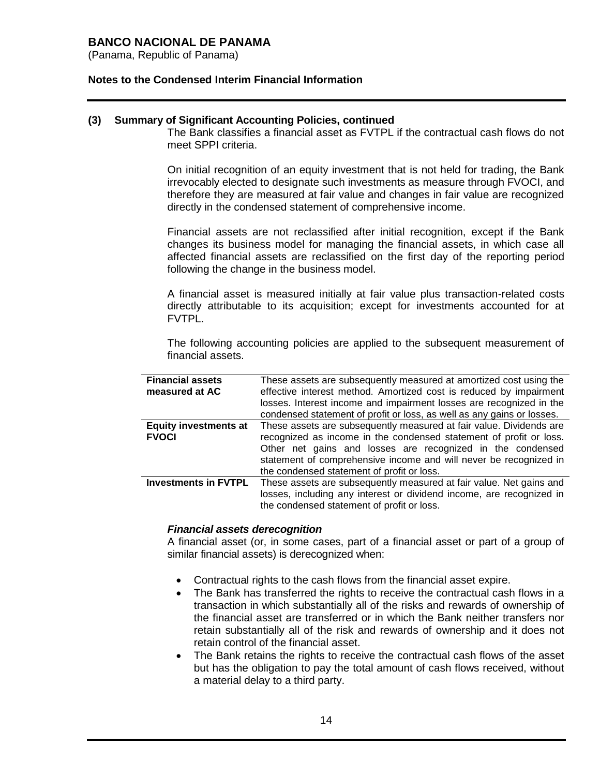(Panama, Republic of Panama)

### **Notes to the Condensed Interim Financial Information**

#### **(3) Summary of Significant Accounting Policies, continued**

The Bank classifies a financial asset as FVTPL if the contractual cash flows do not meet SPPI criteria.

On initial recognition of an equity investment that is not held for trading, the Bank irrevocably elected to designate such investments as measure through FVOCI, and therefore they are measured at fair value and changes in fair value are recognized directly in the condensed statement of comprehensive income.

Financial assets are not reclassified after initial recognition, except if the Bank changes its business model for managing the financial assets, in which case all affected financial assets are reclassified on the first day of the reporting period following the change in the business model.

A financial asset is measured initially at fair value plus transaction-related costs directly attributable to its acquisition; except for investments accounted for at FVTPL.

The following accounting policies are applied to the subsequent measurement of financial assets.

| <b>Financial assets</b><br>measured at AC    | These assets are subsequently measured at amortized cost using the<br>effective interest method. Amortized cost is reduced by impairment<br>losses. Interest income and impairment losses are recognized in the<br>condensed statement of profit or loss, as well as any gains or losses.                                  |
|----------------------------------------------|----------------------------------------------------------------------------------------------------------------------------------------------------------------------------------------------------------------------------------------------------------------------------------------------------------------------------|
| <b>Equity investments at</b><br><b>FVOCI</b> | These assets are subsequently measured at fair value. Dividends are<br>recognized as income in the condensed statement of profit or loss.<br>Other net gains and losses are recognized in the condensed<br>statement of comprehensive income and will never be recognized in<br>the condensed statement of profit or loss. |
| <b>Investments in FVTPL</b>                  | These assets are subsequently measured at fair value. Net gains and<br>losses, including any interest or dividend income, are recognized in<br>the condensed statement of profit or loss.                                                                                                                                  |

#### *Financial assets derecognition*

A financial asset (or, in some cases, part of a financial asset or part of a group of similar financial assets) is derecognized when:

- Contractual rights to the cash flows from the financial asset expire.
- The Bank has transferred the rights to receive the contractual cash flows in a transaction in which substantially all of the risks and rewards of ownership of the financial asset are transferred or in which the Bank neither transfers nor retain substantially all of the risk and rewards of ownership and it does not retain control of the financial asset.
- The Bank retains the rights to receive the contractual cash flows of the asset but has the obligation to pay the total amount of cash flows received, without a material delay to a third party.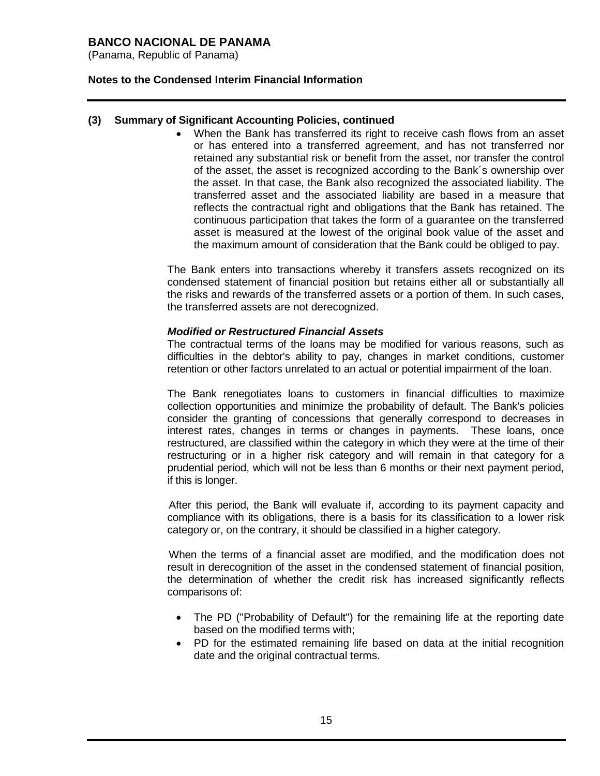(Panama, Republic of Panama)

### **Notes to the Condensed Interim Financial Information**

### **(3) Summary of Significant Accounting Policies, continued**

 When the Bank has transferred its right to receive cash flows from an asset or has entered into a transferred agreement, and has not transferred nor retained any substantial risk or benefit from the asset, nor transfer the control of the asset, the asset is recognized according to the Bank´s ownership over the asset. In that case, the Bank also recognized the associated liability. The transferred asset and the associated liability are based in a measure that reflects the contractual right and obligations that the Bank has retained. The continuous participation that takes the form of a guarantee on the transferred asset is measured at the lowest of the original book value of the asset and the maximum amount of consideration that the Bank could be obliged to pay.

The Bank enters into transactions whereby it transfers assets recognized on its condensed statement of financial position but retains either all or substantially all the risks and rewards of the transferred assets or a portion of them. In such cases, the transferred assets are not derecognized.

#### *Modified or Restructured Financial Assets*

The contractual terms of the loans may be modified for various reasons, such as difficulties in the debtor's ability to pay, changes in market conditions, customer retention or other factors unrelated to an actual or potential impairment of the loan.

The Bank renegotiates loans to customers in financial difficulties to maximize collection opportunities and minimize the probability of default. The Bank's policies consider the granting of concessions that generally correspond to decreases in interest rates, changes in terms or changes in payments. These loans, once restructured, are classified within the category in which they were at the time of their restructuring or in a higher risk category and will remain in that category for a prudential period, which will not be less than 6 months or their next payment period, if this is longer.

After this period, the Bank will evaluate if, according to its payment capacity and compliance with its obligations, there is a basis for its classification to a lower risk category or, on the contrary, it should be classified in a higher category.

When the terms of a financial asset are modified, and the modification does not result in derecognition of the asset in the condensed statement of financial position, the determination of whether the credit risk has increased significantly reflects comparisons of:

- The PD ("Probability of Default") for the remaining life at the reporting date based on the modified terms with;
- PD for the estimated remaining life based on data at the initial recognition date and the original contractual terms.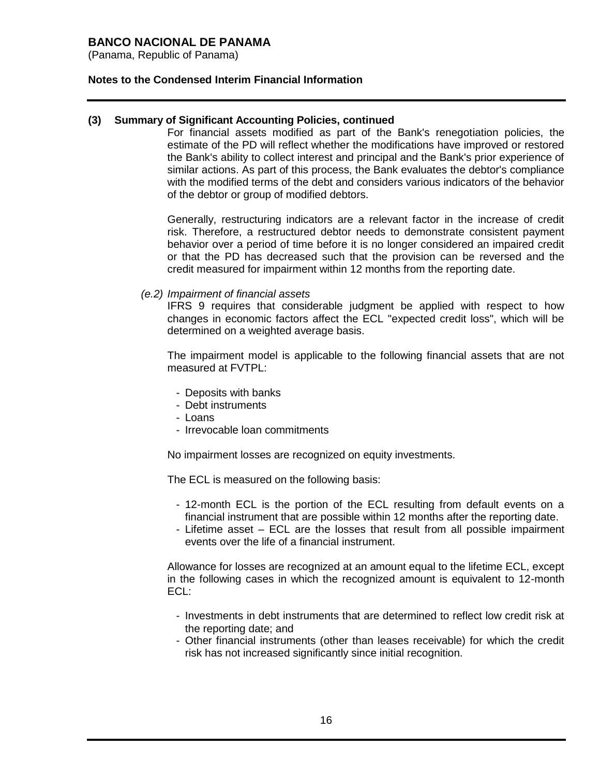(Panama, Republic of Panama)

### **Notes to the Condensed Interim Financial Information**

### **(3) Summary of Significant Accounting Policies, continued**

For financial assets modified as part of the Bank's renegotiation policies, the estimate of the PD will reflect whether the modifications have improved or restored the Bank's ability to collect interest and principal and the Bank's prior experience of similar actions. As part of this process, the Bank evaluates the debtor's compliance with the modified terms of the debt and considers various indicators of the behavior of the debtor or group of modified debtors.

Generally, restructuring indicators are a relevant factor in the increase of credit risk. Therefore, a restructured debtor needs to demonstrate consistent payment behavior over a period of time before it is no longer considered an impaired credit or that the PD has decreased such that the provision can be reversed and the credit measured for impairment within 12 months from the reporting date.

#### *(e.2) Impairment of financial assets*

IFRS 9 requires that considerable judgment be applied with respect to how changes in economic factors affect the ECL "expected credit loss", which will be determined on a weighted average basis.

The impairment model is applicable to the following financial assets that are not measured at FVTPL:

- Deposits with banks
- Debt instruments
- Loans
- Irrevocable loan commitments

No impairment losses are recognized on equity investments.

The ECL is measured on the following basis:

- 12-month ECL is the portion of the ECL resulting from default events on a financial instrument that are possible within 12 months after the reporting date.
- Lifetime asset ECL are the losses that result from all possible impairment events over the life of a financial instrument.

Allowance for losses are recognized at an amount equal to the lifetime ECL, except in the following cases in which the recognized amount is equivalent to 12-month ECL:

- Investments in debt instruments that are determined to reflect low credit risk at the reporting date; and
- Other financial instruments (other than leases receivable) for which the credit risk has not increased significantly since initial recognition.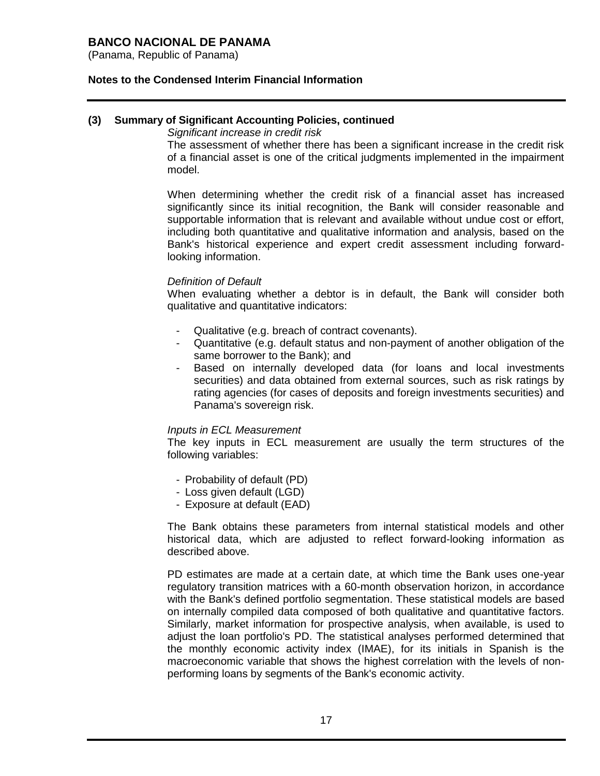(Panama, Republic of Panama)

### **Notes to the Condensed Interim Financial Information**

#### **(3) Summary of Significant Accounting Policies, continued**

*Significant increase in credit risk*

The assessment of whether there has been a significant increase in the credit risk of a financial asset is one of the critical judgments implemented in the impairment model.

When determining whether the credit risk of a financial asset has increased significantly since its initial recognition, the Bank will consider reasonable and supportable information that is relevant and available without undue cost or effort, including both quantitative and qualitative information and analysis, based on the Bank's historical experience and expert credit assessment including forwardlooking information.

#### *Definition of Default*

When evaluating whether a debtor is in default, the Bank will consider both qualitative and quantitative indicators:

- Qualitative (e.g. breach of contract covenants).
- Quantitative (e.g. default status and non-payment of another obligation of the same borrower to the Bank); and
- Based on internally developed data (for loans and local investments securities) and data obtained from external sources, such as risk ratings by rating agencies (for cases of deposits and foreign investments securities) and Panama's sovereign risk.

#### *Inputs in ECL Measurement*

The key inputs in ECL measurement are usually the term structures of the following variables:

- Probability of default (PD)
- Loss given default (LGD)
- Exposure at default (EAD)

The Bank obtains these parameters from internal statistical models and other historical data, which are adjusted to reflect forward-looking information as described above.

PD estimates are made at a certain date, at which time the Bank uses one-year regulatory transition matrices with a 60-month observation horizon, in accordance with the Bank's defined portfolio segmentation. These statistical models are based on internally compiled data composed of both qualitative and quantitative factors. Similarly, market information for prospective analysis, when available, is used to adjust the loan portfolio's PD. The statistical analyses performed determined that the monthly economic activity index (IMAE), for its initials in Spanish is the macroeconomic variable that shows the highest correlation with the levels of nonperforming loans by segments of the Bank's economic activity.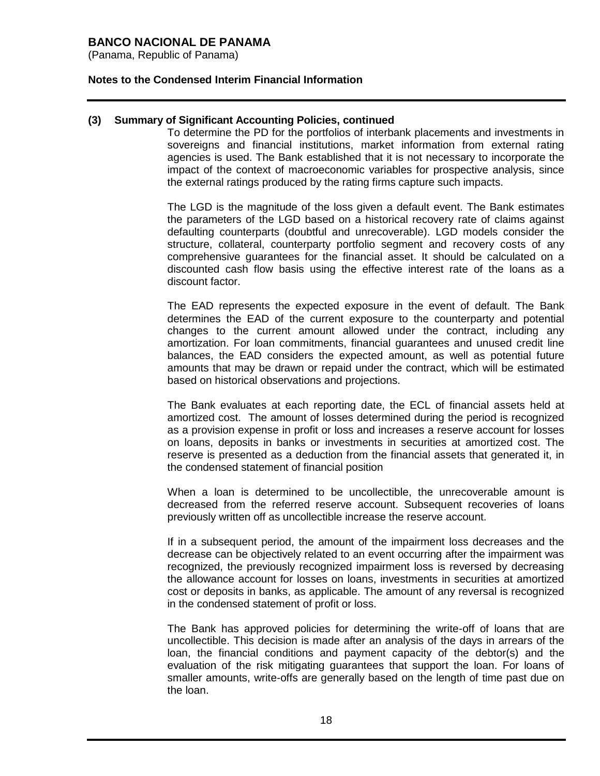(Panama, Republic of Panama)

#### **Notes to the Condensed Interim Financial Information**

#### **(3) Summary of Significant Accounting Policies, continued**

To determine the PD for the portfolios of interbank placements and investments in sovereigns and financial institutions, market information from external rating agencies is used. The Bank established that it is not necessary to incorporate the impact of the context of macroeconomic variables for prospective analysis, since the external ratings produced by the rating firms capture such impacts.

The LGD is the magnitude of the loss given a default event. The Bank estimates the parameters of the LGD based on a historical recovery rate of claims against defaulting counterparts (doubtful and unrecoverable). LGD models consider the structure, collateral, counterparty portfolio segment and recovery costs of any comprehensive guarantees for the financial asset. It should be calculated on a discounted cash flow basis using the effective interest rate of the loans as a discount factor.

The EAD represents the expected exposure in the event of default. The Bank determines the EAD of the current exposure to the counterparty and potential changes to the current amount allowed under the contract, including any amortization. For loan commitments, financial guarantees and unused credit line balances, the EAD considers the expected amount, as well as potential future amounts that may be drawn or repaid under the contract, which will be estimated based on historical observations and projections.

The Bank evaluates at each reporting date, the ECL of financial assets held at amortized cost. The amount of losses determined during the period is recognized as a provision expense in profit or loss and increases a reserve account for losses on loans, deposits in banks or investments in securities at amortized cost. The reserve is presented as a deduction from the financial assets that generated it, in the condensed statement of financial position

When a loan is determined to be uncollectible, the unrecoverable amount is decreased from the referred reserve account. Subsequent recoveries of loans previously written off as uncollectible increase the reserve account.

If in a subsequent period, the amount of the impairment loss decreases and the decrease can be objectively related to an event occurring after the impairment was recognized, the previously recognized impairment loss is reversed by decreasing the allowance account for losses on loans, investments in securities at amortized cost or deposits in banks, as applicable. The amount of any reversal is recognized in the condensed statement of profit or loss.

The Bank has approved policies for determining the write-off of loans that are uncollectible. This decision is made after an analysis of the days in arrears of the loan, the financial conditions and payment capacity of the debtor(s) and the evaluation of the risk mitigating guarantees that support the loan. For loans of smaller amounts, write-offs are generally based on the length of time past due on the loan.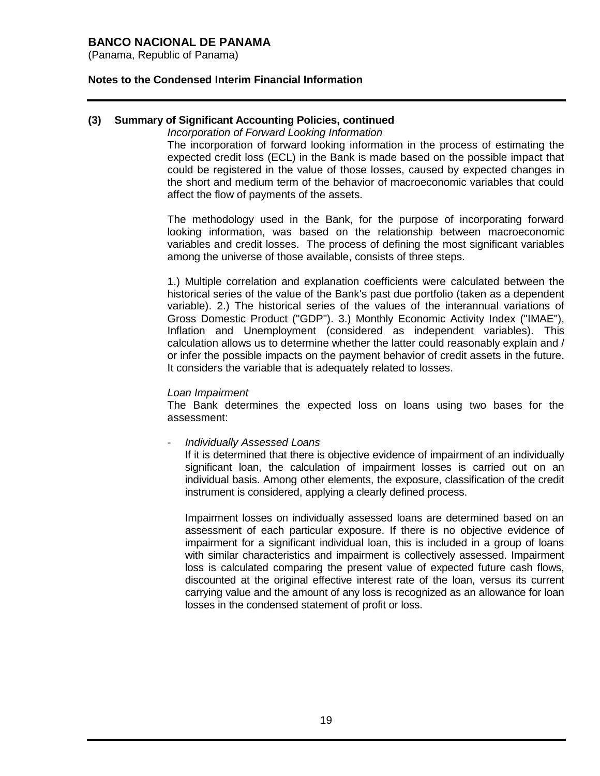(Panama, Republic of Panama)

#### **Notes to the Condensed Interim Financial Information**

### **(3) Summary of Significant Accounting Policies, continued**

#### *Incorporation of Forward Looking Information*

The incorporation of forward looking information in the process of estimating the expected credit loss (ECL) in the Bank is made based on the possible impact that could be registered in the value of those losses, caused by expected changes in the short and medium term of the behavior of macroeconomic variables that could affect the flow of payments of the assets.

The methodology used in the Bank, for the purpose of incorporating forward looking information, was based on the relationship between macroeconomic variables and credit losses. The process of defining the most significant variables among the universe of those available, consists of three steps.

1.) Multiple correlation and explanation coefficients were calculated between the historical series of the value of the Bank's past due portfolio (taken as a dependent variable). 2.) The historical series of the values of the interannual variations of Gross Domestic Product ("GDP"). 3.) Monthly Economic Activity Index ("IMAE"), Inflation and Unemployment (considered as independent variables). This calculation allows us to determine whether the latter could reasonably explain and / or infer the possible impacts on the payment behavior of credit assets in the future. It considers the variable that is adequately related to losses.

#### *Loan Impairment*

The Bank determines the expected loss on loans using two bases for the assessment:

- *Individually Assessed Loans*

If it is determined that there is objective evidence of impairment of an individually significant loan, the calculation of impairment losses is carried out on an individual basis. Among other elements, the exposure, classification of the credit instrument is considered, applying a clearly defined process.

Impairment losses on individually assessed loans are determined based on an assessment of each particular exposure. If there is no objective evidence of impairment for a significant individual loan, this is included in a group of loans with similar characteristics and impairment is collectively assessed. Impairment loss is calculated comparing the present value of expected future cash flows, discounted at the original effective interest rate of the loan, versus its current carrying value and the amount of any loss is recognized as an allowance for loan losses in the condensed statement of profit or loss.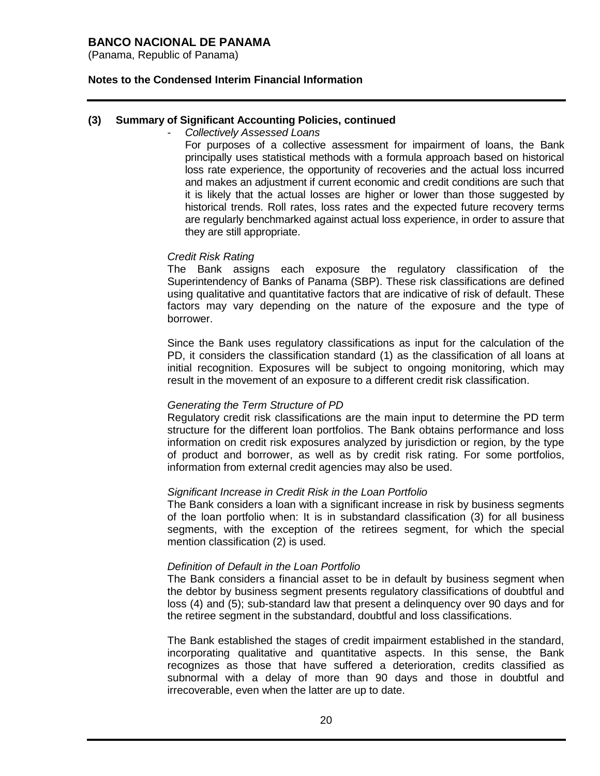(Panama, Republic of Panama)

### **Notes to the Condensed Interim Financial Information**

#### **(3) Summary of Significant Accounting Policies, continued**

#### - *Collectively Assessed Loans*

For purposes of a collective assessment for impairment of loans, the Bank principally uses statistical methods with a formula approach based on historical loss rate experience, the opportunity of recoveries and the actual loss incurred and makes an adjustment if current economic and credit conditions are such that it is likely that the actual losses are higher or lower than those suggested by historical trends. Roll rates, loss rates and the expected future recovery terms are regularly benchmarked against actual loss experience, in order to assure that they are still appropriate.

#### *Credit Risk Rating*

The Bank assigns each exposure the regulatory classification of the Superintendency of Banks of Panama (SBP). These risk classifications are defined using qualitative and quantitative factors that are indicative of risk of default. These factors may vary depending on the nature of the exposure and the type of borrower.

Since the Bank uses regulatory classifications as input for the calculation of the PD, it considers the classification standard (1) as the classification of all loans at initial recognition. Exposures will be subject to ongoing monitoring, which may result in the movement of an exposure to a different credit risk classification.

#### *Generating the Term Structure of PD*

Regulatory credit risk classifications are the main input to determine the PD term structure for the different loan portfolios. The Bank obtains performance and loss information on credit risk exposures analyzed by jurisdiction or region, by the type of product and borrower, as well as by credit risk rating. For some portfolios, information from external credit agencies may also be used.

#### *Significant Increase in Credit Risk in the Loan Portfolio*

The Bank considers a loan with a significant increase in risk by business segments of the loan portfolio when: It is in substandard classification (3) for all business segments, with the exception of the retirees segment, for which the special mention classification (2) is used.

#### *Definition of Default in the Loan Portfolio*

The Bank considers a financial asset to be in default by business segment when the debtor by business segment presents regulatory classifications of doubtful and loss (4) and (5); sub-standard law that present a delinquency over 90 days and for the retiree segment in the substandard, doubtful and loss classifications.

The Bank established the stages of credit impairment established in the standard, incorporating qualitative and quantitative aspects. In this sense, the Bank recognizes as those that have suffered a deterioration, credits classified as subnormal with a delay of more than 90 days and those in doubtful and irrecoverable, even when the latter are up to date.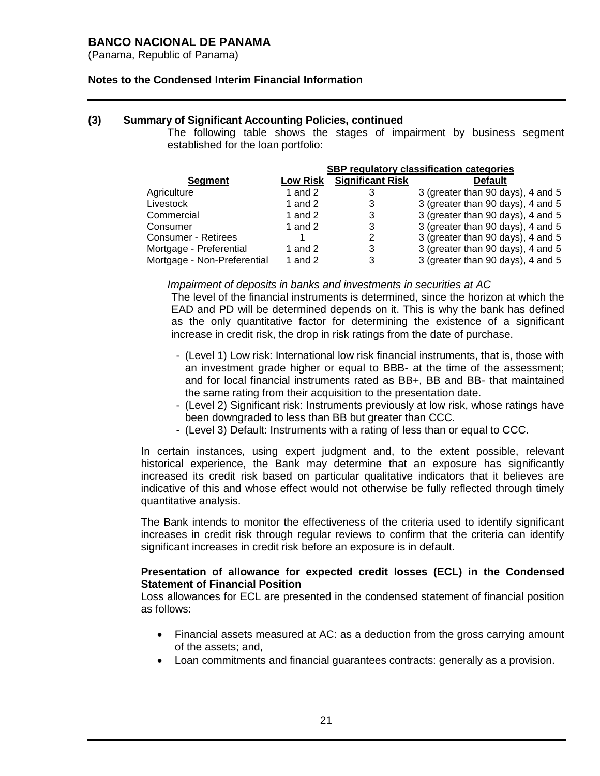(Panama, Republic of Panama)

### **Notes to the Condensed Interim Financial Information**

#### **(3) Summary of Significant Accounting Policies, continued**

The following table shows the stages of impairment by business segment established for the loan portfolio:

|                             | SBP regulatory classification categories |                         |                                   |  |  |
|-----------------------------|------------------------------------------|-------------------------|-----------------------------------|--|--|
| Segment                     | <b>Low Risk</b>                          | <b>Significant Risk</b> | <b>Default</b>                    |  |  |
| Agriculture                 | 1 and $2$                                | 3                       | 3 (greater than 90 days), 4 and 5 |  |  |
| Livestock                   | 1 and $2$                                | 3                       | 3 (greater than 90 days), 4 and 5 |  |  |
| Commercial                  | 1 and $2$                                | 3                       | 3 (greater than 90 days), 4 and 5 |  |  |
| Consumer                    | 1 and $2$                                | 3                       | 3 (greater than 90 days), 4 and 5 |  |  |
| <b>Consumer - Retirees</b>  |                                          | 2                       | 3 (greater than 90 days), 4 and 5 |  |  |
| Mortgage - Preferential     | 1 and 2                                  | 3                       | 3 (greater than 90 days), 4 and 5 |  |  |
| Mortgage - Non-Preferential | 1 and $2$                                | 3                       | 3 (greater than 90 days), 4 and 5 |  |  |

#### *Impairment of deposits in banks and investments in securities at AC*

The level of the financial instruments is determined, since the horizon at which the EAD and PD will be determined depends on it. This is why the bank has defined as the only quantitative factor for determining the existence of a significant increase in credit risk, the drop in risk ratings from the date of purchase.

- (Level 1) Low risk: International low risk financial instruments, that is, those with an investment grade higher or equal to BBB- at the time of the assessment; and for local financial instruments rated as BB+, BB and BB- that maintained the same rating from their acquisition to the presentation date.
- (Level 2) Significant risk: Instruments previously at low risk, whose ratings have been downgraded to less than BB but greater than CCC.
- (Level 3) Default: Instruments with a rating of less than or equal to CCC.

In certain instances, using expert judgment and, to the extent possible, relevant historical experience, the Bank may determine that an exposure has significantly increased its credit risk based on particular qualitative indicators that it believes are indicative of this and whose effect would not otherwise be fully reflected through timely quantitative analysis.

The Bank intends to monitor the effectiveness of the criteria used to identify significant increases in credit risk through regular reviews to confirm that the criteria can identify significant increases in credit risk before an exposure is in default.

### **Presentation of allowance for expected credit losses (ECL) in the Condensed Statement of Financial Position**

Loss allowances for ECL are presented in the condensed statement of financial position as follows:

- Financial assets measured at AC: as a deduction from the gross carrying amount of the assets; and,
- Loan commitments and financial guarantees contracts: generally as a provision.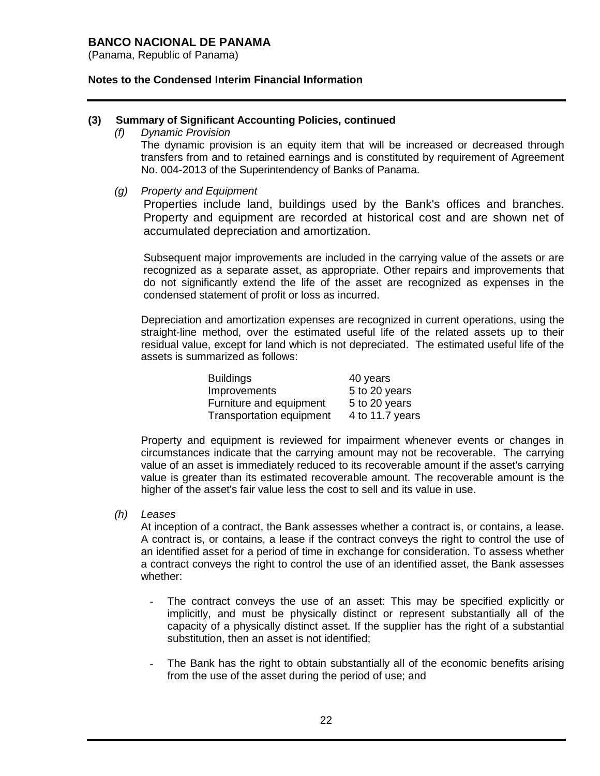(Panama, Republic of Panama)

### **Notes to the Condensed Interim Financial Information**

#### **(3) Summary of Significant Accounting Policies, continued**

*(f) Dynamic Provision*

The dynamic provision is an equity item that will be increased or decreased through transfers from and to retained earnings and is constituted by requirement of Agreement No. 004-2013 of the Superintendency of Banks of Panama.

*(g) Property and Equipment*

Properties include land, buildings used by the Bank's offices and branches. Property and equipment are recorded at historical cost and are shown net of accumulated depreciation and amortization.

Subsequent major improvements are included in the carrying value of the assets or are recognized as a separate asset, as appropriate. Other repairs and improvements that do not significantly extend the life of the asset are recognized as expenses in the condensed statement of profit or loss as incurred.

Depreciation and amortization expenses are recognized in current operations, using the straight-line method, over the estimated useful life of the related assets up to their residual value, except for land which is not depreciated. The estimated useful life of the assets is summarized as follows:

| <b>Buildings</b>                | 40 years        |
|---------------------------------|-----------------|
| Improvements                    | 5 to 20 years   |
| Furniture and equipment         | 5 to 20 years   |
| <b>Transportation equipment</b> | 4 to 11.7 years |

Property and equipment is reviewed for impairment whenever events or changes in circumstances indicate that the carrying amount may not be recoverable. The carrying value of an asset is immediately reduced to its recoverable amount if the asset's carrying value is greater than its estimated recoverable amount. The recoverable amount is the higher of the asset's fair value less the cost to sell and its value in use.

*(h) Leases*

At inception of a contract, the Bank assesses whether a contract is, or contains, a lease. A contract is, or contains, a lease if the contract conveys the right to control the use of an identified asset for a period of time in exchange for consideration. To assess whether a contract conveys the right to control the use of an identified asset, the Bank assesses whether:

- The contract conveys the use of an asset: This may be specified explicitly or implicitly, and must be physically distinct or represent substantially all of the capacity of a physically distinct asset. If the supplier has the right of a substantial substitution, then an asset is not identified;
- The Bank has the right to obtain substantially all of the economic benefits arising from the use of the asset during the period of use; and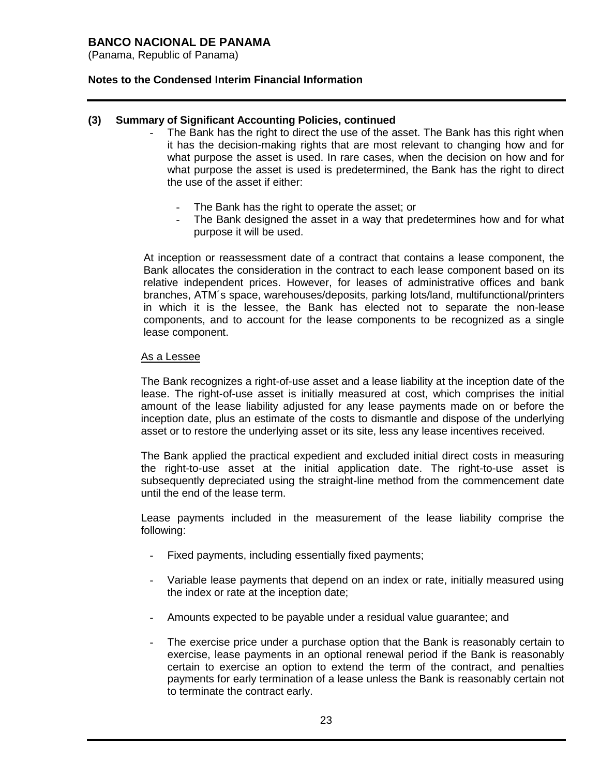(Panama, Republic of Panama)

### **Notes to the Condensed Interim Financial Information**

### **(3) Summary of Significant Accounting Policies, continued**

- The Bank has the right to direct the use of the asset. The Bank has this right when it has the decision-making rights that are most relevant to changing how and for what purpose the asset is used. In rare cases, when the decision on how and for what purpose the asset is used is predetermined, the Bank has the right to direct the use of the asset if either:
	- The Bank has the right to operate the asset; or
	- The Bank designed the asset in a way that predetermines how and for what purpose it will be used.

At inception or reassessment date of a contract that contains a lease component, the Bank allocates the consideration in the contract to each lease component based on its relative independent prices. However, for leases of administrative offices and bank branches, ATM´s space, warehouses/deposits, parking lots/land, multifunctional/printers in which it is the lessee, the Bank has elected not to separate the non-lease components, and to account for the lease components to be recognized as a single lease component.

#### As a Lessee

The Bank recognizes a right-of-use asset and a lease liability at the inception date of the lease. The right-of-use asset is initially measured at cost, which comprises the initial amount of the lease liability adjusted for any lease payments made on or before the inception date, plus an estimate of the costs to dismantle and dispose of the underlying asset or to restore the underlying asset or its site, less any lease incentives received.

The Bank applied the practical expedient and excluded initial direct costs in measuring the right-to-use asset at the initial application date. The right-to-use asset is subsequently depreciated using the straight-line method from the commencement date until the end of the lease term.

Lease payments included in the measurement of the lease liability comprise the following:

- Fixed payments, including essentially fixed payments;
- Variable lease payments that depend on an index or rate, initially measured using the index or rate at the inception date;
- Amounts expected to be payable under a residual value guarantee; and
- The exercise price under a purchase option that the Bank is reasonably certain to exercise, lease payments in an optional renewal period if the Bank is reasonably certain to exercise an option to extend the term of the contract, and penalties payments for early termination of a lease unless the Bank is reasonably certain not to terminate the contract early.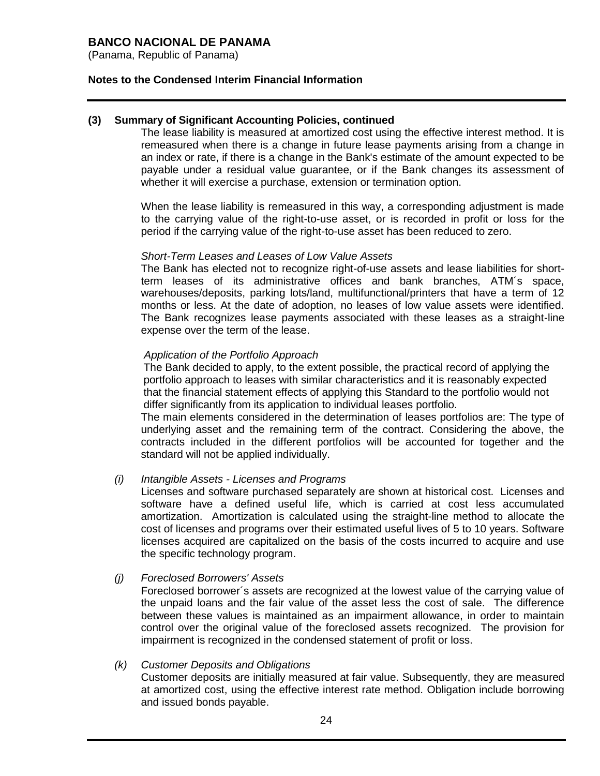(Panama, Republic of Panama)

### **Notes to the Condensed Interim Financial Information**

### **(3) Summary of Significant Accounting Policies, continued**

The lease liability is measured at amortized cost using the effective interest method. It is remeasured when there is a change in future lease payments arising from a change in an index or rate, if there is a change in the Bank's estimate of the amount expected to be payable under a residual value guarantee, or if the Bank changes its assessment of whether it will exercise a purchase, extension or termination option.

When the lease liability is remeasured in this way, a corresponding adjustment is made to the carrying value of the right-to-use asset, or is recorded in profit or loss for the period if the carrying value of the right-to-use asset has been reduced to zero.

#### *Short-Term Leases and Leases of Low Value Assets*

The Bank has elected not to recognize right-of-use assets and lease liabilities for shortterm leases of its administrative offices and bank branches, ATM´s space, warehouses/deposits, parking lots/land, multifunctional/printers that have a term of 12 months or less. At the date of adoption, no leases of low value assets were identified. The Bank recognizes lease payments associated with these leases as a straight-line expense over the term of the lease.

#### *Application of the Portfolio Approach*

The Bank decided to apply, to the extent possible, the practical record of applying the portfolio approach to leases with similar characteristics and it is reasonably expected that the financial statement effects of applying this Standard to the portfolio would not differ significantly from its application to individual leases portfolio.

The main elements considered in the determination of leases portfolios are: The type of underlying asset and the remaining term of the contract. Considering the above, the contracts included in the different portfolios will be accounted for together and the standard will not be applied individually.

#### *(i) Intangible Assets - Licenses and Programs*

Licenses and software purchased separately are shown at historical cost. Licenses and software have a defined useful life, which is carried at cost less accumulated amortization. Amortization is calculated using the straight-line method to allocate the cost of licenses and programs over their estimated useful lives of 5 to 10 years. Software licenses acquired are capitalized on the basis of the costs incurred to acquire and use the specific technology program.

#### *(j) Foreclosed Borrowers' Assets*

Foreclosed borrower´s assets are recognized at the lowest value of the carrying value of the unpaid loans and the fair value of the asset less the cost of sale. The difference between these values is maintained as an impairment allowance, in order to maintain control over the original value of the foreclosed assets recognized. The provision for impairment is recognized in the condensed statement of profit or loss.

#### *(k) Customer Deposits and Obligations*

Customer deposits are initially measured at fair value. Subsequently, they are measured at amortized cost, using the effective interest rate method. Obligation include borrowing and issued bonds payable.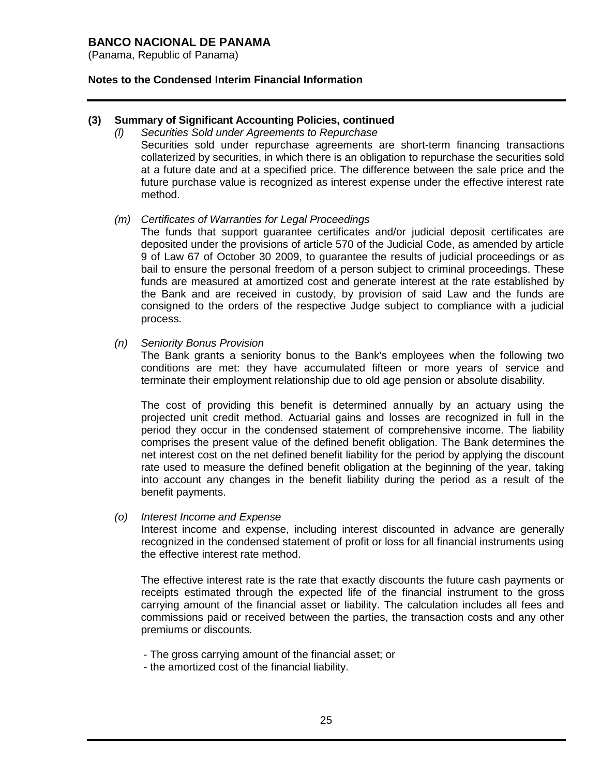(Panama, Republic of Panama)

### **Notes to the Condensed Interim Financial Information**

### **(3) Summary of Significant Accounting Policies, continued**

*(l) Securities Sold under Agreements to Repurchase* Securities sold under repurchase agreements are short-term financing transactions collaterized by securities, in which there is an obligation to repurchase the securities sold at a future date and at a specified price. The difference between the sale price and the future purchase value is recognized as interest expense under the effective interest rate method.

#### *(m) Certificates of Warranties for Legal Proceedings*

The funds that support guarantee certificates and/or judicial deposit certificates are deposited under the provisions of article 570 of the Judicial Code, as amended by article 9 of Law 67 of October 30 2009, to guarantee the results of judicial proceedings or as bail to ensure the personal freedom of a person subject to criminal proceedings. These funds are measured at amortized cost and generate interest at the rate established by the Bank and are received in custody, by provision of said Law and the funds are consigned to the orders of the respective Judge subject to compliance with a judicial process.

#### *(n) Seniority Bonus Provision*

The Bank grants a seniority bonus to the Bank's employees when the following two conditions are met: they have accumulated fifteen or more years of service and terminate their employment relationship due to old age pension or absolute disability.

The cost of providing this benefit is determined annually by an actuary using the projected unit credit method. Actuarial gains and losses are recognized in full in the period they occur in the condensed statement of comprehensive income. The liability comprises the present value of the defined benefit obligation. The Bank determines the net interest cost on the net defined benefit liability for the period by applying the discount rate used to measure the defined benefit obligation at the beginning of the year, taking into account any changes in the benefit liability during the period as a result of the benefit payments.

#### *(o) Interest Income and Expense*

Interest income and expense, including interest discounted in advance are generally recognized in the condensed statement of profit or loss for all financial instruments using the effective interest rate method.

The effective interest rate is the rate that exactly discounts the future cash payments or receipts estimated through the expected life of the financial instrument to the gross carrying amount of the financial asset or liability. The calculation includes all fees and commissions paid or received between the parties, the transaction costs and any other premiums or discounts.

- The gross carrying amount of the financial asset; or
- the amortized cost of the financial liability.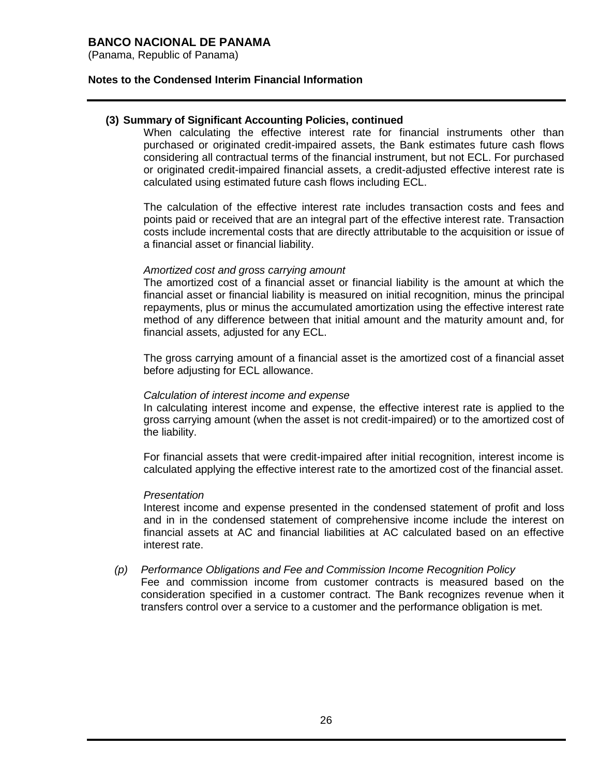(Panama, Republic of Panama)

#### **Notes to the Condensed Interim Financial Information**

### **(3) Summary of Significant Accounting Policies, continued**

When calculating the effective interest rate for financial instruments other than purchased or originated credit-impaired assets, the Bank estimates future cash flows considering all contractual terms of the financial instrument, but not ECL. For purchased or originated credit-impaired financial assets, a credit-adjusted effective interest rate is calculated using estimated future cash flows including ECL.

The calculation of the effective interest rate includes transaction costs and fees and points paid or received that are an integral part of the effective interest rate. Transaction costs include incremental costs that are directly attributable to the acquisition or issue of a financial asset or financial liability.

#### *Amortized cost and gross carrying amount*

The amortized cost of a financial asset or financial liability is the amount at which the financial asset or financial liability is measured on initial recognition, minus the principal repayments, plus or minus the accumulated amortization using the effective interest rate method of any difference between that initial amount and the maturity amount and, for financial assets, adjusted for any ECL.

The gross carrying amount of a financial asset is the amortized cost of a financial asset before adjusting for ECL allowance.

#### *Calculation of interest income and expense*

In calculating interest income and expense, the effective interest rate is applied to the gross carrying amount (when the asset is not credit-impaired) or to the amortized cost of the liability.

For financial assets that were credit-impaired after initial recognition, interest income is calculated applying the effective interest rate to the amortized cost of the financial asset.

#### *Presentation*

Interest income and expense presented in the condensed statement of profit and loss and in in the condensed statement of comprehensive income include the interest on financial assets at AC and financial liabilities at AC calculated based on an effective interest rate.

*(p) Performance Obligations and Fee and Commission Income Recognition Policy* Fee and commission income from customer contracts is measured based on the consideration specified in a customer contract. The Bank recognizes revenue when it transfers control over a service to a customer and the performance obligation is met.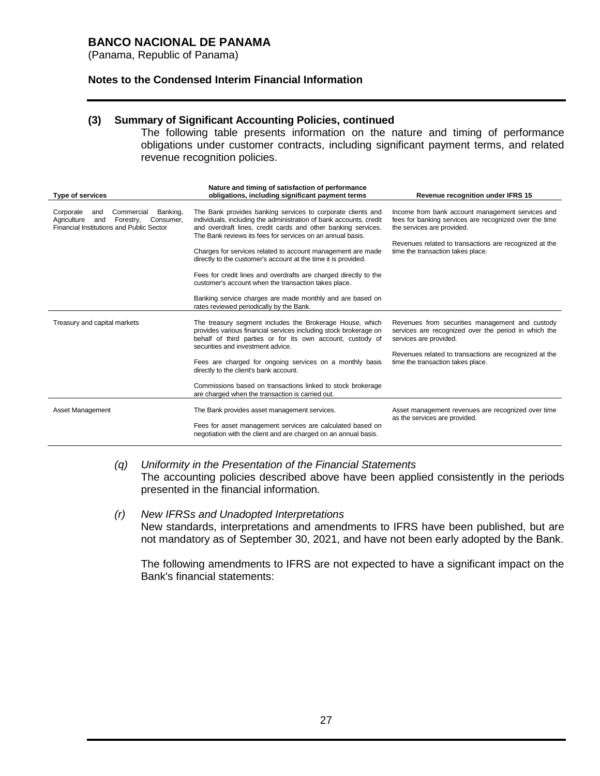(Panama, Republic of Panama)

### **Notes to the Condensed Interim Financial Information**

### **(3) Summary of Significant Accounting Policies, continued**

The following table presents information on the nature and timing of performance obligations under customer contracts, including significant payment terms, and related revenue recognition policies.

| Type of services                                                                                                                       | Nature and timing of satisfaction of performance<br>obligations, including significant payment terms                                                                                                                                                                                                                                                                                                                                                                                                                                                                                                                                   | Revenue recognition under IFRS 15                                                                                                                                                                                                       |
|----------------------------------------------------------------------------------------------------------------------------------------|----------------------------------------------------------------------------------------------------------------------------------------------------------------------------------------------------------------------------------------------------------------------------------------------------------------------------------------------------------------------------------------------------------------------------------------------------------------------------------------------------------------------------------------------------------------------------------------------------------------------------------------|-----------------------------------------------------------------------------------------------------------------------------------------------------------------------------------------------------------------------------------------|
| Commercial<br>Banking,<br>Corporate<br>and<br>Agriculture<br>Forestry,<br>Consumer.<br>and<br>Financial Institutions and Public Sector | The Bank provides banking services to corporate clients and<br>individuals, including the administration of bank accounts, credit<br>and overdraft lines, credit cards and other banking services.<br>The Bank reviews its fees for services on an annual basis.<br>Charges for services related to account management are made<br>directly to the customer's account at the time it is provided.<br>Fees for credit lines and overdrafts are charged directly to the<br>customer's account when the transaction takes place.<br>Banking service charges are made monthly and are based on<br>rates reviewed periodically by the Bank. | Income from bank account management services and<br>fees for banking services are recognized over the time<br>the services are provided.<br>Revenues related to transactions are recognized at the<br>time the transaction takes place. |
| Treasury and capital markets                                                                                                           | The treasury segment includes the Brokerage House, which<br>provides various financial services including stock brokerage on<br>behalf of third parties or for its own account, custody of<br>securities and investment advice.<br>Fees are charged for ongoing services on a monthly basis<br>directly to the client's bank account.<br>Commissions based on transactions linked to stock brokerage<br>are charged when the transaction is carried out.                                                                                                                                                                               | Revenues from securities management and custody<br>services are recognized over the period in which the<br>services are provided.<br>Revenues related to transactions are recognized at the<br>time the transaction takes place.        |
| Asset Management                                                                                                                       | The Bank provides asset management services.<br>Fees for asset management services are calculated based on<br>negotiation with the client and are charged on an annual basis.                                                                                                                                                                                                                                                                                                                                                                                                                                                          | Asset management revenues are recognized over time<br>as the services are provided.                                                                                                                                                     |

#### *(q) Uniformity in the Presentation of the Financial Statements* The accounting policies described above have been applied consistently in the periods presented in the financial information.

#### *(r) New IFRSs and Unadopted Interpretations* New standards, interpretations and amendments to IFRS have been published, but are not mandatory as of September 30, 2021, and have not been early adopted by the Bank.

The following amendments to IFRS are not expected to have a significant impact on the Bank's financial statements: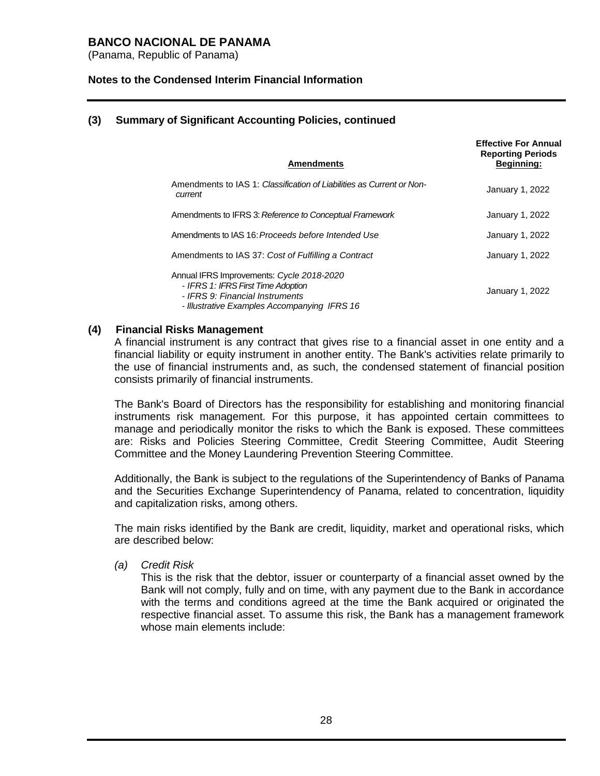(Panama, Republic of Panama)

#### **Notes to the Condensed Interim Financial Information**

### **(3) Summary of Significant Accounting Policies, continued**

|         | <b>Amendments</b>                                                                                                                                                  | <b>Effective For Annual</b><br><b>Reporting Periods</b><br><b>Beginning:</b> |
|---------|--------------------------------------------------------------------------------------------------------------------------------------------------------------------|------------------------------------------------------------------------------|
| current | Amendments to IAS 1: Classification of Liabilities as Current or Non-                                                                                              | January 1, 2022                                                              |
|         | Amendments to IFRS 3: Reference to Conceptual Framework                                                                                                            | January 1, 2022                                                              |
|         | Amendments to IAS 16: Proceeds before Intended Use                                                                                                                 | January 1, 2022                                                              |
|         | Amendments to IAS 37: Cost of Fulfilling a Contract                                                                                                                | January 1, 2022                                                              |
|         | Annual IFRS Improvements: Cycle 2018-2020<br>- IFRS 1: IFRS First Time Adoption<br>- IFRS 9: Financial Instruments<br>- Illustrative Examples Accompanying IFRS 16 | January 1, 2022                                                              |

#### **(4) Financial Risks Management**

A financial instrument is any contract that gives rise to a financial asset in one entity and a financial liability or equity instrument in another entity. The Bank's activities relate primarily to the use of financial instruments and, as such, the condensed statement of financial position consists primarily of financial instruments.

The Bank's Board of Directors has the responsibility for establishing and monitoring financial instruments risk management. For this purpose, it has appointed certain committees to manage and periodically monitor the risks to which the Bank is exposed. These committees are: Risks and Policies Steering Committee, Credit Steering Committee, Audit Steering Committee and the Money Laundering Prevention Steering Committee.

Additionally, the Bank is subject to the regulations of the Superintendency of Banks of Panama and the Securities Exchange Superintendency of Panama, related to concentration, liquidity and capitalization risks, among others.

The main risks identified by the Bank are credit, liquidity, market and operational risks, which are described below:

*(a) Credit Risk*

This is the risk that the debtor, issuer or counterparty of a financial asset owned by the Bank will not comply, fully and on time, with any payment due to the Bank in accordance with the terms and conditions agreed at the time the Bank acquired or originated the respective financial asset. To assume this risk, the Bank has a management framework whose main elements include: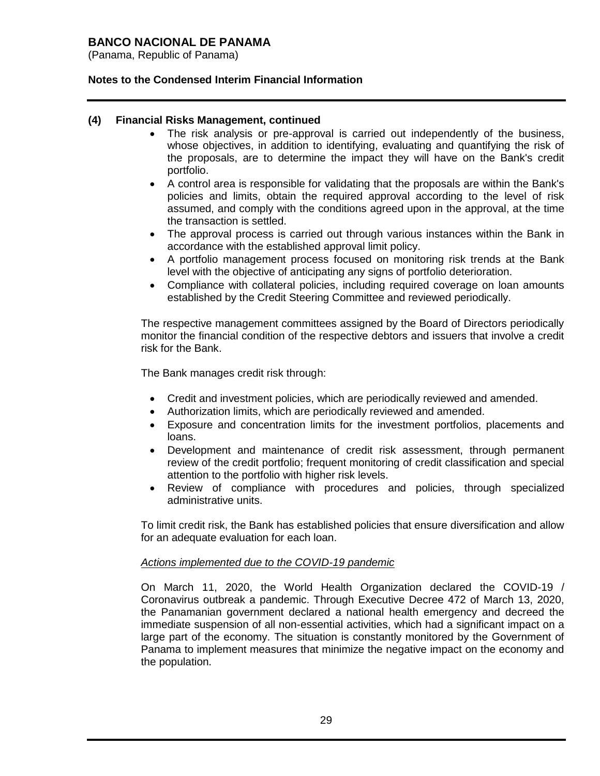(Panama, Republic of Panama)

### **Notes to the Condensed Interim Financial Information**

### **(4) Financial Risks Management, continued**

- The risk analysis or pre-approval is carried out independently of the business, whose objectives, in addition to identifying, evaluating and quantifying the risk of the proposals, are to determine the impact they will have on the Bank's credit portfolio.
- A control area is responsible for validating that the proposals are within the Bank's policies and limits, obtain the required approval according to the level of risk assumed, and comply with the conditions agreed upon in the approval, at the time the transaction is settled.
- The approval process is carried out through various instances within the Bank in accordance with the established approval limit policy.
- A portfolio management process focused on monitoring risk trends at the Bank level with the objective of anticipating any signs of portfolio deterioration.
- Compliance with collateral policies, including required coverage on loan amounts established by the Credit Steering Committee and reviewed periodically.

The respective management committees assigned by the Board of Directors periodically monitor the financial condition of the respective debtors and issuers that involve a credit risk for the Bank.

The Bank manages credit risk through:

- Credit and investment policies, which are periodically reviewed and amended.
- Authorization limits, which are periodically reviewed and amended.
- Exposure and concentration limits for the investment portfolios, placements and loans.
- Development and maintenance of credit risk assessment, through permanent review of the credit portfolio; frequent monitoring of credit classification and special attention to the portfolio with higher risk levels.
- Review of compliance with procedures and policies, through specialized administrative units.

To limit credit risk, the Bank has established policies that ensure diversification and allow for an adequate evaluation for each loan.

#### *Actions implemented due to the COVID-19 pandemic*

On March 11, 2020, the World Health Organization declared the COVID-19 / Coronavirus outbreak a pandemic. Through Executive Decree 472 of March 13, 2020, the Panamanian government declared a national health emergency and decreed the immediate suspension of all non-essential activities, which had a significant impact on a large part of the economy. The situation is constantly monitored by the Government of Panama to implement measures that minimize the negative impact on the economy and the population.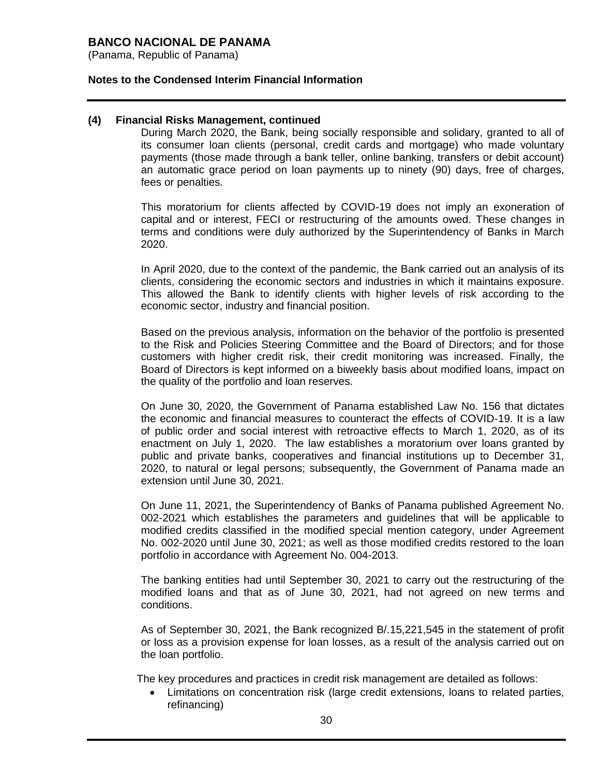(Panama, Republic of Panama)

#### **Notes to the Condensed Interim Financial Information**

#### **(4) Financial Risks Management, continued**

During March 2020, the Bank, being socially responsible and solidary, granted to all of its consumer loan clients (personal, credit cards and mortgage) who made voluntary payments (those made through a bank teller, online banking, transfers or debit account) an automatic grace period on loan payments up to ninety (90) days, free of charges, fees or penalties.

This moratorium for clients affected by COVID-19 does not imply an exoneration of capital and or interest, FECI or restructuring of the amounts owed. These changes in terms and conditions were duly authorized by the Superintendency of Banks in March 2020.

In April 2020, due to the context of the pandemic, the Bank carried out an analysis of its clients, considering the economic sectors and industries in which it maintains exposure. This allowed the Bank to identify clients with higher levels of risk according to the economic sector, industry and financial position.

Based on the previous analysis, information on the behavior of the portfolio is presented to the Risk and Policies Steering Committee and the Board of Directors; and for those customers with higher credit risk, their credit monitoring was increased. Finally, the Board of Directors is kept informed on a biweekly basis about modified loans, impact on the quality of the portfolio and loan reserves.

On June 30, 2020, the Government of Panama established Law No. 156 that dictates the economic and financial measures to counteract the effects of COVID-19. It is a law of public order and social interest with retroactive effects to March 1, 2020, as of its enactment on July 1, 2020. The law establishes a moratorium over loans granted by public and private banks, cooperatives and financial institutions up to December 31, 2020, to natural or legal persons; subsequently, the Government of Panama made an extension until June 30, 2021.

On June 11, 2021, the Superintendency of Banks of Panama published Agreement No. 002-2021 which establishes the parameters and guidelines that will be applicable to modified credits classified in the modified special mention category, under Agreement No. 002-2020 until June 30, 2021; as well as those modified credits restored to the loan portfolio in accordance with Agreement No. 004-2013.

The banking entities had until September 30, 2021 to carry out the restructuring of the modified loans and that as of June 30, 2021, had not agreed on new terms and conditions.

As of September 30, 2021, the Bank recognized B/.15,221,545 in the statement of profit or loss as a provision expense for loan losses, as a result of the analysis carried out on the loan portfolio.

The key procedures and practices in credit risk management are detailed as follows:

 Limitations on concentration risk (large credit extensions, loans to related parties, refinancing)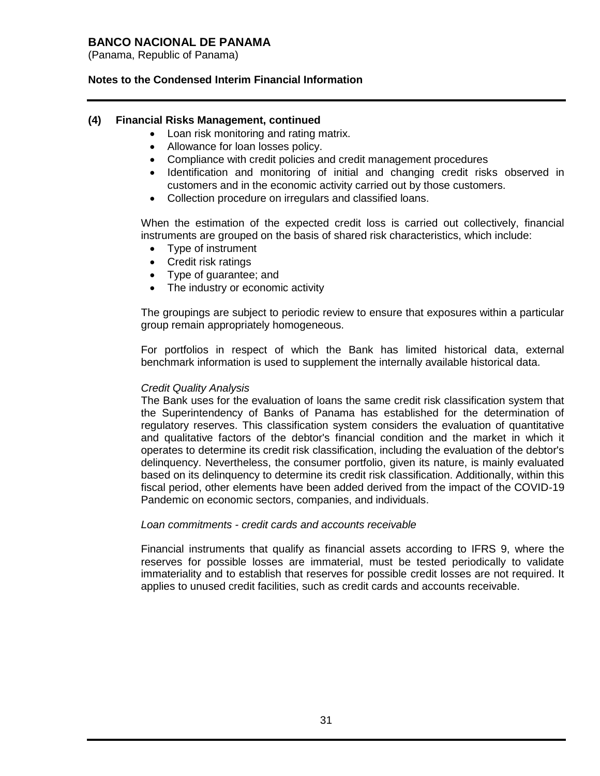(Panama, Republic of Panama)

### **Notes to the Condensed Interim Financial Information**

#### **(4) Financial Risks Management, continued**

- Loan risk monitoring and rating matrix.
- Allowance for loan losses policy.
- Compliance with credit policies and credit management procedures
- Identification and monitoring of initial and changing credit risks observed in customers and in the economic activity carried out by those customers.
- Collection procedure on irregulars and classified loans.

When the estimation of the expected credit loss is carried out collectively, financial instruments are grouped on the basis of shared risk characteristics, which include:

- Type of instrument
- Credit risk ratings
- Type of guarantee; and
- The industry or economic activity

The groupings are subject to periodic review to ensure that exposures within a particular group remain appropriately homogeneous.

For portfolios in respect of which the Bank has limited historical data, external benchmark information is used to supplement the internally available historical data.

#### *Credit Quality Analysis*

The Bank uses for the evaluation of loans the same credit risk classification system that the Superintendency of Banks of Panama has established for the determination of regulatory reserves. This classification system considers the evaluation of quantitative and qualitative factors of the debtor's financial condition and the market in which it operates to determine its credit risk classification, including the evaluation of the debtor's delinquency. Nevertheless, the consumer portfolio, given its nature, is mainly evaluated based on its delinquency to determine its credit risk classification. Additionally, within this fiscal period, other elements have been added derived from the impact of the COVID-19 Pandemic on economic sectors, companies, and individuals.

#### *Loan commitments - credit cards and accounts receivable*

Financial instruments that qualify as financial assets according to IFRS 9, where the reserves for possible losses are immaterial, must be tested periodically to validate immateriality and to establish that reserves for possible credit losses are not required. It applies to unused credit facilities, such as credit cards and accounts receivable.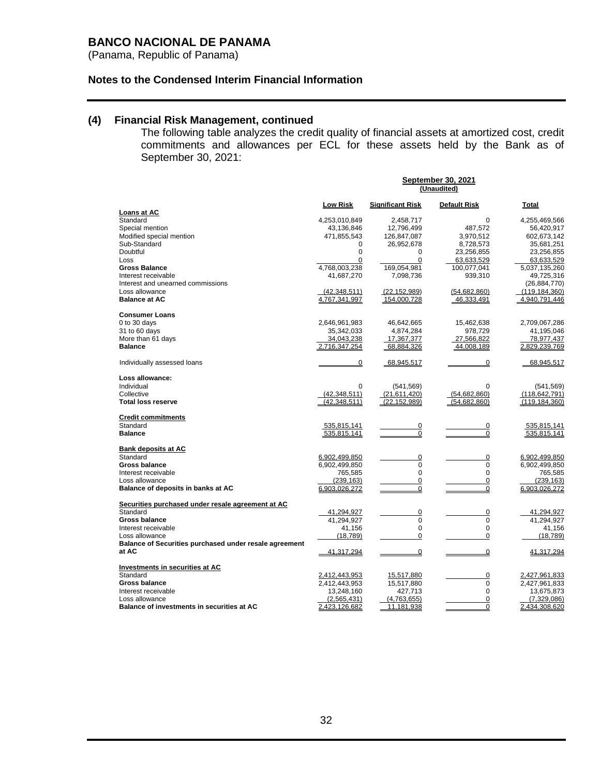(Panama, Republic of Panama)

### **Notes to the Condensed Interim Financial Information**

## **(4) Financial Risk Management, continued**

The following table analyzes the credit quality of financial assets at amortized cost, credit commitments and allowances per ECL for these assets held by the Bank as of September 30, 2021:

|                                                                 | <b>September 30, 2021</b><br>(Unaudited) |                         |                         |                           |  |
|-----------------------------------------------------------------|------------------------------------------|-------------------------|-------------------------|---------------------------|--|
|                                                                 | Low Risk                                 | <b>Significant Risk</b> | <b>Default Risk</b>     | Total                     |  |
| Loans at AC<br>Standard                                         | 4,253,010,849                            | 2,458,717               | $\Omega$                | 4,255,469,566             |  |
| Special mention                                                 | 43,136,846                               | 12,796,499              | 487,572                 | 56,420,917                |  |
| Modified special mention                                        | 471,855,543                              | 126,847,087             | 3,970,512               | 602,673,142               |  |
| Sub-Standard                                                    | 0                                        | 26,952,678              | 8,728,573               | 35,681,251                |  |
| Doubtful                                                        | 0                                        | $\Omega$                | 23,256,855              | 23,256,855                |  |
| Loss                                                            | $\mathbf 0$                              | $\Omega$                | 63,633,529              | 63,633,529                |  |
| <b>Gross Balance</b>                                            | 4,768,003,238                            | 169,054,981             | 100,077,041             | 5,037,135,260             |  |
| Interest receivable                                             | 41,687,270                               | 7,098,736               | 939,310                 | 49,725,316                |  |
| Interest and unearned commissions                               |                                          |                         |                         | (26, 884, 770)            |  |
| Loss allowance                                                  | (42, 348, 511)                           | (22.152.989)            | (54,682,860)            | (119, 184, 360)           |  |
| <b>Balance at AC</b>                                            | 4.767.341.997                            | 154,000,728             | 46,333,491              | 4.940.791.446             |  |
| <b>Consumer Loans</b>                                           |                                          |                         |                         |                           |  |
| 0 to 30 days                                                    | 2,646,961,983                            | 46,642,665              | 15,462,638              | 2,709,067,286             |  |
| 31 to 60 days                                                   | 35,342,033                               | 4,874,284               | 978,729                 | 41,195,046                |  |
| More than 61 days                                               | 34,043,238                               | 17,367,377              | 27,566,822              | 78,977,437                |  |
| <b>Balance</b>                                                  | 2,716,347,254                            | 68,884,326              | 44.008.189              | 2.829.239.769             |  |
| Individually assessed loans                                     | $\overline{0}$                           | 68,945,517              | 0                       | 68.945.517                |  |
| Loss allowance:                                                 |                                          |                         |                         |                           |  |
| Individual                                                      | $\mathbf 0$                              | (541, 569)              | $\Omega$                | (541, 569)                |  |
| Collective                                                      | (42.348.511)                             | (21.611.420)            | (54.682.860)            | (118, 642, 791)           |  |
| <b>Total loss reserve</b>                                       | (42.348.511)                             | (22, 152, 989)          | (54.682.860)            | (119.184.360)             |  |
| <b>Credit commitments</b>                                       |                                          |                         |                         |                           |  |
| Standard                                                        | 535,815,141                              | $\overline{0}$          | $\overline{0}$          | 535,815,141               |  |
| <b>Balance</b>                                                  | 535.815.141                              | 0                       | 0                       | 535.815.141               |  |
| <b>Bank deposits at AC</b>                                      |                                          |                         |                         |                           |  |
| Standard                                                        | 6,902,499,850                            | 0                       | 0                       | 6,902,499,850             |  |
| <b>Gross balance</b>                                            | 6,902,499,850                            | $\mathbf 0$             | $\Omega$                | 6,902,499,850             |  |
| Interest receivable                                             | 765,585                                  | $\mathbf 0$             | $\mathbf 0$             | 765,585                   |  |
| Loss allowance                                                  | (239, 163)                               | 0<br>0                  | $\mathbf 0$<br>0        | (239, 163)                |  |
| Balance of deposits in banks at AC                              | 6.903.026.272                            |                         |                         | 6.903.026.272             |  |
| Securities purchased under resale agreement at AC               |                                          |                         |                         |                           |  |
| Standard                                                        | 41,294,927                               | $\mathbf 0$             | $\mathbf 0$             | 41,294,927                |  |
| <b>Gross balance</b>                                            | 41,294,927                               | $\mathbf 0$             | $\Omega$                | 41,294,927                |  |
| Interest receivable                                             | 41,156                                   | $\mathbf 0$             | 0                       | 41,156                    |  |
| Loss allowance                                                  | (18, 789)                                | $\mathbf 0$             | $\mathbf 0$             | (18, 789)                 |  |
| Balance of Securities purchased under resale agreement<br>at AC | 41,317,294                               | $\overline{0}$          | $\mathbf 0$             | 41,317,294                |  |
|                                                                 |                                          |                         |                         |                           |  |
| Investments in securities at AC                                 |                                          |                         |                         |                           |  |
| Standard                                                        | 2,412,443,953                            | 15,517,880              | 0                       | 2,427,961,833             |  |
| <b>Gross balance</b>                                            | 2,412,443,953                            | 15,517,880              | $\mathbf 0$<br>$\Omega$ | 2,427,961,833             |  |
| Interest receivable<br>Loss allowance                           | 13,248,160<br>(2,565,431)                | 427,713<br>(4,763,655)  | 0                       | 13,675,873<br>(7,329,086) |  |
| <b>Balance of investments in securities at AC</b>               | 2,423,126,682                            | 11,181,938              | $\mathbf 0$             | 2,434,308,620             |  |
|                                                                 |                                          |                         |                         |                           |  |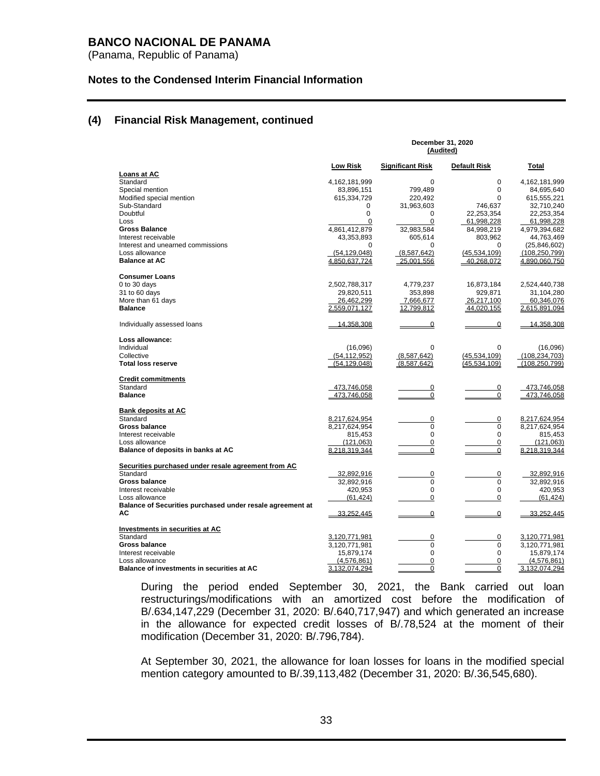(Panama, Republic of Panama)

#### **Notes to the Condensed Interim Financial Information**

#### **(4) Financial Risk Management, continued**

|                                                           | December 31, 2020<br>(Audited) |                         |                     |                 |  |
|-----------------------------------------------------------|--------------------------------|-------------------------|---------------------|-----------------|--|
|                                                           | Low Risk                       | <b>Significant Risk</b> | <b>Default Risk</b> | Total           |  |
| Loans at AC<br>Standard                                   | 4,162,181,999                  | 0                       | 0                   | 4,162,181,999   |  |
| Special mention                                           | 83,896,151                     | 799.489                 | $\Omega$            | 84,695,640      |  |
| Modified special mention                                  | 615,334,729                    | 220,492                 | $\Omega$            | 615,555,221     |  |
| Sub-Standard                                              | 0                              | 31,963,603              | 746,637             | 32,710,240      |  |
| Doubtful                                                  | 0                              | 0                       | 22,253,354          | 22,253,354      |  |
| Loss                                                      | $\Omega$                       | $\Omega$                | 61,998,228          | 61,998,228      |  |
| <b>Gross Balance</b>                                      | 4,861,412,879                  | 32,983,584              | 84,998,219          | 4,979,394,682   |  |
| Interest receivable                                       | 43,353,893                     | 605,614                 | 803,962             | 44,763,469      |  |
| Interest and unearned commissions                         | $\Omega$                       | $\Omega$                | $\Omega$            | (25, 846, 602)  |  |
| Loss allowance                                            | (54, 129, 048)                 | (8,587,642)             | (45, 534, 109)      | (108, 250, 799) |  |
| <b>Balance at AC</b>                                      | 4,850,637,724                  | 25,001,556              | 40,268,072          | 4,890,060,750   |  |
| <b>Consumer Loans</b>                                     |                                |                         |                     |                 |  |
| 0 to 30 days                                              | 2,502,788,317                  | 4,779,237               | 16,873,184          | 2,524,440,738   |  |
| 31 to 60 days                                             | 29,820,511                     | 353,898                 | 929,871             | 31,104,280      |  |
| More than 61 days                                         | 26,462,299                     | 7,666,677               | 26,217,100          | 60,346,076      |  |
| <b>Balance</b>                                            | 2,559,071,127                  | 12,799,812              | 44,020,155          | 2,615,891,094   |  |
| Individually assessed loans                               | 14,358,308                     | $\overline{0}$          | $\overline{0}$      | 14,358,308      |  |
| Loss allowance:                                           |                                |                         |                     |                 |  |
| Individual                                                | (16,096)                       | $\mathbf 0$             | $\Omega$            | (16,096)        |  |
| Collective                                                | (54.112.952)                   | (8,587,642)             | (45, 534, 109)      | (108.234.703)   |  |
| <b>Total loss reserve</b>                                 | (54.129.048)                   | (8.587.642)             | (45,534,109)        | (108, 250, 799) |  |
| <b>Credit commitments</b>                                 |                                |                         |                     |                 |  |
| Standard                                                  | 473,746,058                    | $\mathbf 0$             | $\pmb{0}$           | 473,746,058     |  |
| <b>Balance</b>                                            | 473.746.058                    | $\mathbf 0$             | $\mathbf 0$         | 473.746.058     |  |
| <b>Bank deposits at AC</b>                                |                                |                         |                     |                 |  |
| Standard                                                  | 8,217,624,954                  | $\mathbf 0$             | 0                   | 8,217,624,954   |  |
| Gross balance                                             | 8,217,624,954                  | 0                       | 0                   | 8,217,624,954   |  |
| Interest receivable                                       | 815,453                        | $\Omega$                | $\Omega$            | 815,453         |  |
| Loss allowance                                            | (121, 063)                     | 0                       | $\mathbf 0$         | (121,063)       |  |
| Balance of deposits in banks at AC                        | 8,218,319,344                  | $\overline{0}$          | $\mathbf 0$         | 8,218,319,344   |  |
| Securities purchased under resale agreement from AC       |                                |                         |                     |                 |  |
| Standard                                                  | 32,892,916                     | 0                       | 0                   | 32,892,916      |  |
| <b>Gross balance</b>                                      | 32,892,916                     | $\mathbf 0$             | $\mathbf 0$         | 32,892,916      |  |
| Interest receivable                                       | 420,953                        | $\Omega$                | $\Omega$            | 420,953         |  |
| Loss allowance                                            | (61, 424)                      | $\Omega$                | $\mathbf 0$         | (61.424)        |  |
| Balance of Securities purchased under resale agreement at |                                |                         |                     |                 |  |
| АC                                                        | 33,252,445                     | $\overline{0}$          | 0                   | 33,252,445      |  |
| <b>Investments in securities at AC</b>                    |                                |                         |                     |                 |  |
| Standard                                                  | 3,120,771,981                  | 0                       | 0                   | 3,120,771,981   |  |
| <b>Gross balance</b>                                      | 3,120,771,981                  | 0                       | 0                   | 3,120,771,981   |  |
| Interest receivable                                       | 15,879,174                     | $\Omega$                | 0                   | 15,879,174      |  |
| Loss allowance                                            | (4,576,861)                    | $\overline{0}$          | $\overline{0}$      | (4,576,861)     |  |
| Balance of investments in securities at AC                | 3,132,074,294                  | $\Omega$                | 0                   | 3,132,074,294   |  |

During the period ended September 30, 2021, the Bank carried out loan restructurings/modifications with an amortized cost before the modification of B/.634,147,229 (December 31, 2020: B/.640,717,947) and which generated an increase in the allowance for expected credit losses of B/.78,524 at the moment of their modification (December 31, 2020: B/.796,784).

At September 30, 2021, the allowance for loan losses for loans in the modified special mention category amounted to B/.39,113,482 (December 31, 2020: B/.36,545,680).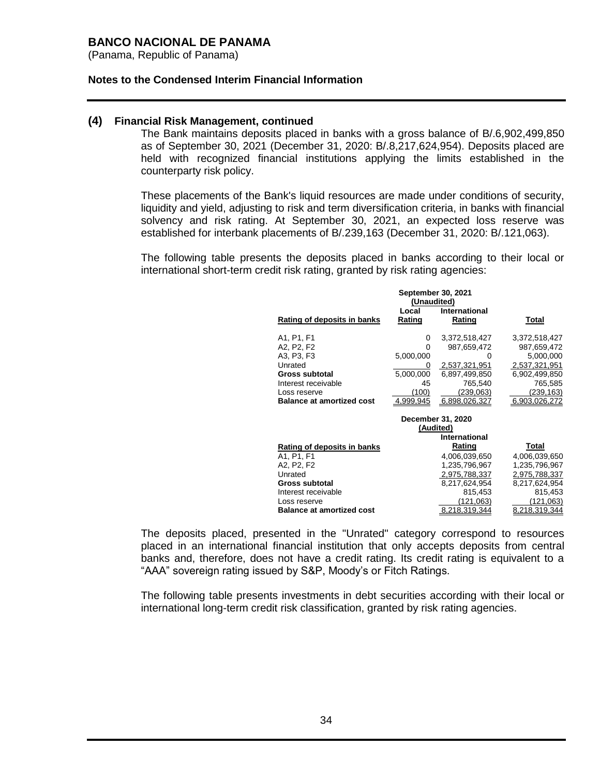(Panama, Republic of Panama)

#### **Notes to the Condensed Interim Financial Information**

### **(4) Financial Risk Management, continued**

The Bank maintains deposits placed in banks with a gross balance of B/.6,902,499,850 as of September 30, 2021 (December 31, 2020: B/.8,217,624,954). Deposits placed are held with recognized financial institutions applying the limits established in the counterparty risk policy.

These placements of the Bank's liquid resources are made under conditions of security, liquidity and yield, adjusting to risk and term diversification criteria, in banks with financial solvency and risk rating. At September 30, 2021, an expected loss reserve was established for interbank placements of B/.239,163 (December 31, 2020: B/.121,063).

The following table presents the deposits placed in banks according to their local or international short-term credit risk rating, granted by risk rating agencies:

| <b>September 30, 2021</b><br>(Unaudited)         |           |               |               |  |  |
|--------------------------------------------------|-----------|---------------|---------------|--|--|
|                                                  | Local     | International |               |  |  |
| Rating of deposits in banks                      | Rating    | Rating        | Total         |  |  |
| A <sub>1</sub> , P <sub>1</sub> , F <sub>1</sub> | 0         | 3,372,518,427 | 3,372,518,427 |  |  |
| A2, P2, F2                                       | O         | 987,659,472   | 987,659,472   |  |  |
| A3, P3, F3                                       | 5,000,000 | O             | 5,000,000     |  |  |
| Unrated                                          | 0         | 2,537,321,951 | 2,537,321,951 |  |  |
| Gross subtotal                                   | 5,000,000 | 6,897,499,850 | 6,902,499,850 |  |  |
| Interest receivable                              | 45        | 765,540       | 765,585       |  |  |
| Loss reserve                                     | (100)     | (239,063)     | (239, 163)    |  |  |
| <b>Balance at amortized cost</b>                 | 4,999,945 | 6,898,026,327 | 6,903,026,272 |  |  |
| December 31, 2020                                |           |               |               |  |  |
|                                                  | (Audited) |               |               |  |  |
|                                                  |           | International |               |  |  |
| Rating of deposits in banks                      |           | Rating        | Total         |  |  |
| A <sub>1</sub> , P <sub>1</sub> , F <sub>1</sub> |           | 4,006,039,650 | 4,006,039,650 |  |  |
| A2. P2. F2                                       |           | 1,235,796,967 | 1,235,796,967 |  |  |
| Unrated                                          |           | 2,975,788,337 | 2,975,788,337 |  |  |
| Gross subtotal                                   |           | 8,217,624,954 | 8,217,624,954 |  |  |
| Interest receivable                              |           | 815,453       | 815,453       |  |  |
| Loss reserve                                     |           | (121,063)     | (121,063)     |  |  |
| <b>Balance at amortized cost</b>                 |           | 8.218.319.344 | 8.218.319.344 |  |  |

The deposits placed, presented in the "Unrated" category correspond to resources placed in an international financial institution that only accepts deposits from central banks and, therefore, does not have a credit rating. Its credit rating is equivalent to a "AAA" sovereign rating issued by S&P, Moody's or Fitch Ratings.

The following table presents investments in debt securities according with their local or international long-term credit risk classification, granted by risk rating agencies.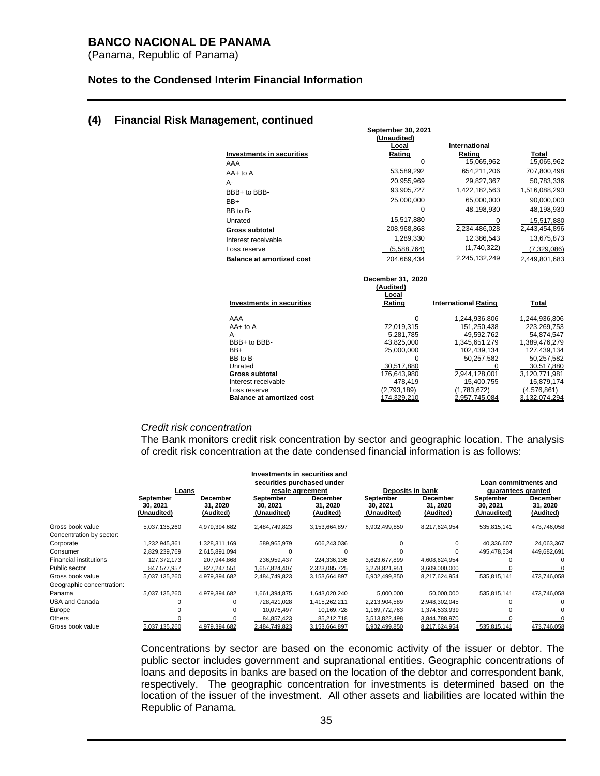(Panama, Republic of Panama)

#### **Notes to the Condensed Interim Financial Information**

### **(4) Financial Risk Management, continued**

| (Unaudited)                      |                   |                             |               |  |  |  |  |
|----------------------------------|-------------------|-----------------------------|---------------|--|--|--|--|
|                                  | Local             | International               |               |  |  |  |  |
| <b>Investments in securities</b> | Rating            | Rating                      | <b>Total</b>  |  |  |  |  |
| AAA                              | $\Omega$          | 15,065,962                  | 15,065,962    |  |  |  |  |
| $AA+$ to $A$                     | 53,589,292        | 654,211,206                 | 707,800,498   |  |  |  |  |
| А-                               | 20,955,969        | 29,827,367                  | 50,783,336    |  |  |  |  |
| BBB+ to BBB-                     | 93,905,727        | 1,422,182,563               | 1,516,088,290 |  |  |  |  |
| BB+                              | 25,000,000        | 65,000,000                  | 90,000,000    |  |  |  |  |
| BB to B-                         | $\Omega$          | 48,198,930                  | 48,198,930    |  |  |  |  |
| Unrated                          | 15,517,880        | 0                           | 15,517,880    |  |  |  |  |
| <b>Gross subtotal</b>            | 208,968,868       | 2,234,486,028               | 2,443,454,896 |  |  |  |  |
| Interest receivable              | 1,289,330         | 12,386,543                  | 13,675,873    |  |  |  |  |
| Loss reserve                     | (5,588,764)       | (1,740,322)                 | (7,329,086)   |  |  |  |  |
| <b>Balance at amortized cost</b> | 204.669.434       | 2,245,132,249               | 2.449.801.683 |  |  |  |  |
|                                  | December 31, 2020 |                             |               |  |  |  |  |
| (Audited)                        |                   |                             |               |  |  |  |  |
| Local                            |                   |                             |               |  |  |  |  |
| <b>Investments in securities</b> | Rating            | <b>International Rating</b> | <b>Total</b>  |  |  |  |  |
| AAA                              | 0                 | 1,244,936,806               | 1,244,936,806 |  |  |  |  |
| $AA+$ to $A$                     | 72.019.315        | 151,250,438                 | 223,269,753   |  |  |  |  |
| А-                               | 5,281,785         | 49,592,762                  | 54,874,547    |  |  |  |  |
| BBB+ to BBB-                     | 43.825.000        | 1,345,651,279               | 1,389,476,279 |  |  |  |  |
| BB+                              | 25,000,000        | 102,439,134                 | 127,439,134   |  |  |  |  |
| BB to B-                         | o                 | 50,257,582                  | 50,257,582    |  |  |  |  |
| Unrated                          | 30,517,880        | $\Omega$                    | 30,517,880    |  |  |  |  |
| <b>Gross subtotal</b>            | 176,643,980       | 2,944,128,001               | 3,120,771,981 |  |  |  |  |
| Interest receivable              | 478,419           | 15,400,755                  | 15,879,174    |  |  |  |  |
| Loss reserve                     | (2,793,189)       | (1,783,672)                 | (4,576,861)   |  |  |  |  |
| <b>Balance at amortized cost</b> | 174,329,210       | 2,957,745,084               | 3,132,074,294 |  |  |  |  |

 **September 30, 2021**

#### *Credit risk concentration*

The Bank monitors credit risk concentration by sector and geographic location. The analysis of credit risk concentration at the date condensed financial information is as follows:

|                               | THRESHMENTS IN SECUTIVES AND<br>securities purchased under<br>Deposits in bank |                                          |                                                         |                                   |                                      |                                          | Loan commitments and                                      |                                          |
|-------------------------------|--------------------------------------------------------------------------------|------------------------------------------|---------------------------------------------------------|-----------------------------------|--------------------------------------|------------------------------------------|-----------------------------------------------------------|------------------------------------------|
|                               | Loans<br>September<br>30, 2021<br>(Unaudited)                                  | <b>December</b><br>31, 2020<br>(Audited) | resale agreement<br>September<br>30.2021<br>(Unaudited) | December<br>31, 2020<br>(Audited) | September<br>30, 2021<br>(Unaudited) | <b>December</b><br>31, 2020<br>(Audited) | quarantees granted<br>September<br>30.2021<br>(Unaudited) | <b>December</b><br>31, 2020<br>(Audited) |
| Gross book value              | 5,037,135,260                                                                  | 4,979,394,682                            | 2,484,749,823                                           | 3,153,664,897                     | 6,902,499,850                        | 8,217,624,954                            | 535,815,141                                               | 473,746,058                              |
| Concentration by sector:      |                                                                                |                                          |                                                         |                                   |                                      |                                          |                                                           |                                          |
| Corporate                     | 1.232.945.361                                                                  | 1,328,311,169                            | 589,965,979                                             | 606,243,036                       |                                      | ŋ                                        | 40.336.607                                                | 24,063,367                               |
| Consumer                      | 2,829,239,769                                                                  | 2,615,891,094                            |                                                         |                                   |                                      | ŋ                                        | 495,478,534                                               | 449,682,691                              |
| <b>Financial institutions</b> | 127,372,173                                                                    | 207,944,868                              | 236,959,437                                             | 224,336,136                       | 3,623,677,899                        | 4,608,624,954                            |                                                           |                                          |
| Public sector                 | 847,577,957                                                                    | 827,247,551                              | 1,657,824,407                                           | 2,323,085,725                     | 3,278,821,951                        | 3,609,000,000                            |                                                           |                                          |
| Gross book value              | 5,037,135,260                                                                  | 4,979,394,682                            | 2,484,749,823                                           | 3.153.664.897                     | 6,902,499,850                        | 8,217,624,954                            | 535,815,141                                               | 473,746,058                              |
| Geographic concentration:     |                                                                                |                                          |                                                         |                                   |                                      |                                          |                                                           |                                          |
| Panama                        | 5,037,135,260                                                                  | 4,979,394,682                            | 1,661,394,875                                           | 1,643,020,240                     | 5,000,000                            | 50.000.000                               | 535.815.141                                               | 473,746,058                              |
| USA and Canada                |                                                                                |                                          | 728,421,028                                             | 1,415,262,211                     | 2,213,904,589                        | 2,948,302,045                            |                                                           |                                          |
| Europe                        |                                                                                |                                          | 10,076,497                                              | 10,169,728                        | 1,169,772,763                        | 1,374,533,939                            |                                                           |                                          |
| Others                        |                                                                                |                                          | 84,857,423                                              | 85,212,718                        | 3,513,822,498                        | 3,844,788,970                            |                                                           |                                          |
| Gross book value              | 5.037.135.260                                                                  | 4.979.394.682                            | 2.484.749.823                                           | 3.153.664.897                     | 6.902.499.850                        | 8.217.624.954                            | 535.815.141                                               | 473,746,058                              |

**Investments in securities and**

Concentrations by sector are based on the economic activity of the issuer or debtor. The public sector includes government and supranational entities. Geographic concentrations of loans and deposits in banks are based on the location of the debtor and correspondent bank, respectively. The geographic concentration for investments is determined based on the location of the issuer of the investment. All other assets and liabilities are located within the Republic of Panama.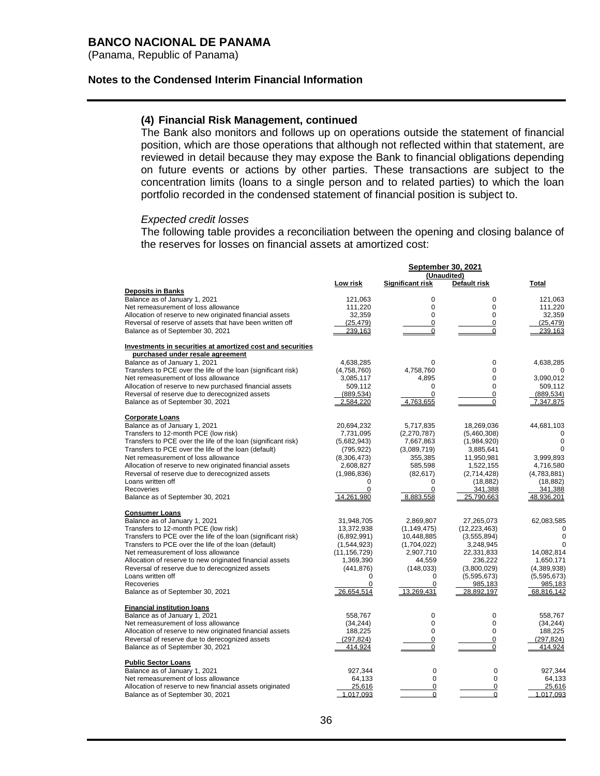(Panama, Republic of Panama)

#### **Notes to the Condensed Interim Financial Information**

#### **(4) Financial Risk Management, continued**

The Bank also monitors and follows up on operations outside the statement of financial position, which are those operations that although not reflected within that statement, are reviewed in detail because they may expose the Bank to financial obligations depending on future events or actions by other parties. These transactions are subject to the concentration limits (loans to a single person and to related parties) to which the loan portfolio recorded in the condensed statement of financial position is subject to.

#### *Expected credit losses*

The following table provides a reconciliation between the opening and closing balance of the reserves for losses on financial assets at amortized cost:

|                                                                                                 | September 30, 2021      |                  |                          |                          |  |
|-------------------------------------------------------------------------------------------------|-------------------------|------------------|--------------------------|--------------------------|--|
|                                                                                                 |                         |                  | (Unaudited)              |                          |  |
|                                                                                                 | Low risk                | Significant risk | Default risk             | <b>Total</b>             |  |
| <b>Deposits in Banks</b>                                                                        |                         |                  |                          |                          |  |
| Balance as of January 1, 2021                                                                   | 121,063                 | 0                | $\pmb{0}$                | 121,063                  |  |
| Net remeasurement of loss allowance                                                             | 111,220                 | 0                | $\mathbf 0$              | 111,220                  |  |
| Allocation of reserve to new originated financial assets                                        | 32,359                  | $\Omega$         | $\Omega$                 | 32,359                   |  |
| Reversal of reserve of assets that have been written off                                        | (25.479)                | 0                | $\Omega$                 | (25.479)                 |  |
| Balance as of September 30, 2021                                                                | 239.163                 | 0                | 0                        | 239.163                  |  |
| Investments in securities at amortized cost and securities                                      |                         |                  |                          |                          |  |
| purchased under resale agreement                                                                |                         |                  |                          |                          |  |
| Balance as of January 1, 2021                                                                   | 4,638,285               | $\Omega$         | 0                        | 4,638,285                |  |
| Transfers to PCE over the life of the loan (significant risk)                                   | (4,758,760)             | 4,758,760        | $\Omega$                 |                          |  |
| Net remeasurement of loss allowance                                                             | 3,085,117               | 4,895            | 0                        | 3,090,012                |  |
| Allocation of reserve to new purchased financial assets                                         | 509,112                 | $\Omega$         | $\mathbf 0$              | 509,112                  |  |
| Reversal of reserve due to derecognized assets                                                  | (889, 534)              | 0                | $\mathbf 0$              | (889, 534)               |  |
| Balance as of September 30, 2021                                                                | 2,584,220               | 4,763,655        | 0                        | 7,347,875                |  |
|                                                                                                 |                         |                  |                          |                          |  |
| <b>Corporate Loans</b>                                                                          |                         |                  |                          |                          |  |
| Balance as of January 1, 2021                                                                   | 20.694.232              | 5,717,835        | 18.269.036               | 44,681,103               |  |
| Transfers to 12-month PCE (low risk)                                                            | 7,731,095               | (2, 270, 787)    | (5,460,308)              | $\mathbf 0$              |  |
| Transfers to PCE over the life of the loan (significant risk)                                   | (5,682,943)             | 7,667,863        | (1,984,920)              | $\Omega$                 |  |
| Transfers to PCE over the life of the loan (default)                                            | (795, 922)              | (3,089,719)      | 3,885,641                |                          |  |
| Net remeasurement of loss allowance<br>Allocation of reserve to new originated financial assets | (8,306,473)             | 355,385          | 11,950,981               | 3,999,893                |  |
|                                                                                                 | 2,608,827               | 585,598          | 1,522,155                | 4,716,580                |  |
| Reversal of reserve due to derecognized assets<br>Loans written off                             | (1,986,836)<br>$\Omega$ | (82, 617)<br>0   | (2,714,428)<br>(18, 882) | (4,783,881)<br>(18, 882) |  |
| <b>Recoveries</b>                                                                               | $\Omega$                | 0                | 341,388                  | 341,388                  |  |
| Balance as of September 30, 2021                                                                | 14.261.980              | 8.883.558        | 25.790.663               | 48.936.201               |  |
|                                                                                                 |                         |                  |                          |                          |  |
| <b>Consumer Loans</b>                                                                           |                         |                  |                          |                          |  |
| Balance as of January 1, 2021                                                                   | 31,948,705              | 2,869,807        | 27,265,073               | 62,083,585               |  |
| Transfers to 12-month PCE (low risk)                                                            | 13,372,938              | (1, 149, 475)    | (12, 223, 463)           | 0                        |  |
| Transfers to PCE over the life of the loan (significant risk)                                   | (6,892,991)             | 10,448,885       | (3,555,894)              | $\Omega$                 |  |
| Transfers to PCE over the life of the loan (default)                                            | (1,544,923)             | (1,704,022)      | 3,248,945                | $\Omega$                 |  |
| Net remeasurement of loss allowance                                                             | (11, 156, 729)          | 2,907,710        | 22,331,833               | 14,082,814               |  |
| Allocation of reserve to new originated financial assets                                        | 1,369,390               | 44,559           | 236,222                  | 1,650,171                |  |
| Reversal of reserve due to derecognized assets                                                  | (441, 876)              | (148, 033)       | (3,800,029)              | (4,389,938)              |  |
| Loans written off                                                                               | 0<br>0                  | 0                | (5,595,673)              | (5,595,673)              |  |
| <b>Recoveries</b><br>Balance as of September 30, 2021                                           | 26.654.514              | 0<br>13.269.431  | 985,183<br>28,892,197    | 985,183<br>68.816.142    |  |
|                                                                                                 |                         |                  |                          |                          |  |
| <b>Financial institution loans</b>                                                              |                         |                  |                          |                          |  |
| Balance as of January 1, 2021                                                                   | 558,767                 | 0                | $\mathbf 0$              | 558,767                  |  |
| Net remeasurement of loss allowance                                                             | (34, 244)               | 0                | $\pmb{0}$                | (34, 244)                |  |
| Allocation of reserve to new originated financial assets                                        | 188,225                 | 0                | $\mathbf 0$              | 188,225                  |  |
| Reversal of reserve due to derecognized assets                                                  | (297, 824)              | 0                | 0                        | (297, 824)               |  |
| Balance as of September 30, 2021                                                                | 414.924                 | 0                | $\Omega$                 | 414,924                  |  |
| <b>Public Sector Loans</b>                                                                      |                         |                  |                          |                          |  |
| Balance as of January 1, 2021                                                                   | 927,344                 | 0                | $\mathbf 0$              | 927,344                  |  |
| Net remeasurement of loss allowance                                                             | 64,133                  | 0                | $\mathbf 0$              | 64,133                   |  |
| Allocation of reserve to new financial assets originated                                        | 25,616                  | 0                | 0                        | 25,616                   |  |
| Balance as of September 30, 2021                                                                | 1,017,093               | 0                | $\mathbf 0$              | 1,017,093                |  |
|                                                                                                 |                         |                  |                          |                          |  |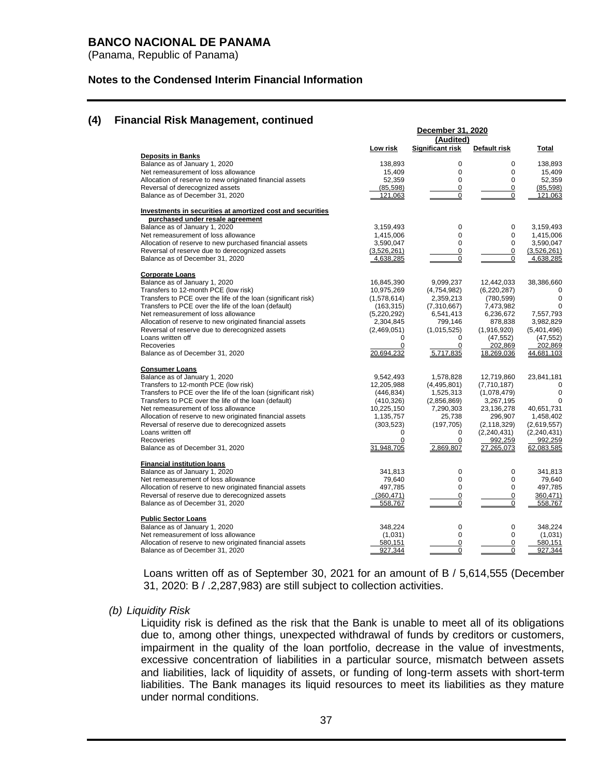(Panama, Republic of Panama)

### **Notes to the Condensed Interim Financial Information**

### **(4) Financial Risk Management, continued**

|                                                               | December 31, 2020      |                  |                       |                       |
|---------------------------------------------------------------|------------------------|------------------|-----------------------|-----------------------|
|                                                               |                        | (Audited)        |                       |                       |
| <b>Deposits in Banks</b>                                      | Low risk               | Significant risk | Default risk          | Total                 |
| Balance as of January 1, 2020                                 | 138,893                | 0                | 0                     | 138,893               |
| Net remeasurement of loss allowance                           | 15,409                 | $\mathbf 0$      | $\mathbf 0$           | 15,409                |
| Allocation of reserve to new originated financial assets      | 52,359                 | $\Omega$         | $\Omega$              | 52,359                |
| Reversal of derecognized assets                               | (85, 598)              | $\mathbf 0$      | 0                     | (85, 598)             |
| Balance as of December 31, 2020                               | 121.063                | $\mathbf 0$      | 0                     | 121.063               |
| Investments in securities at amortized cost and securities    |                        |                  |                       |                       |
| purchased under resale agreement                              |                        |                  |                       |                       |
| Balance as of January 1, 2020                                 | 3,159,493              | $\mathbf 0$      | 0                     | 3,159,493             |
| Net remeasurement of loss allowance                           | 1,415,006              | $\Omega$         | 0                     | 1,415,006             |
| Allocation of reserve to new purchased financial assets       | 3,590,047              | $\mathbf 0$      | $\mathbf 0$           | 3,590,047             |
| Reversal of reserve due to derecognized assets                | (3,526,261)            | 0                | 0                     | (3,526,261)           |
| Balance as of December 31, 2020                               | 4,638,285              | $\mathbf 0$      | $\mathbf 0$           | 4,638,285             |
| <b>Corporate Loans</b>                                        |                        |                  |                       |                       |
| Balance as of January 1, 2020                                 | 16,845,390             | 9,099,237        | 12,442,033            | 38,386,660            |
| Transfers to 12-month PCE (low risk)                          | 10,975,269             | (4,754,982)      | (6, 220, 287)         | 0                     |
| Transfers to PCE over the life of the loan (significant risk) | (1,578,614)            | 2,359,213        | (780, 599)            | $\pmb{0}$             |
| Transfers to PCE over the life of the loan (default)          | (163, 315)             | (7,310,667)      | 7,473,982             | 0                     |
| Net remeasurement of loss allowance                           | (5,220,292)            | 6,541,413        | 6,236,672             | 7,557,793             |
| Allocation of reserve to new originated financial assets      | 2,304,845              | 799,146          | 878,838               | 3,982,829             |
| Reversal of reserve due to derecognized assets                | (2,469,051)            | (1,015,525)      | (1,916,920)           | (5,401,496)           |
| Loans written off                                             | $\Omega$               | 0                | (47, 552)             | (47, 552)             |
| Recoveries<br>Balance as of December 31, 2020                 | $\Omega$<br>20,694,232 | 0<br>5,717,835   | 202,869<br>18,269,036 | 202,869<br>44,681,103 |
| <b>Consumer Loans</b>                                         |                        |                  |                       |                       |
| Balance as of January 1, 2020                                 | 9,542,493              | 1,578,828        | 12,719,860            | 23,841,181            |
| Transfers to 12-month PCE (low risk)                          | 12,205,988             | (4,495,801)      | (7,710,187)           | 0                     |
| Transfers to PCE over the life of the loan (significant risk) | (446, 834)             | 1,525,313        | (1,078,479)           | $\pmb{0}$             |
| Transfers to PCE over the life of the loan (default)          | (410, 326)             | (2,856,869)      | 3,267,195             | $\Omega$              |
| Net remeasurement of loss allowance                           | 10,225,150             | 7,290,303        | 23,136,278            | 40,651,731            |
| Allocation of reserve to new originated financial assets      | 1,135,757              | 25,738           | 296,907               | 1,458,402             |
| Reversal of reserve due to derecognized assets                | (303, 523)             | (197, 705)       | (2, 118, 329)         | (2,619,557)           |
| Loans written off                                             | 0                      | 0                | (2, 240, 431)         | (2, 240, 431)         |
| Recoveries                                                    | $\mathbf 0$            | 0                | 992,259               | 992,259               |
| Balance as of December 31, 2020                               | 31.948.705             | 2.869.807        | 27,265,073            | 62,083,585            |
| <b>Financial institution loans</b>                            |                        |                  |                       |                       |
| Balance as of January 1, 2020                                 | 341,813                | 0                | 0                     | 341,813               |
| Net remeasurement of loss allowance                           | 79,640                 | $\mathbf 0$      | 0                     | 79,640                |
| Allocation of reserve to new originated financial assets      | 497,785                | $\Omega$         | 0                     | 497,785               |
| Reversal of reserve due to derecognized assets                | (360, 471)             | $\mathbf 0$      | $\mathbf 0$           | 360,471)              |
| Balance as of December 31, 2020                               | 558.767                | $\overline{0}$   | $\overline{0}$        | 558,767               |
| <b>Public Sector Loans</b>                                    |                        |                  |                       |                       |
| Balance as of January 1, 2020                                 | 348.224                | 0                | 0                     | 348.224               |
| Net remeasurement of loss allowance                           | (1,031)                | $\mathbf 0$      | 0                     | (1,031)               |
| Allocation of reserve to new originated financial assets      | 580,151                | 0                | $\overline{0}$        | 580,151               |
| Balance as of December 31, 2020                               | 927,344                | $\mathbf 0$      | 0                     | 927,344               |

Loans written off as of September 30, 2021 for an amount of B / 5,614,555 (December 31, 2020: B / .2,287,983) are still subject to collection activities.

#### *(b) Liquidity Risk*

Liquidity risk is defined as the risk that the Bank is unable to meet all of its obligations due to, among other things, unexpected withdrawal of funds by creditors or customers, impairment in the quality of the loan portfolio, decrease in the value of investments, excessive concentration of liabilities in a particular source, mismatch between assets and liabilities, lack of liquidity of assets, or funding of long-term assets with short-term liabilities. The Bank manages its liquid resources to meet its liabilities as they mature under normal conditions.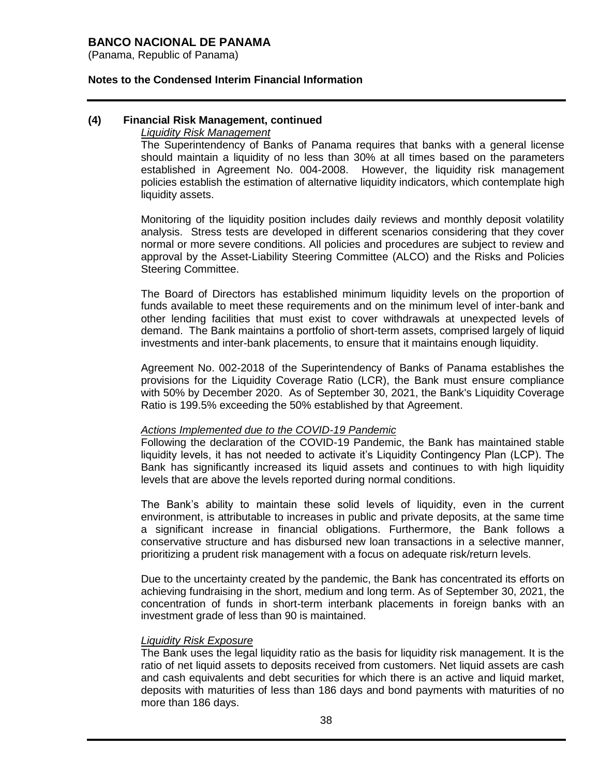(Panama, Republic of Panama)

### **Notes to the Condensed Interim Financial Information**

### **(4) Financial Risk Management, continued**

#### *Liquidity Risk Management*

The Superintendency of Banks of Panama requires that banks with a general license should maintain a liquidity of no less than 30% at all times based on the parameters established in Agreement No. 004-2008. However, the liquidity risk management policies establish the estimation of alternative liquidity indicators, which contemplate high liquidity assets.

Monitoring of the liquidity position includes daily reviews and monthly deposit volatility analysis. Stress tests are developed in different scenarios considering that they cover normal or more severe conditions. All policies and procedures are subject to review and approval by the Asset-Liability Steering Committee (ALCO) and the Risks and Policies Steering Committee.

The Board of Directors has established minimum liquidity levels on the proportion of funds available to meet these requirements and on the minimum level of inter-bank and other lending facilities that must exist to cover withdrawals at unexpected levels of demand. The Bank maintains a portfolio of short-term assets, comprised largely of liquid investments and inter-bank placements, to ensure that it maintains enough liquidity.

Agreement No. 002-2018 of the Superintendency of Banks of Panama establishes the provisions for the Liquidity Coverage Ratio (LCR), the Bank must ensure compliance with 50% by December 2020. As of September 30, 2021, the Bank's Liquidity Coverage Ratio is 199.5% exceeding the 50% established by that Agreement.

### *Actions Implemented due to the COVID-19 Pandemic*

Following the declaration of the COVID-19 Pandemic, the Bank has maintained stable liquidity levels, it has not needed to activate it's Liquidity Contingency Plan (LCP). The Bank has significantly increased its liquid assets and continues to with high liquidity levels that are above the levels reported during normal conditions.

The Bank's ability to maintain these solid levels of liquidity, even in the current environment, is attributable to increases in public and private deposits, at the same time a significant increase in financial obligations. Furthermore, the Bank follows a conservative structure and has disbursed new loan transactions in a selective manner, prioritizing a prudent risk management with a focus on adequate risk/return levels.

Due to the uncertainty created by the pandemic, the Bank has concentrated its efforts on achieving fundraising in the short, medium and long term. As of September 30, 2021, the concentration of funds in short-term interbank placements in foreign banks with an investment grade of less than 90 is maintained.

### *Liquidity Risk Exposure*

The Bank uses the legal liquidity ratio as the basis for liquidity risk management. It is the ratio of net liquid assets to deposits received from customers. Net liquid assets are cash and cash equivalents and debt securities for which there is an active and liquid market, deposits with maturities of less than 186 days and bond payments with maturities of no more than 186 days.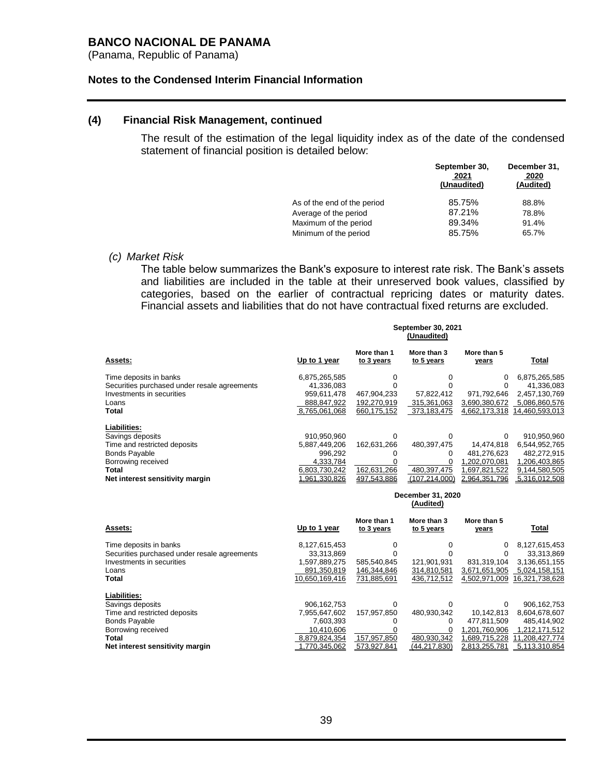(Panama, Republic of Panama)

#### **Notes to the Condensed Interim Financial Information**

#### **(4) Financial Risk Management, continued**

The result of the estimation of the legal liquidity index as of the date of the condensed statement of financial position is detailed below:

|                             | September 30,<br>2021<br>(Unaudited) | December 31,<br>2020<br>(Audited) |
|-----------------------------|--------------------------------------|-----------------------------------|
| As of the end of the period | 85.75%                               | 88.8%                             |
| Average of the period       | 87.21%                               | 78.8%                             |
| Maximum of the period       | 89.34%                               | 91.4%                             |
| Minimum of the period       | 85.75%                               | 65.7%                             |
|                             |                                      |                                   |

#### *(c) Market Risk*

The table below summarizes the Bank's exposure to interest rate risk. The Bank's assets and liabilities are included in the table at their unreserved book values, classified by categories, based on the earlier of contractual repricing dates or maturity dates. Financial assets and liabilities that do not have contractual fixed returns are excluded.

|                                              |               |                           | September 30, 2021<br>(Unaudited) |                      |                |
|----------------------------------------------|---------------|---------------------------|-----------------------------------|----------------------|----------------|
| <b>Assets:</b>                               | Up to 1 year  | More than 1<br>to 3 years | More than 3<br>to 5 years         | More than 5<br>years | Total          |
| Time deposits in banks                       | 6,875,265,585 |                           |                                   | 0                    | 6,875,265,585  |
| Securities purchased under resale agreements | 41,336,083    |                           |                                   |                      | 41,336,083     |
| Investments in securities                    | 959,611,478   | 467,904,233               | 57,822,412                        | 971,792,646          | 2,457,130,769  |
| Loans                                        | 888,847,922   | 192,270,919               | 315,361,063                       | 3,690,380,672        | 5,086,860,576  |
| Total                                        | 8,765,061,068 | 660,175,152               | 373,183,475                       | 4,662,173,318        | 14,460,593,013 |
| Liabilities:                                 |               |                           |                                   |                      |                |
| Savings deposits                             | 910,950,960   | $\Omega$                  | 0                                 | 0                    | 910,950,960    |
| Time and restricted deposits                 | 5,887,449,206 | 162.631.266               | 480,397,475                       | 14,474,818           | 6,544,952,765  |
| <b>Bonds Payable</b>                         | 996,292       | Ω                         | 0                                 | 481.276.623          | 482,272,915    |
| Borrowing received                           | 4,333,784     |                           |                                   | .202,070,081         | 1,206,403,865  |
| Total                                        | 6,803,730,242 | 162,631,266               | 480,397,475                       | 1,697,821,522        | 9,144,580,505  |
| Net interest sensitivity margin              | 1.961.330.826 | 497.543.886               | (107.214.000)                     | 2.964.351.796        | 5.316.012.508  |

#### **December 31, 2020 (Audited)**

| Assets:                                      | Up to 1 year   | More than 1<br>to 3 years | More than 3<br>to 5 years | More than 5<br>years | <b>Total</b>   |
|----------------------------------------------|----------------|---------------------------|---------------------------|----------------------|----------------|
| Time deposits in banks                       | 8,127,615,453  |                           |                           | 0                    | 8,127,615,453  |
| Securities purchased under resale agreements | 33,313,869     |                           |                           | 0                    | 33,313,869     |
| Investments in securities                    | 1,597,889,275  | 585,540,845               | 121.901.931               | 831.319.104          | 3,136,651,155  |
| Loans                                        | 891,350,819    | 146,344,846               | 314,810,581               | 3,671,651,905        | 5,024,158,151  |
| Total                                        | 10.650.169.416 | 731.885.691               | 436,712,512               | 4,502,971,009        | 16,321,738,628 |
| Liabilities:                                 |                |                           |                           |                      |                |
| Savings deposits                             | 906.162.753    |                           |                           | $\Omega$             | 906,162,753    |
| Time and restricted deposits                 | 7,955,647,602  | 157,957,850               | 480,930,342               | 10,142,813           | 8,604,678,607  |
| <b>Bonds Payable</b>                         | 7.603.393      |                           | 0                         | 477.811.509          | 485.414.902    |
| Borrowing received                           | 10.410.606     |                           |                           | 1.201.760.906        | 1,212,171,512  |
| Total                                        | 8,879,824,354  | 157,957,850               | 480,930,342               | 1,689,715,228        | 11.208.427.774 |
| Net interest sensitivity margin              | 770.345.062    | 573.927.841               | (44.217.830)              | 2.813.255.781        | 5.113.310.854  |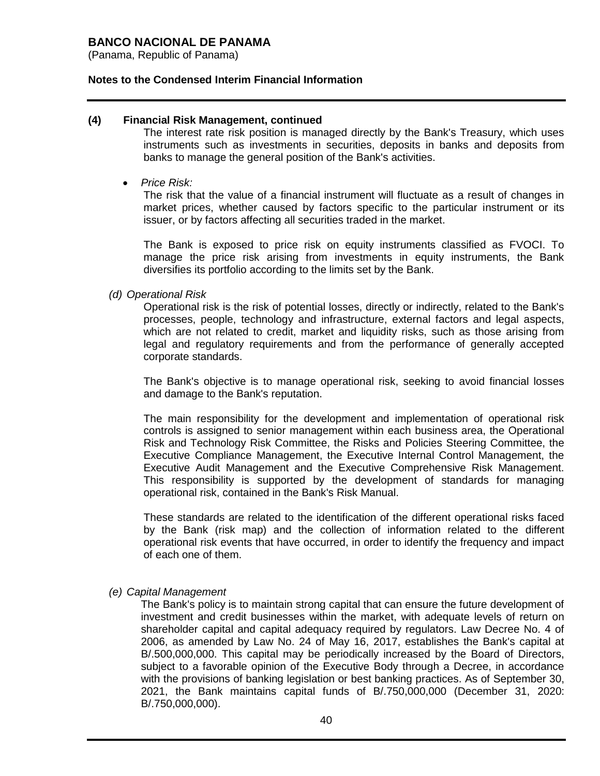(Panama, Republic of Panama)

### **Notes to the Condensed Interim Financial Information**

### **(4) Financial Risk Management, continued**

The interest rate risk position is managed directly by the Bank's Treasury, which uses instruments such as investments in securities, deposits in banks and deposits from banks to manage the general position of the Bank's activities.

*Price Risk:* 

The risk that the value of a financial instrument will fluctuate as a result of changes in market prices, whether caused by factors specific to the particular instrument or its issuer, or by factors affecting all securities traded in the market.

The Bank is exposed to price risk on equity instruments classified as FVOCI. To manage the price risk arising from investments in equity instruments, the Bank diversifies its portfolio according to the limits set by the Bank.

*(d) Operational Risk*

Operational risk is the risk of potential losses, directly or indirectly, related to the Bank's processes, people, technology and infrastructure, external factors and legal aspects, which are not related to credit, market and liquidity risks, such as those arising from legal and regulatory requirements and from the performance of generally accepted corporate standards.

The Bank's objective is to manage operational risk, seeking to avoid financial losses and damage to the Bank's reputation.

The main responsibility for the development and implementation of operational risk controls is assigned to senior management within each business area, the Operational Risk and Technology Risk Committee, the Risks and Policies Steering Committee, the Executive Compliance Management, the Executive Internal Control Management, the Executive Audit Management and the Executive Comprehensive Risk Management. This responsibility is supported by the development of standards for managing operational risk, contained in the Bank's Risk Manual.

These standards are related to the identification of the different operational risks faced by the Bank (risk map) and the collection of information related to the different operational risk events that have occurred, in order to identify the frequency and impact of each one of them.

*(e) Capital Management*

The Bank's policy is to maintain strong capital that can ensure the future development of investment and credit businesses within the market, with adequate levels of return on shareholder capital and capital adequacy required by regulators. Law Decree No. 4 of 2006, as amended by Law No. 24 of May 16, 2017, establishes the Bank's capital at B/.500,000,000. This capital may be periodically increased by the Board of Directors, subject to a favorable opinion of the Executive Body through a Decree, in accordance with the provisions of banking legislation or best banking practices. As of September 30, 2021, the Bank maintains capital funds of B/.750,000,000 (December 31, 2020: B/.750,000,000).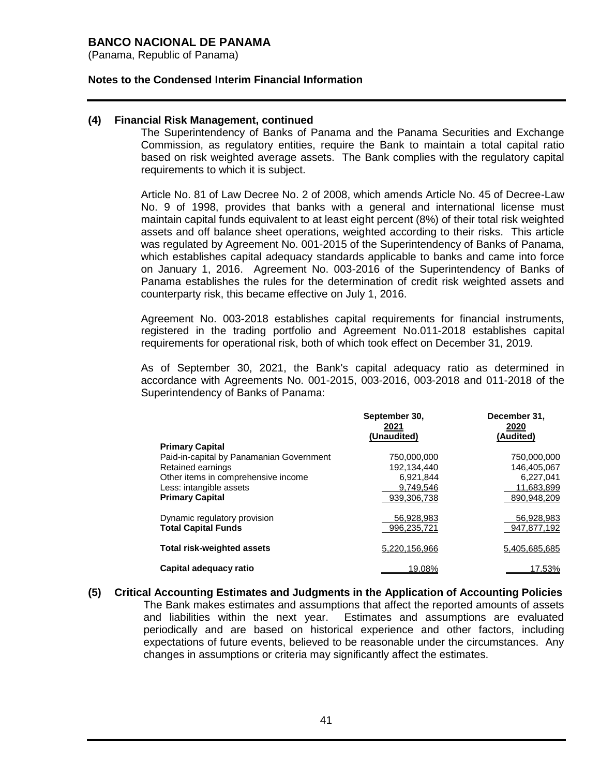(Panama, Republic of Panama)

### **Notes to the Condensed Interim Financial Information**

### **(4) Financial Risk Management, continued**

The Superintendency of Banks of Panama and the Panama Securities and Exchange Commission, as regulatory entities, require the Bank to maintain a total capital ratio based on risk weighted average assets. The Bank complies with the regulatory capital requirements to which it is subject.

Article No. 81 of Law Decree No. 2 of 2008, which amends Article No. 45 of Decree-Law No. 9 of 1998, provides that banks with a general and international license must maintain capital funds equivalent to at least eight percent (8%) of their total risk weighted assets and off balance sheet operations, weighted according to their risks. This article was regulated by Agreement No. 001-2015 of the Superintendency of Banks of Panama, which establishes capital adequacy standards applicable to banks and came into force on January 1, 2016. Agreement No. 003-2016 of the Superintendency of Banks of Panama establishes the rules for the determination of credit risk weighted assets and counterparty risk, this became effective on July 1, 2016.

Agreement No. 003-2018 establishes capital requirements for financial instruments, registered in the trading portfolio and Agreement No.011-2018 establishes capital requirements for operational risk, both of which took effect on December 31, 2019.

As of September 30, 2021, the Bank's capital adequacy ratio as determined in accordance with Agreements No. 001-2015, 003-2016, 003-2018 and 011-2018 of the Superintendency of Banks of Panama:

|                                          | September 30,<br>2021 | December 31,<br>2020 |
|------------------------------------------|-----------------------|----------------------|
|                                          | (Unaudited)           | (Audited)            |
| <b>Primary Capital</b>                   |                       |                      |
| Paid-in-capital by Panamanian Government | 750.000.000           | 750.000.000          |
| Retained earnings                        | 192,134,440           | 146,405,067          |
| Other items in comprehensive income      | 6,921,844             | 6,227,041            |
| Less: intangible assets                  | 9.749.546             | 11,683,899           |
| <b>Primary Capital</b>                   | 939.306.738           | 890,948,209          |
| Dynamic regulatory provision             | 56,928,983            | 56,928,983           |
| <b>Total Capital Funds</b>               | 996.235.721           | 947,877,192          |
| <b>Total risk-weighted assets</b>        | 5,220,156,966         | 5,405,685,685        |
| Capital adequacy ratio                   | 19.08%                | 17.53%               |

**(5) Critical Accounting Estimates and Judgments in the Application of Accounting Policies** The Bank makes estimates and assumptions that affect the reported amounts of assets and liabilities within the next year. Estimates and assumptions are evaluated periodically and are based on historical experience and other factors, including expectations of future events, believed to be reasonable under the circumstances. Any changes in assumptions or criteria may significantly affect the estimates.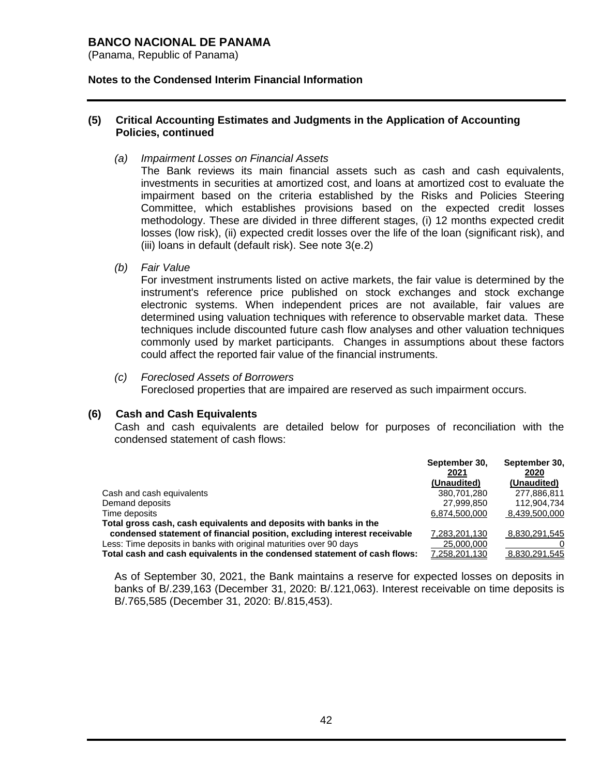(Panama, Republic of Panama)

### **Notes to the Condensed Interim Financial Information**

### **(5) Critical Accounting Estimates and Judgments in the Application of Accounting Policies, continued**

*(a) Impairment Losses on Financial Assets*

The Bank reviews its main financial assets such as cash and cash equivalents, investments in securities at amortized cost, and loans at amortized cost to evaluate the impairment based on the criteria established by the Risks and Policies Steering Committee, which establishes provisions based on the expected credit losses methodology. These are divided in three different stages, (i) 12 months expected credit losses (low risk), (ii) expected credit losses over the life of the loan (significant risk), and (iii) loans in default (default risk). See note 3(e.2)

*(b) Fair Value*

For investment instruments listed on active markets, the fair value is determined by the instrument's reference price published on stock exchanges and stock exchange electronic systems. When independent prices are not available, fair values are determined using valuation techniques with reference to observable market data. These techniques include discounted future cash flow analyses and other valuation techniques commonly used by market participants. Changes in assumptions about these factors could affect the reported fair value of the financial instruments.

*(c) Foreclosed Assets of Borrowers*

Foreclosed properties that are impaired are reserved as such impairment occurs.

### **(6) Cash and Cash Equivalents**

Cash and cash equivalents are detailed below for purposes of reconciliation with the condensed statement of cash flows:

|                                                                           | September 30, | September 30, |
|---------------------------------------------------------------------------|---------------|---------------|
|                                                                           | 2021          | 2020          |
|                                                                           | (Unaudited)   | (Unaudited)   |
| Cash and cash equivalents                                                 | 380.701.280   | 277.886.811   |
| Demand deposits                                                           | 27.999.850    | 112.904.734   |
| Time deposits                                                             | 6,874,500,000 | 8,439,500,000 |
| Total gross cash, cash equivalents and deposits with banks in the         |               |               |
| condensed statement of financial position, excluding interest receivable  | 7.283.201.130 | 8,830,291,545 |
| Less: Time deposits in banks with original maturities over 90 days        | 25,000,000    |               |
| Total cash and cash equivalents in the condensed statement of cash flows: | 7,258,201,130 | 8.830.291.545 |

As of September 30, 2021, the Bank maintains a reserve for expected losses on deposits in banks of B/.239,163 (December 31, 2020: B/.121,063). Interest receivable on time deposits is B/.765,585 (December 31, 2020: B/.815,453).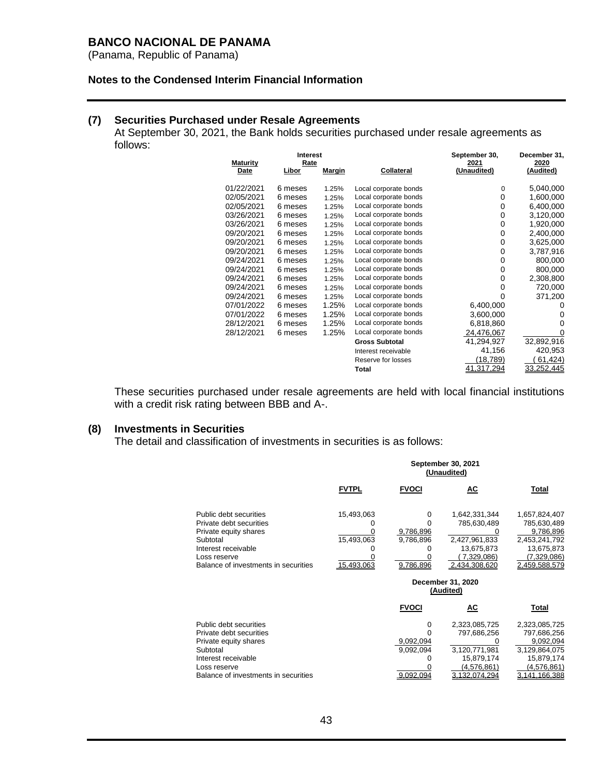(Panama, Republic of Panama)

### **Notes to the Condensed Interim Financial Information**

## **(7) Securities Purchased under Resale Agreements**

At September 30, 2021, the Bank holds securities purchased under resale agreements as follows: **Interest September 30, December 31,**

|         |                                        |                                                     |                                                                                                                       | December 31,                                        |
|---------|----------------------------------------|-----------------------------------------------------|-----------------------------------------------------------------------------------------------------------------------|-----------------------------------------------------|
|         |                                        |                                                     |                                                                                                                       | 2020                                                |
|         |                                        |                                                     |                                                                                                                       | (Audited)                                           |
|         |                                        |                                                     |                                                                                                                       |                                                     |
|         |                                        |                                                     |                                                                                                                       | 5,040,000                                           |
|         |                                        |                                                     |                                                                                                                       | 1,600,000                                           |
|         | 1.25%                                  |                                                     |                                                                                                                       | 6,400,000                                           |
| 6 meses | 1.25%                                  |                                                     | 0                                                                                                                     | 3,120,000                                           |
| 6 meses | 1.25%                                  | Local corporate bonds                               | 0                                                                                                                     | 1,920,000                                           |
| 6 meses | 1.25%                                  | Local corporate bonds                               | 0                                                                                                                     | 2,400,000                                           |
| 6 meses | 1.25%                                  | Local corporate bonds                               | 0                                                                                                                     | 3,625,000                                           |
| 6 meses | 1.25%                                  | Local corporate bonds                               | 0                                                                                                                     | 3,787,916                                           |
| 6 meses | 1.25%                                  | Local corporate bonds                               | 0                                                                                                                     | 800,000                                             |
| 6 meses | 1.25%                                  | Local corporate bonds                               | 0                                                                                                                     | 800,000                                             |
| 6 meses | 1.25%                                  | Local corporate bonds                               | 0                                                                                                                     | 2,308,800                                           |
| 6 meses | 1.25%                                  | Local corporate bonds                               | 0                                                                                                                     | 720,000                                             |
| 6 meses | 1.25%                                  | Local corporate bonds                               | 0                                                                                                                     | 371,200                                             |
| 6 meses | 1.25%                                  | Local corporate bonds                               | 6,400,000                                                                                                             | 0                                                   |
| 6 meses | 1.25%                                  | Local corporate bonds                               | 3,600,000                                                                                                             | 0                                                   |
| 6 meses | 1.25%                                  | Local corporate bonds                               | 6,818,860                                                                                                             | 0                                                   |
| 6 meses | 1.25%                                  | Local corporate bonds                               | 24,476,067                                                                                                            | 0                                                   |
|         |                                        | <b>Gross Subtotal</b>                               | 41,294,927                                                                                                            | 32,892,916                                          |
|         |                                        | Interest receivable                                 | 41,156                                                                                                                | 420,953                                             |
|         |                                        | Reserve for losses                                  | (18,789)                                                                                                              | 61,424)                                             |
|         |                                        | <b>Total</b>                                        | 41,317,294                                                                                                            | <u>33,252,445</u>                                   |
|         | Libor<br>6 meses<br>6 meses<br>6 meses | interest<br>Rate<br><u>Margin</u><br>1.25%<br>1.25% | <u>Collateral</u><br>Local corporate bonds<br>Local corporate bonds<br>Local corporate bonds<br>Local corporate bonds | september 30,<br>2021<br>(Unaudited)<br>0<br>0<br>0 |

These securities purchased under resale agreements are held with local financial institutions with a credit risk rating between BBB and A-.

# **(8) Investments in Securities**

The detail and classification of investments in securities is as follows:

|                                                                                                                                                                       | September 30, 2021<br>(Unaudited)      |                                          |                                                                                                     |                                                                                                          |  |
|-----------------------------------------------------------------------------------------------------------------------------------------------------------------------|----------------------------------------|------------------------------------------|-----------------------------------------------------------------------------------------------------|----------------------------------------------------------------------------------------------------------|--|
|                                                                                                                                                                       | <b>FVTPL</b>                           | <b>FVOCI</b>                             | <u>AC</u>                                                                                           | Total                                                                                                    |  |
| Public debt securities<br>Private debt securities<br>Private equity shares<br>Subtotal<br>Interest receivable<br>Loss reserve<br>Balance of investments in securities | 15,493,063<br>15,493,063<br>15.493.063 | 0<br>9,786,896<br>9,786,896<br>9.786.896 | 1,642,331,344<br>785,630,489<br>2,427,961,833<br>13,675,873<br>7,329,086)<br>2.434.308.620          | 1,657,824,407<br>785,630,489<br>9,786,896<br>2,453,241,792<br>13,675,873<br>(7,329,086)<br>2.459.588.579 |  |
|                                                                                                                                                                       |                                        |                                          | December 31, 2020<br>(Audited)                                                                      |                                                                                                          |  |
|                                                                                                                                                                       |                                        | <b>FVOCI</b>                             | АC                                                                                                  | Total                                                                                                    |  |
| Public debt securities<br>Private debt securities<br>Private equity shares<br>Subtotal<br>Interest receivable<br>Loss reserve<br>Balance of investments in securities |                                        | 0<br>9,092,094<br>9,092,094<br>9.092.094 | 2,323,085,725<br>797,686,256<br>3,120,771,981<br>15,879,174<br>(4.576, 861)<br><u>3.132.074.294</u> | 2,323,085,725<br>797,686,256<br>9,092,094<br>3,129,864,075<br>15,879,174<br>(4,576,861)<br>3.141.166.388 |  |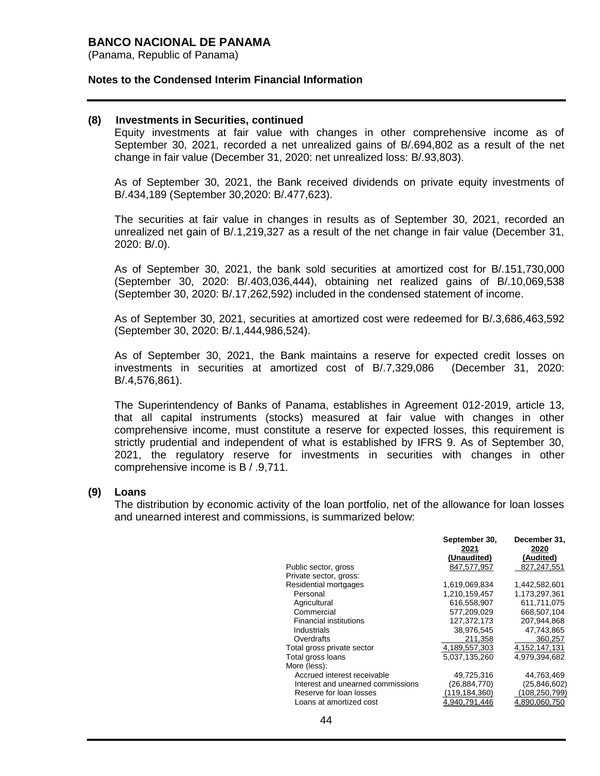(Panama, Republic of Panama)

#### **Notes to the Condensed Interim Financial Information**

#### **(8) Investments in Securities, continued**

Equity investments at fair value with changes in other comprehensive income as of September 30, 2021, recorded a net unrealized gains of B/.694,802 as a result of the net change in fair value (December 31, 2020: net unrealized loss: B/.93,803).

As of September 30, 2021, the Bank received dividends on private equity investments of B/.434,189 (September 30,2020: B/.477,623).

The securities at fair value in changes in results as of September 30, 2021, recorded an unrealized net gain of B/.1,219,327 as a result of the net change in fair value (December 31, 2020: B/.0).

As of September 30, 2021, the bank sold securities at amortized cost for B/.151,730,000 (September 30, 2020: B/.403,036,444), obtaining net realized gains of B/.10,069,538 (September 30, 2020: B/.17,262,592) included in the condensed statement of income.

As of September 30, 2021, securities at amortized cost were redeemed for B/.3,686,463,592 (September 30, 2020: B/.1,444,986,524).

As of September 30, 2021, the Bank maintains a reserve for expected credit losses on investments in securities at amortized cost of B/.7,329,086 (December 31, 2020: B/.4,576,861).

The Superintendency of Banks of Panama, establishes in Agreement 012-2019, article 13, that all capital instruments (stocks) measured at fair value with changes in other comprehensive income, must constitute a reserve for expected losses, this requirement is strictly prudential and independent of what is established by IFRS 9. As of September 30, 2021, the regulatory reserve for investments in securities with changes in other comprehensive income is B / .9,711.

### **(9) Loans**

The distribution by economic activity of the loan portfolio, net of the allowance for loan losses and unearned interest and commissions, is summarized below:

|                                   | September 30,<br>2021 | December 31,<br>2020 |
|-----------------------------------|-----------------------|----------------------|
|                                   | (Unaudited)           | (Audited)            |
| Public sector, gross              | 847,577,957           | 827,247,551          |
| Private sector, gross:            |                       |                      |
| Residential mortgages             | 1,619,069,834         | 1,442,582,601        |
| Personal                          | 1.210.159.457         | 1.173.297.361        |
| Agricultural                      | 616.558.907           | 611.711.075          |
| Commercial                        | 577,209,029           | 668,507,104          |
| <b>Financial institutions</b>     | 127.372.173           | 207.944.868          |
| Industrials                       | 38,976,545            | 47,743,865           |
| Overdrafts                        | 211.358               | 360.257              |
| Total gross private sector        | 4,189,557,303         | 4, 152, 147, 131     |
| Total gross loans                 | 5,037,135,260         | 4.979.394.682        |
| More (less):                      |                       |                      |
| Accrued interest receivable       | 49,725,316            | 44,763,469           |
| Interest and unearned commissions | (26, 884, 770)        | (25, 846, 602)       |
| Reserve for loan losses           | (119, 184, 360)       | (108,250,799)        |
| Loans at amortized cost           | 940,791,446. ا        | 4,890,060,750        |
|                                   |                       |                      |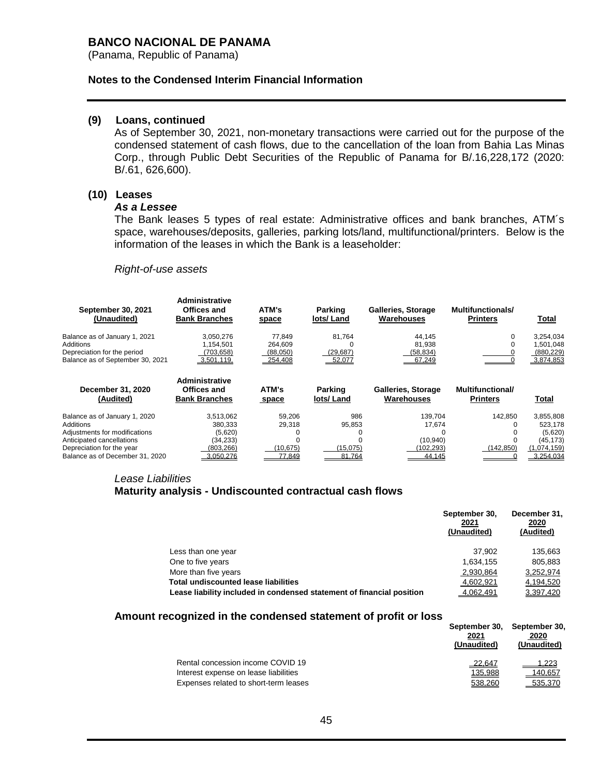(Panama, Republic of Panama)

#### **Notes to the Condensed Interim Financial Information**

### **(9) Loans, continued**

As of September 30, 2021, non-monetary transactions were carried out for the purpose of the condensed statement of cash flows, due to the cancellation of the loan from Bahia Las Minas Corp., through Public Debt Securities of the Republic of Panama for B/.16,228,172 (2020: B/.61, 626,600).

# **(10) Leases**

#### *As a Lessee*

The Bank leases 5 types of real estate: Administrative offices and bank branches, ATM´s space, warehouses/deposits, galleries, parking lots/land, multifunctional/printers. Below is the information of the leases in which the Bank is a leaseholder:

#### *Right-of-use assets*

| September 30, 2021<br>(Unaudited)                                                                                          | Administrative<br>Offices and<br><b>Bank Branches</b>        | ATM's<br>space                           | <b>Parking</b><br>lots/Land   | <b>Galleries, Storage</b><br>Warehouses | Multifunctionals/<br><b>Printers</b>       | Total                                             |
|----------------------------------------------------------------------------------------------------------------------------|--------------------------------------------------------------|------------------------------------------|-------------------------------|-----------------------------------------|--------------------------------------------|---------------------------------------------------|
| Balance as of January 1, 2021<br>Additions<br>Depreciation for the period<br>Balance as of September 30, 2021              | 3,050,276<br>1.154.501<br>(703, 658)<br>3.501.119.           | 77.849<br>264.609<br>(88,050)<br>254,408 | 81,764<br>(29, 687)<br>52,077 | 44,145<br>81.938<br>(58, 834)<br>67,249 | 0                                          | 3,254,034<br>1,501,048<br>(880, 229)<br>3,874,853 |
| December 31, 2020<br>(Audited)                                                                                             | <b>Administrative</b><br>Offices and<br><b>Bank Branches</b> | ATM's<br>space                           | Parking<br>lots/Land          | Galleries, Storage<br>Warehouses        | <b>Multifunctional/</b><br><b>Printers</b> | Total                                             |
| Balance as of January 1, 2020<br>Additions                                                                                 | 3,513,062<br>380.333                                         | 59.206<br>29.318                         | 986<br>95,853                 | 139.704<br>17,674                       | 142.850<br>O                               | 3,855,808<br>523,178                              |
| Adjustments for modifications<br>Anticipated cancellations<br>Depreciation for the year<br>Balance as of December 31, 2020 | (5,620)<br>(34,233)<br>(803,266)<br>3.050.276                | (10, 675)<br>77.849                      | (15,075)<br>81.764            | 0<br>(10, 940)<br>(102, 293)<br>44.145  | (142, 850)                                 | (5,620)<br>(45, 173)<br>(1,074,159)<br>3.254.034  |

# *Lease Liabilities*  **Maturity analysis - Undiscounted contractual cash flows**

|                                                                       | September 30,<br>2021<br>(Unaudited) | December 31,<br>2020<br>(Audited) |
|-----------------------------------------------------------------------|--------------------------------------|-----------------------------------|
| Less than one year                                                    | 37.902                               | 135,663                           |
| One to five years                                                     | 1.634.155                            | 805.883                           |
| More than five years                                                  | 2,930,864                            | 3,252,974                         |
| <b>Total undiscounted lease liabilities</b>                           | 4,602,921                            | 4,194,520                         |
| Lease liability included in condensed statement of financial position | 4.062.491                            | 3.397.420                         |

#### **Amount recognized in the condensed statement of profit or loss**

|                                       | 2021<br>(Unaudited) | September 30, September 30,<br>2020<br>(Unaudited) |
|---------------------------------------|---------------------|----------------------------------------------------|
| Rental concession income COVID 19     | 22,647              | $-1,223$                                           |
| Interest expense on lease liabilities | 135.988             | 140.657                                            |
| Expenses related to short-term leases | 538,260             | 535,370                                            |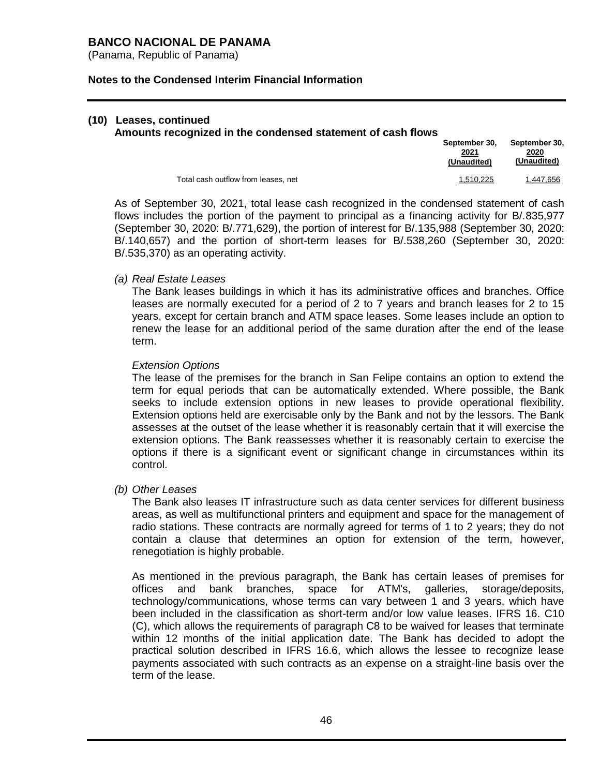(Panama, Republic of Panama)

### **Notes to the Condensed Interim Financial Information**

### **(10) Leases, continued**

#### **Amounts recognized in the condensed statement of cash flows**

|                                     | September 30.<br>2021<br>(Unaudited) | September 30.<br>2020<br>(Unaudited) |
|-------------------------------------|--------------------------------------|--------------------------------------|
| Total cash outflow from leases, net | 1.510.225                            | 1.447.656                            |

As of September 30, 2021, total lease cash recognized in the condensed statement of cash flows includes the portion of the payment to principal as a financing activity for B/.835,977 (September 30, 2020: B/.771,629), the portion of interest for B/.135,988 (September 30, 2020: B/.140,657) and the portion of short-term leases for B/.538,260 (September 30, 2020: B/.535,370) as an operating activity.

### *(a) Real Estate Leases*

The Bank leases buildings in which it has its administrative offices and branches. Office leases are normally executed for a period of 2 to 7 years and branch leases for 2 to 15 years, except for certain branch and ATM space leases. Some leases include an option to renew the lease for an additional period of the same duration after the end of the lease term.

### *Extension Options*

The lease of the premises for the branch in San Felipe contains an option to extend the term for equal periods that can be automatically extended. Where possible, the Bank seeks to include extension options in new leases to provide operational flexibility. Extension options held are exercisable only by the Bank and not by the lessors. The Bank assesses at the outset of the lease whether it is reasonably certain that it will exercise the extension options. The Bank reassesses whether it is reasonably certain to exercise the options if there is a significant event or significant change in circumstances within its control.

### *(b) Other Leases*

The Bank also leases IT infrastructure such as data center services for different business areas, as well as multifunctional printers and equipment and space for the management of radio stations. These contracts are normally agreed for terms of 1 to 2 years; they do not contain a clause that determines an option for extension of the term, however, renegotiation is highly probable.

As mentioned in the previous paragraph, the Bank has certain leases of premises for offices and bank branches, space for ATM's, galleries, storage/deposits, technology/communications, whose terms can vary between 1 and 3 years, which have been included in the classification as short-term and/or low value leases. IFRS 16. C10 (C), which allows the requirements of paragraph C8 to be waived for leases that terminate within 12 months of the initial application date. The Bank has decided to adopt the practical solution described in IFRS 16.6, which allows the lessee to recognize lease payments associated with such contracts as an expense on a straight-line basis over the term of the lease.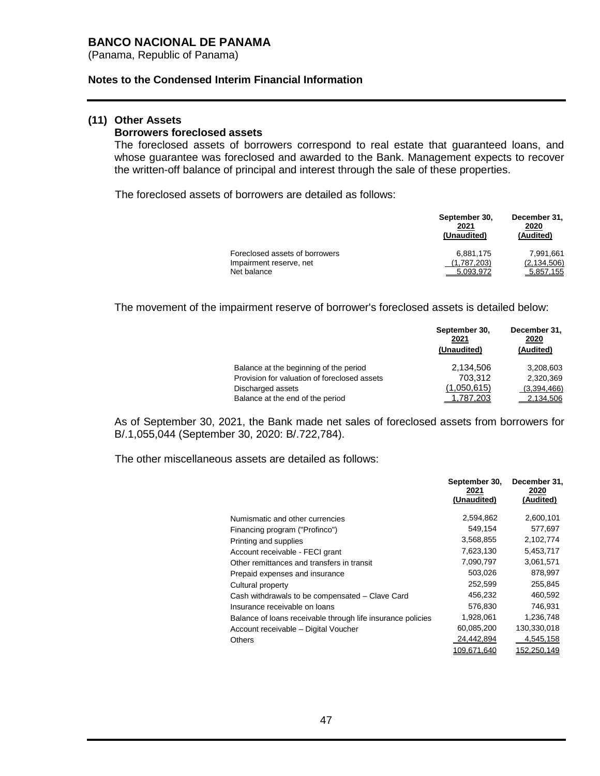(Panama, Republic of Panama)

#### **Notes to the Condensed Interim Financial Information**

### **(11) Other Assets**

#### **Borrowers foreclosed assets**

The foreclosed assets of borrowers correspond to real estate that guaranteed loans, and whose guarantee was foreclosed and awarded to the Bank. Management expects to recover the written-off balance of principal and interest through the sale of these properties.

The foreclosed assets of borrowers are detailed as follows:

|                                | September 30,<br>2021<br>(Unaudited) | December 31,<br>2020<br>(Audited) |
|--------------------------------|--------------------------------------|-----------------------------------|
| Foreclosed assets of borrowers | 6.881.175                            | 7.991.661                         |
| Impairment reserve, net        | (1,787,203)                          | (2, 134, 506)                     |
| Net balance                    | 5.093.972                            | 5.857.155                         |

The movement of the impairment reserve of borrower's foreclosed assets is detailed below:

| Balance at the beginning of the period<br>Provision for valuation of foreclosed assets<br>Discharged assets | September 30,<br>2021<br>(Unaudited) | December 31,<br>2020<br>(Audited) |
|-------------------------------------------------------------------------------------------------------------|--------------------------------------|-----------------------------------|
|                                                                                                             | 2,134,506                            | 3,208,603                         |
|                                                                                                             | 703.312                              | 2.320.369                         |
|                                                                                                             | (1,050,615)                          | (3,394,466)                       |
| Balance at the end of the period                                                                            | 787.203                              | 2.134.506                         |

As of September 30, 2021, the Bank made net sales of foreclosed assets from borrowers for B/.1,055,044 (September 30, 2020: B/.722,784).

The other miscellaneous assets are detailed as follows:

|                                                             | September 30,<br>2021<br>(Unaudited) | December 31,<br>2020<br>(Audited) |
|-------------------------------------------------------------|--------------------------------------|-----------------------------------|
| Numismatic and other currencies                             | 2,594,862                            | 2,600,101                         |
| Financing program ("Profinco")                              | 549,154                              | 577,697                           |
| Printing and supplies                                       | 3,568,855                            | 2,102,774                         |
| Account receivable - FECI grant                             | 7,623,130                            | 5,453,717                         |
| Other remittances and transfers in transit                  | 7,090,797                            | 3,061,571                         |
| Prepaid expenses and insurance                              | 503,026                              | 878,997                           |
| Cultural property                                           | 252,599                              | 255,845                           |
| Cash withdrawals to be compensated - Clave Card             | 456,232                              | 460,592                           |
| Insurance receivable on loans                               | 576,830                              | 746,931                           |
| Balance of loans receivable through life insurance policies | 1,928,061                            | 1,236,748                         |
| Account receivable - Digital Voucher                        | 60,085,200                           | 130,330,018                       |
| <b>Others</b>                                               | 24,442,894                           | 4,545,158                         |
|                                                             | 109,671,640                          | 152,250,149                       |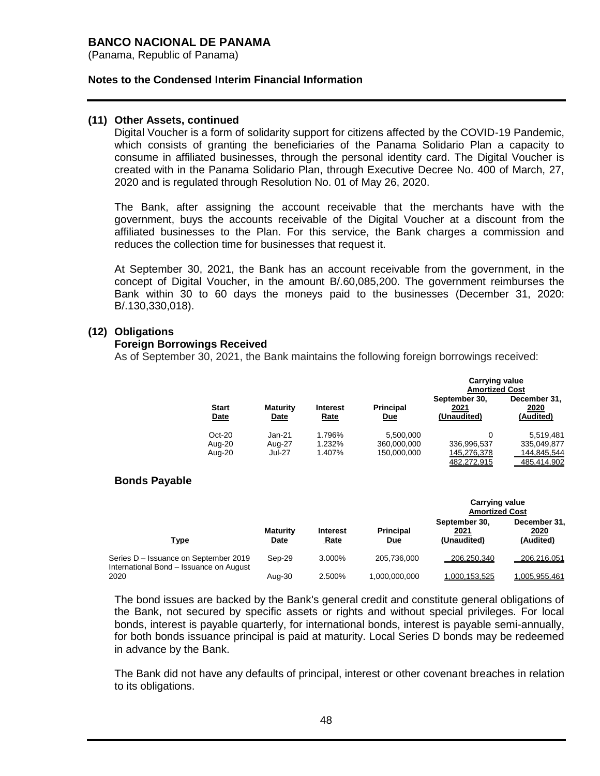(Panama, Republic of Panama)

### **Notes to the Condensed Interim Financial Information**

### **(11) Other Assets, continued**

Digital Voucher is a form of solidarity support for citizens affected by the COVID-19 Pandemic, which consists of granting the beneficiaries of the Panama Solidario Plan a capacity to consume in affiliated businesses, through the personal identity card. The Digital Voucher is created with in the Panama Solidario Plan, through Executive Decree No. 400 of March, 27, 2020 and is regulated through Resolution No. 01 of May 26, 2020.

The Bank, after assigning the account receivable that the merchants have with the government, buys the accounts receivable of the Digital Voucher at a discount from the affiliated businesses to the Plan. For this service, the Bank charges a commission and reduces the collection time for businesses that request it.

At September 30, 2021, the Bank has an account receivable from the government, in the concept of Digital Voucher, in the amount B/.60,085,200. The government reimburses the Bank within 30 to 60 days the moneys paid to the businesses (December 31, 2020: B/.130,330,018).

### **(12) Obligations**

### **Foreign Borrowings Received**

As of September 30, 2021, the Bank maintains the following foreign borrowings received:

|                      |                                |                                |                                | <b>Carrying value</b><br><b>Amortized Cost</b> |                                   |
|----------------------|--------------------------------|--------------------------------|--------------------------------|------------------------------------------------|-----------------------------------|
| <b>Start</b><br>Date | <b>Maturity</b><br><b>Date</b> | <b>Interest</b><br><b>Rate</b> | <b>Principal</b><br><u>Due</u> | September 30,<br>2021<br>(Unaudited)           | December 31,<br>2020<br>(Audited) |
| $Oct-20$             | Jan-21                         | 1.796%                         | 5,500,000                      | 0                                              | 5,519,481                         |
| Aug-20               | Aug-27                         | 1.232%                         | 360,000,000                    | 336,996,537                                    | 335,049,877                       |
| Aug-20               | Jul-27                         | 1.407%                         | 150.000.000                    | 145,276,378                                    | 144.845.544                       |
|                      |                                |                                |                                | 482.272.915                                    | 485.414.902                       |

### **Bonds Payable**

|                                                                                  |                         |                                |                                | <b>Carrying value</b><br><b>Amortized Cost</b> |                                   |
|----------------------------------------------------------------------------------|-------------------------|--------------------------------|--------------------------------|------------------------------------------------|-----------------------------------|
| Type                                                                             | <b>Maturity</b><br>Date | <b>Interest</b><br><b>Rate</b> | <b>Principal</b><br><u>Due</u> | September 30,<br>2021<br>(Unaudited)           | December 31.<br>2020<br>(Audited) |
| Series D - Issuance on September 2019<br>International Bond - Issuance on August | Sep-29                  | 3.000%                         | 205.736.000                    | 206.250.340                                    | 206.216.051                       |
| 2020                                                                             | Aug-30                  | 2.500%                         | 1.000.000.000                  | 1.000.153.525                                  | 1.005.955.461                     |

The bond issues are backed by the Bank's general credit and constitute general obligations of the Bank, not secured by specific assets or rights and without special privileges. For local bonds, interest is payable quarterly, for international bonds, interest is payable semi-annually, for both bonds issuance principal is paid at maturity. Local Series D bonds may be redeemed in advance by the Bank.

The Bank did not have any defaults of principal, interest or other covenant breaches in relation to its obligations.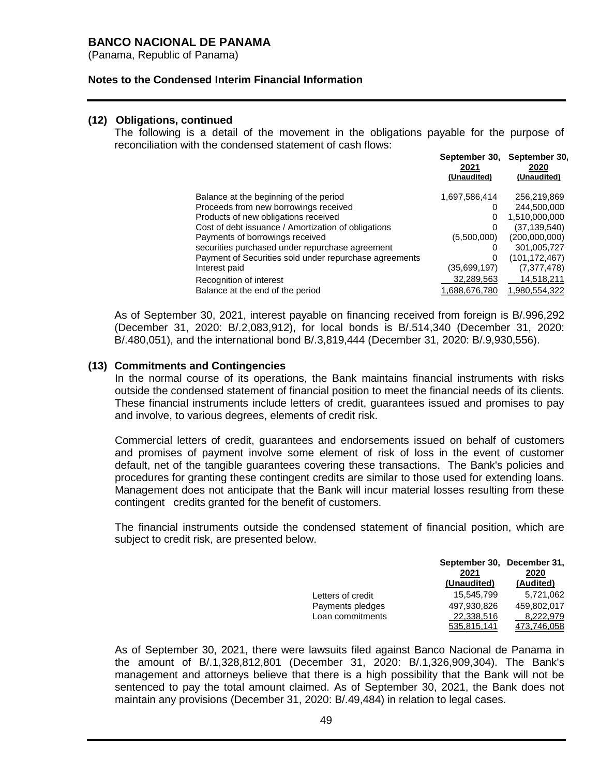(Panama, Republic of Panama)

### **Notes to the Condensed Interim Financial Information**

### **(12) Obligations, continued**

The following is a detail of the movement in the obligations payable for the purpose of reconciliation with the condensed statement of cash flows:

| 2021<br>(Unaudited) | September 30.<br>2020<br>(Unaudited) |
|---------------------|--------------------------------------|
| 1,697,586,414       | 256,219,869                          |
| 0                   | 244,500,000                          |
| 0                   | 1,510,000,000                        |
| 0                   | (37, 139, 540)                       |
| (5,500,000)         | (200,000,000)                        |
| O                   | 301,005,727                          |
| 0                   | (101, 172, 467)                      |
| (35,699,197)        | (7, 377, 478)                        |
| 32,289,563          | 14,518,211                           |
| 1.688.676.780       | 1.980.554.322                        |
|                     | September 30,                        |

As of September 30, 2021, interest payable on financing received from foreign is B/.996,292 (December 31, 2020: B/.2,083,912), for local bonds is B/.514,340 (December 31, 2020: B/.480,051), and the international bond B/.3,819,444 (December 31, 2020: B/.9,930,556).

### **(13) Commitments and Contingencies**

In the normal course of its operations, the Bank maintains financial instruments with risks outside the condensed statement of financial position to meet the financial needs of its clients. These financial instruments include letters of credit, guarantees issued and promises to pay and involve, to various degrees, elements of credit risk.

Commercial letters of credit, guarantees and endorsements issued on behalf of customers and promises of payment involve some element of risk of loss in the event of customer default, net of the tangible guarantees covering these transactions. The Bank's policies and procedures for granting these contingent credits are similar to those used for extending loans. Management does not anticipate that the Bank will incur material losses resulting from these contingent credits granted for the benefit of customers.

The financial instruments outside the condensed statement of financial position, which are subject to credit risk, are presented below.

|                   | September 30, December 31,<br>2021 | 2020        |
|-------------------|------------------------------------|-------------|
|                   | (Unaudited)                        | (Audited)   |
| Letters of credit | 15.545.799                         | 5,721,062   |
| Payments pledges  | 497,930,826                        | 459.802.017 |
| Loan commitments  | 22,338,516                         | 8,222,979   |
|                   | 535.815.141                        | 473.746.058 |

As of September 30, 2021, there were lawsuits filed against Banco Nacional de Panama in the amount of B/.1,328,812,801 (December 31, 2020: B/.1,326,909,304). The Bank's management and attorneys believe that there is a high possibility that the Bank will not be sentenced to pay the total amount claimed. As of September 30, 2021, the Bank does not maintain any provisions (December 31, 2020: B/.49,484) in relation to legal cases.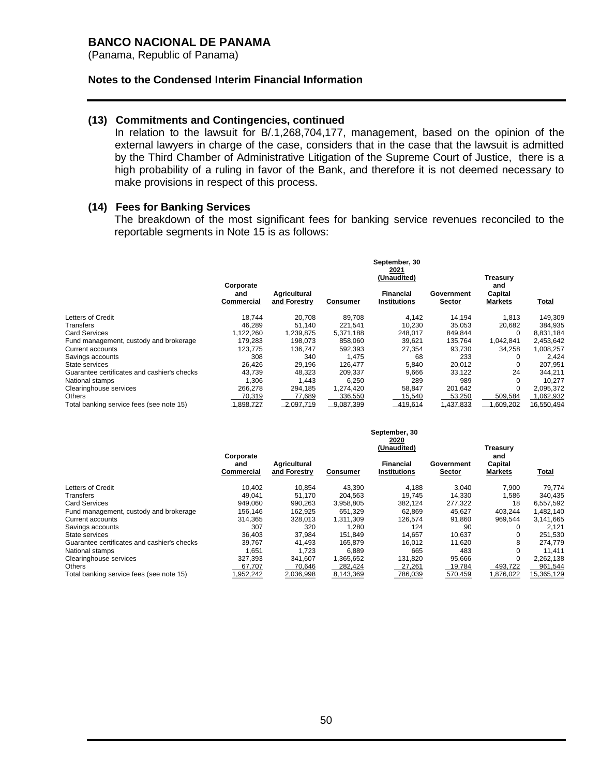(Panama, Republic of Panama)

#### **Notes to the Condensed Interim Financial Information**

### **(13) Commitments and Contingencies, continued**

In relation to the lawsuit for B/.1,268,704,177, management, based on the opinion of the external lawyers in charge of the case, considers that in the case that the lawsuit is admitted by the Third Chamber of Administrative Litigation of the Supreme Court of Justice, there is a high probability of a ruling in favor of the Bank, and therefore it is not deemed necessary to make provisions in respect of this process.

#### **(14) Fees for Banking Services**

The breakdown of the most significant fees for banking service revenues reconciled to the reportable segments in Note 15 is as follows:

|                                             |                                |                              |           | September, 30<br>2021<br>(Unaudited) |                      | Treasurv                         |              |  |
|---------------------------------------------|--------------------------------|------------------------------|-----------|--------------------------------------|----------------------|----------------------------------|--------------|--|
|                                             | Corporate<br>and<br>Commercial | Agricultural<br>and Forestry | Consumer  | Financial<br><b>Institutions</b>     | Government<br>Sector | and<br>Capital<br><b>Markets</b> | <b>Total</b> |  |
| Letters of Credit                           | 18.744                         | 20.708                       | 89.708    | 4.142                                | 14.194               | 1.813                            | 149,309      |  |
| Transfers                                   | 46,289                         | 51.140                       | 221,541   | 10,230                               | 35,053               | 20,682                           | 384,935      |  |
| <b>Card Services</b>                        | 1,122,260                      | 1,239,875                    | 5,371,188 | 248,017                              | 849,844              | 0                                | 8,831,184    |  |
| Fund management, custody and brokerage      | 179.283                        | 198.073                      | 858.060   | 39.621                               | 135.764              | 1,042,841                        | 2,453,642    |  |
| Current accounts                            | 123.775                        | 136.747                      | 592,393   | 27,354                               | 93,730               | 34,258                           | 1,008,257    |  |
| Savings accounts                            | 308                            | 340                          | 1,475     | 68                                   | 233                  | 0                                | 2,424        |  |
| State services                              | 26,426                         | 29,196                       | 126,477   | 5,840                                | 20,012               |                                  | 207,951      |  |
| Guarantee certificates and cashier's checks | 43.739                         | 48.323                       | 209.337   | 9,666                                | 33.122               | 24                               | 344.211      |  |
| National stamps                             | 1.306                          | 1.443                        | 6,250     | 289                                  | 989                  | $\Omega$                         | 10.277       |  |
| Clearinghouse services                      | 266,278                        | 294,185                      | 1,274,420 | 58,847                               | 201,642              | 0                                | 2,095,372    |  |
| <b>Others</b>                               | 70,319                         | 77,689                       | 336,550   | 15,540                               | 53,250               | 509,584                          | 1,062,932    |  |
| Total banking service fees (see note 15)    | 1.898.727                      | 2.097.719                    | 9.087.399 | 419.614                              | .437.833             | .609.202                         | 16.550.494   |  |

|                                             | Corporate         |                              |                 | September, 30<br>2020<br>(Unaudited) |                             | Treasury<br>and           |            |
|---------------------------------------------|-------------------|------------------------------|-----------------|--------------------------------------|-----------------------------|---------------------------|------------|
|                                             | and<br>Commercial | Agricultural<br>and Forestry | <b>Consumer</b> | Financial<br><b>Institutions</b>     | Government<br><b>Sector</b> | Capital<br><b>Markets</b> | Total      |
| Letters of Credit                           | 10.402            | 10.854                       | 43.390          | 4.188                                | 3.040                       | 7.900                     | 79,774     |
| Transfers                                   | 49.041            | 51,170                       | 204.563         | 19.745                               | 14,330                      | 1,586                     | 340,435    |
| <b>Card Services</b>                        | 949.060           | 990,263                      | 3,958,805       | 382,124                              | 277,322                     | 18                        | 6,557,592  |
| Fund management, custody and brokerage      | 156,146           | 162,925                      | 651,329         | 62,869                               | 45,627                      | 403,244                   | 1,482,140  |
| Current accounts                            | 314.365           | 328.013                      | 1.311.309       | 126.574                              | 91.860                      | 969.544                   | 3,141,665  |
| Savings accounts                            | 307               | 320                          | 1.280           | 124                                  | 90                          | 0                         | 2,121      |
| State services                              | 36.403            | 37,984                       | 151,849         | 14.657                               | 10,637                      | 0                         | 251,530    |
| Guarantee certificates and cashier's checks | 39,767            | 41,493                       | 165,879         | 16,012                               | 11,620                      | 8                         | 274,779    |
| National stamps                             | 1,651             | 1.723                        | 6,889           | 665                                  | 483                         | $\Omega$                  | 11,411     |
| Clearinghouse services                      | 327.393           | 341,607                      | .365.652        | 131,820                              | 95,666                      | $\Omega$                  | 2,262,138  |
| Others                                      | 67,707            | 70,646                       | 282,424         | 27,261                               | 19,784                      | 493,722                   | 961,544    |
| Total banking service fees (see note 15)    | ,952,242          | 2.036.998                    | 8.143.369       | 786.039                              | 570.459                     | .876.022                  | 15.365.129 |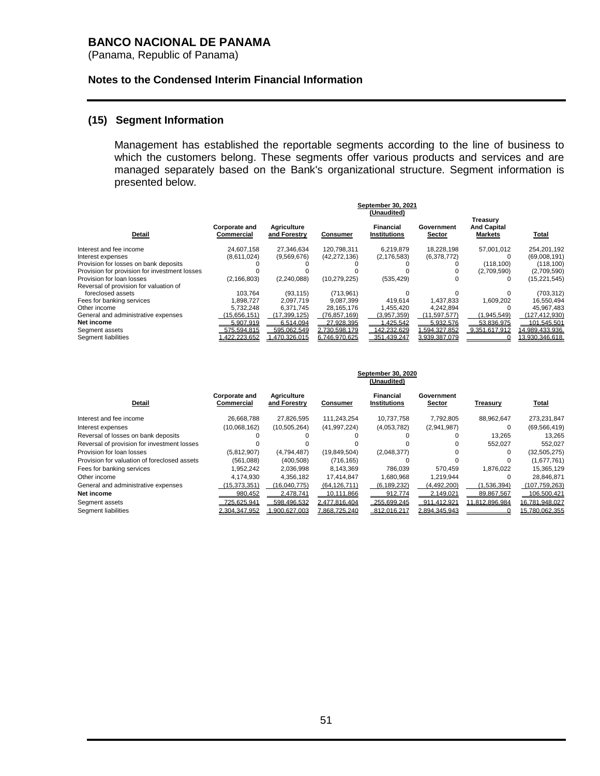(Panama, Republic of Panama)

### **Notes to the Condensed Interim Financial Information**

### **(15) Segment Information**

Management has established the reportable segments according to the line of business to which the customers belong. These segments offer various products and services and are managed separately based on the Bank's organizational structure. Segment information is presented below.

|                                               |                             |                             |                 | September 30, 2021               |                      |                                                  |                 |
|-----------------------------------------------|-----------------------------|-----------------------------|-----------------|----------------------------------|----------------------|--------------------------------------------------|-----------------|
|                                               |                             |                             |                 | (Unaudited)                      |                      |                                                  |                 |
| Detail                                        | Corporate and<br>Commercial | Agriculture<br>and Forestry | <b>Consumer</b> | Financial<br><b>Institutions</b> | Government<br>Sector | Treasury<br><b>And Capital</b><br><b>Markets</b> | Total           |
| Interest and fee income                       | 24.607.158                  | 27.346.634                  | 120.798.311     | 6.219.879                        | 18.228.198           | 57.001.012                                       | 254,201,192     |
| Interest expenses                             | (8,611,024)                 | (9,569,676)                 | (42, 272, 136)  | (2, 176, 583)                    | (6,378,772)          |                                                  | (69,008,191)    |
| Provision for losses on bank deposits         |                             |                             |                 |                                  |                      | (118.100)                                        | (118, 100)      |
| Provision for provision for investment losses |                             |                             |                 |                                  |                      | (2,709,590)                                      | (2,709,590)     |
| Provision for loan losses                     | (2, 166, 803)               | (2,240,088)                 | (10, 279, 225)  | (535, 429)                       |                      |                                                  | (15, 221, 545)  |
| Reversal of provision for valuation of        |                             |                             |                 |                                  |                      |                                                  |                 |
| foreclosed assets                             | 103.764                     | (93.115)                    | (713.961)       |                                  |                      |                                                  | (703, 312)      |
| Fees for banking services                     | 1,898,727                   | 2,097,719                   | 9,087,399       | 419,614                          | 1,437,833            | 1,609,202                                        | 16,550,494      |
| Other income                                  | 5.732.248                   | 6.371.745                   | 28.165.176      | 1.455.420                        | 4.242.894            |                                                  | 45.967.483      |
| General and administrative expenses           | (15,656,151)                | (17, 399, 125)              | (76,857,169)    | (3,957,359)                      | (11, 597, 577)       | (1,945,549)                                      | (127, 412, 930) |
| Net income                                    | 5.907.919                   | 6.514.094                   | 27.928.395      | .425.542                         | 5.932.576            | 53.836.975                                       | 101.545.501     |
| Segment assets                                | 575.594.815                 | 595.062.549                 | 2.730.598.179   | 142.232.629                      | 1.594.327.852        | 9.351.617.912                                    | 14.989.433.936. |
| Segment liabilities                           | .422.223.652                | .470.326.015                | 6.746.970.625   | 351.439.247                      | 3.939.387.079        |                                                  | 13.930.346.618. |

|                                              | September 30, 2020<br>(Unaudited) |                                    |                 |                                         |                      |                |                 |
|----------------------------------------------|-----------------------------------|------------------------------------|-----------------|-----------------------------------------|----------------------|----------------|-----------------|
| Detail                                       | Corporate and<br>Commercial       | <b>Agriculture</b><br>and Forestry | <b>Consumer</b> | <b>Financial</b><br><b>Institutions</b> | Government<br>Sector | Treasury       | Total           |
| Interest and fee income                      | 26.668.788                        | 27.826.595                         | 111.243.254     | 10.737.758                              | 7.792.805            | 88.962.647     | 273,231,847     |
| Interest expenses                            | (10,068,162)                      | (10, 505, 264)                     | (41, 997, 224)  | (4,053,782)                             | (2,941,987)          | 0              | (69, 566, 419)  |
| Reversal of losses on bank deposits          |                                   |                                    |                 |                                         |                      | 13.265         | 13.265          |
| Reversal of provision for investment losses  |                                   |                                    |                 |                                         |                      | 552,027        | 552,027         |
| Provision for loan losses                    | (5.812.907)                       | (4,794,487)                        | (19, 849, 504)  | (2,048,377)                             |                      | 0              | (32, 505, 275)  |
| Provision for valuation of foreclosed assets | (561.088)                         | (400, 508)                         | (716, 165)      |                                         |                      |                | (1,677,761)     |
| Fees for banking services                    | 1.952.242                         | 2,036,998                          | 8.143.369       | 786.039                                 | 570.459              | 1.876.022      | 15,365,129      |
| Other income                                 | 4,174,930                         | 4,356,182                          | 17,414,847      | 1,680,968                               | 1,219,944            |                | 28,846,871      |
| General and administrative expenses          | (15, 373, 351)                    | (16.040.775)                       | (64, 126, 711)  | (6, 189, 232)                           | (4,492,200)          | (1,536,394)    | (107, 759, 263) |
| Net income                                   | 980.452                           | 2.478.741                          | 10.111.866      | 912.774                                 | 2.149.021            | 89.867.567     | 106.500.421     |
| Segment assets                               | 725.625.941                       | 598.496.532                        | 2.477.816.404   | 255.699.245                             | 911.412.921          | 11.812.896.984 | 16.781.948.027  |
| Segment liabilities                          | 2.304.347.952                     | .900.627.003                       | 7.868.725.240   | 812.016.217                             | 2.894.345.943        |                | 15.780.062.355  |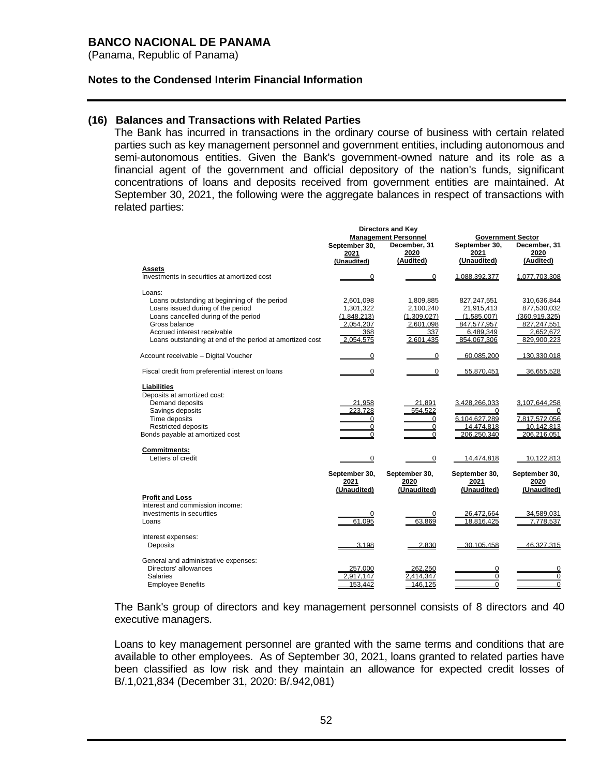(Panama, Republic of Panama)

### **Notes to the Condensed Interim Financial Information**

### **(16) Balances and Transactions with Related Parties**

The Bank has incurred in transactions in the ordinary course of business with certain related parties such as key management personnel and government entities, including autonomous and semi-autonomous entities. Given the Bank's government-owned nature and its role as a financial agent of the government and official depository of the nation's funds, significant concentrations of loans and deposits received from government entities are maintained. At September 30, 2021, the following were the aggregate balances in respect of transactions with related parties:

|                                                                                                                                                                                                                                                 |                                                                        | <b>Directors and Key</b><br><b>Management Personnel</b>                | <b>Government Sector</b>                                                            |                                                                                          |  |
|-------------------------------------------------------------------------------------------------------------------------------------------------------------------------------------------------------------------------------------------------|------------------------------------------------------------------------|------------------------------------------------------------------------|-------------------------------------------------------------------------------------|------------------------------------------------------------------------------------------|--|
|                                                                                                                                                                                                                                                 | September 30,<br>2021<br>(Unaudited)                                   | December, 31<br>2020<br>(Audited)                                      | September 30,<br>2021<br>(Unaudited)                                                | December, 31<br>2020<br>(Audited)                                                        |  |
| Assets                                                                                                                                                                                                                                          |                                                                        |                                                                        |                                                                                     |                                                                                          |  |
| Investments in securities at amortized cost                                                                                                                                                                                                     | $\Omega$                                                               | 0                                                                      | 1,088,392,377                                                                       | 1,077,703,308                                                                            |  |
| Loans:<br>Loans outstanding at beginning of the period<br>Loans issued during of the period<br>Loans cancelled during of the period<br>Gross balance<br>Accrued interest receivable<br>Loans outstanding at end of the period at amortized cost | 2,601,098<br>1,301,322<br>(1,848,213)<br>2,054,207<br>368<br>2,054,575 | 1,809,885<br>2,100,240<br>(1,309,027)<br>2,601,098<br>337<br>2,601,435 | 827,247,551<br>21,915,413<br>(1,585,007)<br>847,577,957<br>6,489,349<br>854.067.306 | 310,636,844<br>877,530,032<br>(360, 919, 325)<br>827,247,551<br>2,652,672<br>829,900,223 |  |
| Account receivable - Digital Voucher                                                                                                                                                                                                            | $\Omega$                                                               | 0                                                                      | 60.085.200                                                                          | 130.330.018                                                                              |  |
| Fiscal credit from preferential interest on loans                                                                                                                                                                                               | 0                                                                      | 0                                                                      | 55,870,451                                                                          | 36,655,528                                                                               |  |
| <b>Liabilities</b><br>Deposits at amortized cost:<br>Demand deposits<br>Savings deposits<br>Time deposits<br><b>Restricted deposits</b><br>Bonds payable at amortized cost                                                                      | 21.958<br>223.728<br>0<br>0<br>$\Omega$                                | 21.891<br>554.522<br>0<br>$\mathbf 0$<br>0                             | 3.428.266.033<br>0<br>6,104,627,289<br>14.474.818<br>206.250.340                    | 3.107.644.258<br>$\Omega$<br>7,817,572,056<br>10,142,813<br>206.216.051                  |  |
| <b>Commitments:</b><br>Letters of credit                                                                                                                                                                                                        | 0                                                                      | 0                                                                      | 14.474.818                                                                          | 10.122.813                                                                               |  |
|                                                                                                                                                                                                                                                 | September 30,<br>2021<br>(Unaudited)                                   | September 30,<br>2020<br>(Unaudited)                                   | September 30,<br>2021<br>(Unaudited)                                                | September 30,<br>2020<br>(Unaudited)                                                     |  |
| <b>Profit and Loss</b><br>Interest and commission income:<br>Investments in securities<br>Loans                                                                                                                                                 | 61,095                                                                 | 0<br>63,869                                                            | 26,472,664<br>18,816,425                                                            | 34,589,031<br>7,778,537                                                                  |  |
| Interest expenses:<br>Deposits                                                                                                                                                                                                                  | 3.198                                                                  | 2.830                                                                  | 30.105.458                                                                          | 46.327.315                                                                               |  |
| General and administrative expenses:<br>Directors' allowances<br><b>Salaries</b><br><b>Employee Benefits</b>                                                                                                                                    | 257.000<br>2.917.147<br>153.442                                        | 262.250<br>2,414,347<br>146,125                                        | 0<br>0<br>$\Omega$                                                                  | 0<br>$\overline{0}$<br>$\Omega$                                                          |  |

The Bank's group of directors and key management personnel consists of 8 directors and 40 executive managers.

Loans to key management personnel are granted with the same terms and conditions that are available to other employees. As of September 30, 2021, loans granted to related parties have been classified as low risk and they maintain an allowance for expected credit losses of B/.1,021,834 (December 31, 2020: B/.942,081)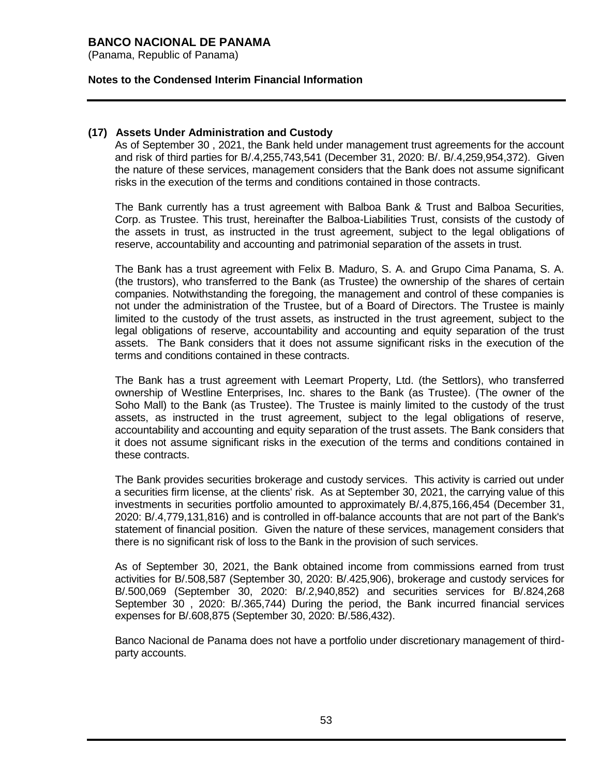(Panama, Republic of Panama)

### **Notes to the Condensed Interim Financial Information**

### **(17) Assets Under Administration and Custody**

As of September 30 , 2021, the Bank held under management trust agreements for the account and risk of third parties for B/.4,255,743,541 (December 31, 2020: B/. B/.4,259,954,372). Given the nature of these services, management considers that the Bank does not assume significant risks in the execution of the terms and conditions contained in those contracts.

The Bank currently has a trust agreement with Balboa Bank & Trust and Balboa Securities, Corp. as Trustee. This trust, hereinafter the Balboa-Liabilities Trust, consists of the custody of the assets in trust, as instructed in the trust agreement, subject to the legal obligations of reserve, accountability and accounting and patrimonial separation of the assets in trust.

The Bank has a trust agreement with Felix B. Maduro, S. A. and Grupo Cima Panama, S. A. (the trustors), who transferred to the Bank (as Trustee) the ownership of the shares of certain companies. Notwithstanding the foregoing, the management and control of these companies is not under the administration of the Trustee, but of a Board of Directors. The Trustee is mainly limited to the custody of the trust assets, as instructed in the trust agreement, subject to the legal obligations of reserve, accountability and accounting and equity separation of the trust assets. The Bank considers that it does not assume significant risks in the execution of the terms and conditions contained in these contracts.

The Bank has a trust agreement with Leemart Property, Ltd. (the Settlors), who transferred ownership of Westline Enterprises, Inc. shares to the Bank (as Trustee). (The owner of the Soho Mall) to the Bank (as Trustee). The Trustee is mainly limited to the custody of the trust assets, as instructed in the trust agreement, subject to the legal obligations of reserve, accountability and accounting and equity separation of the trust assets. The Bank considers that it does not assume significant risks in the execution of the terms and conditions contained in these contracts.

The Bank provides securities brokerage and custody services. This activity is carried out under a securities firm license, at the clients' risk. As at September 30, 2021, the carrying value of this investments in securities portfolio amounted to approximately B/.4,875,166,454 (December 31, 2020: B/.4,779,131,816) and is controlled in off-balance accounts that are not part of the Bank's statement of financial position. Given the nature of these services, management considers that there is no significant risk of loss to the Bank in the provision of such services.

As of September 30, 2021, the Bank obtained income from commissions earned from trust activities for B/.508,587 (September 30, 2020: B/.425,906), brokerage and custody services for B/.500,069 (September 30, 2020: B/.2,940,852) and securities services for B/.824,268 September 30 , 2020: B/.365,744) During the period, the Bank incurred financial services expenses for B/.608,875 (September 30, 2020: B/.586,432).

Banco Nacional de Panama does not have a portfolio under discretionary management of thirdparty accounts.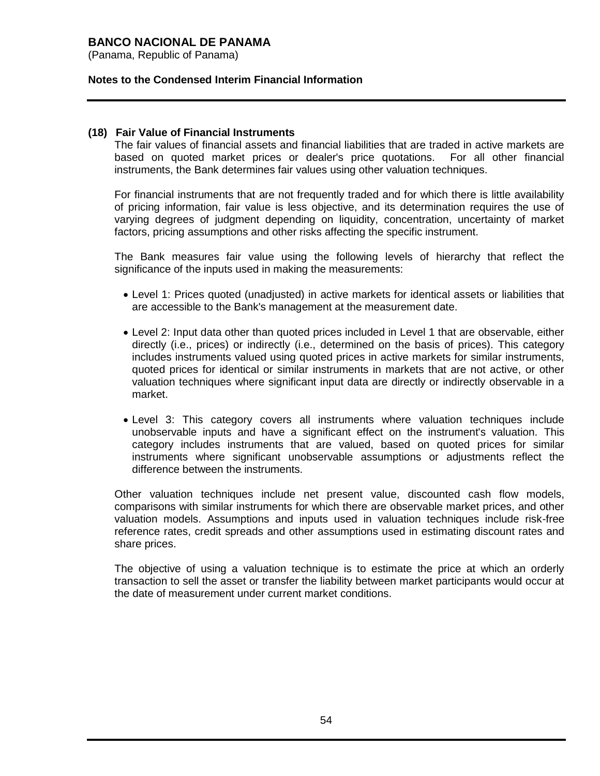(Panama, Republic of Panama)

### **Notes to the Condensed Interim Financial Information**

### **(18) Fair Value of Financial Instruments**

The fair values of financial assets and financial liabilities that are traded in active markets are based on quoted market prices or dealer's price quotations. For all other financial instruments, the Bank determines fair values using other valuation techniques.

For financial instruments that are not frequently traded and for which there is little availability of pricing information, fair value is less objective, and its determination requires the use of varying degrees of judgment depending on liquidity, concentration, uncertainty of market factors, pricing assumptions and other risks affecting the specific instrument.

The Bank measures fair value using the following levels of hierarchy that reflect the significance of the inputs used in making the measurements:

- Level 1: Prices quoted (unadjusted) in active markets for identical assets or liabilities that are accessible to the Bank's management at the measurement date.
- Level 2: Input data other than quoted prices included in Level 1 that are observable, either directly (i.e., prices) or indirectly (i.e., determined on the basis of prices). This category includes instruments valued using quoted prices in active markets for similar instruments, quoted prices for identical or similar instruments in markets that are not active, or other valuation techniques where significant input data are directly or indirectly observable in a market.
- Level 3: This category covers all instruments where valuation techniques include unobservable inputs and have a significant effect on the instrument's valuation. This category includes instruments that are valued, based on quoted prices for similar instruments where significant unobservable assumptions or adjustments reflect the difference between the instruments.

Other valuation techniques include net present value, discounted cash flow models, comparisons with similar instruments for which there are observable market prices, and other valuation models. Assumptions and inputs used in valuation techniques include risk-free reference rates, credit spreads and other assumptions used in estimating discount rates and share prices.

The objective of using a valuation technique is to estimate the price at which an orderly transaction to sell the asset or transfer the liability between market participants would occur at the date of measurement under current market conditions.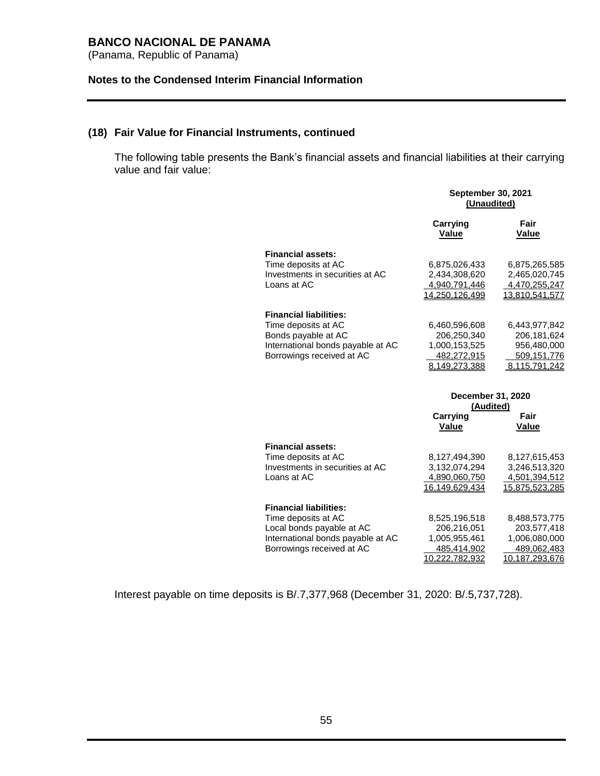(Panama, Republic of Panama)

### **Notes to the Condensed Interim Financial Information**

# **(18) Fair Value for Financial Instruments, continued**

The following table presents the Bank's financial assets and financial liabilities at their carrying value and fair value:

|                                   | <b>September 30, 2021</b><br>(Unaudited) |                      |
|-----------------------------------|------------------------------------------|----------------------|
|                                   | Carrying<br>Value                        | Fair<br><b>Value</b> |
| <b>Financial assets:</b>          |                                          |                      |
| Time deposits at AC               | 6,875,026,433                            | 6,875,265,585        |
| Investments in securities at AC   | 2,434,308,620                            | 2,465,020,745        |
| Loans at AC                       | 4,940,791,446                            | 4,470,255,247        |
|                                   | 14,250,126,499                           | 13,810,541,577       |
| <b>Financial liabilities:</b>     |                                          |                      |
| Time deposits at AC               | 6,460,596,608                            | 6,443,977,842        |
| Bonds payable at AC               | 206,250,340                              | 206, 181, 624        |
| International bonds payable at AC | 1,000,153,525                            | 956,480,000          |
| Borrowings received at AC         | 482,272,915                              | 509,151,776          |
|                                   | 8,149,273,388                            | 8,115,791,242        |
|                                   | December 31, 2020<br>(Audited)           |                      |
|                                   | Carrying                                 | Fair                 |
|                                   | Value                                    | Value                |
| <b>Financial assets:</b>          |                                          |                      |
| Time deposits at AC               | 8,127,494,390                            | 8,127,615,453        |
| Investments in securities at AC   | 3,132,074,294                            | 3,246,513,320        |
| Loans at AC                       | 4,890,060,750                            | 4,501,394,512        |
|                                   | 16,149,629,434                           | 15,875,523,285       |
| <b>Financial liabilities:</b>     |                                          |                      |
| Time deposits at AC               | 8,525,196,518                            | 8,488,573,775        |
| Local bonds payable at AC         | 206,216,051                              | 203,577,418          |
| International bonds payable at AC | 1,005,955,461                            | 1,006,080,000        |
| Borrowings received at AC         | 485,414,902                              | 489,062,483          |
|                                   | 10,222,782,932                           | 10,187,293,676       |

Interest payable on time deposits is B/.7,377,968 (December 31, 2020: B/.5,737,728).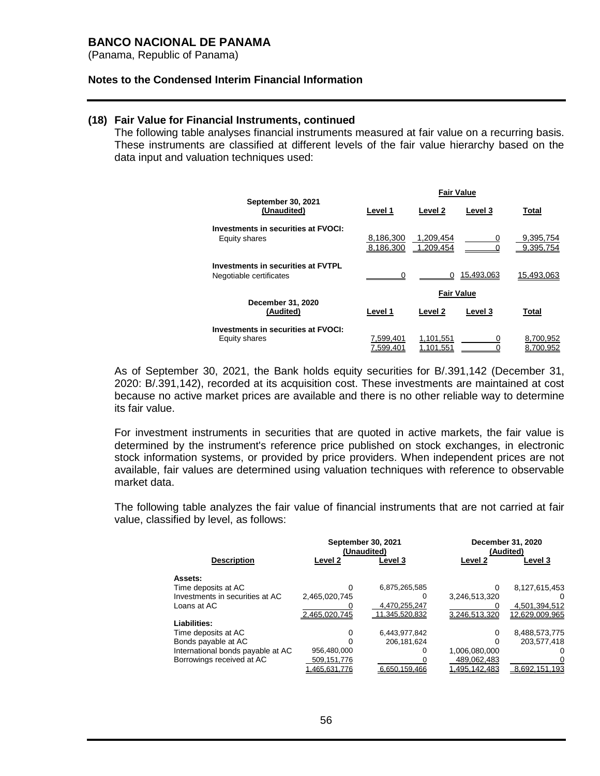(Panama, Republic of Panama)

#### **Notes to the Condensed Interim Financial Information**

### **(18) Fair Value for Financial Instruments, continued**

The following table analyses financial instruments measured at fair value on a recurring basis. These instruments are classified at different levels of the fair value hierarchy based on the data input and valuation techniques used:

|                                                                      | <b>Fair Value</b>      |                        |                |                        |  |
|----------------------------------------------------------------------|------------------------|------------------------|----------------|------------------------|--|
| September 30, 2021<br>(Unaudited)                                    | Level 1                | Level 2                | Level 3        | <b>Total</b>           |  |
| <b>Investments in securities at FVOCI:</b><br>Equity shares          | 8,186,300<br>8,186,300 | 1.209.454<br>1,209,454 | 0              | 9,395,754<br>9,395,754 |  |
| <b>Investments in securities at FVTPL</b><br>Negotiable certificates | ∩                      |                        | 15.493.063     | 15,493,063             |  |
|                                                                      |                        | <b>Fair Value</b>      |                |                        |  |
| December 31, 2020<br>(Audited)                                       | Level 1                | Level 2                | <b>Level 3</b> | <b>Total</b>           |  |
| Investments in securities at FVOCI:<br>Equity shares                 | 7.599.401<br>7.599.401 | 1.101.551<br>1.101.551 | 0              | 8,700,952<br>8.700.952 |  |

As of September 30, 2021, the Bank holds equity securities for B/.391,142 (December 31, 2020: B/.391,142), recorded at its acquisition cost. These investments are maintained at cost because no active market prices are available and there is no other reliable way to determine its fair value.

For investment instruments in securities that are quoted in active markets, the fair value is determined by the instrument's reference price published on stock exchanges, in electronic stock information systems, or provided by price providers. When independent prices are not available, fair values are determined using valuation techniques with reference to observable market data.

The following table analyzes the fair value of financial instruments that are not carried at fair value, classified by level, as follows:

|                                   |               | <b>September 30, 2021</b><br>(Unaudited) | December 31, 2020<br>(Audited) |                |  |
|-----------------------------------|---------------|------------------------------------------|--------------------------------|----------------|--|
| <b>Description</b>                | Level 2       | Level 3                                  | Level 2                        | Level 3        |  |
| Assets:                           |               |                                          |                                |                |  |
| Time deposits at AC               | $\Omega$      | 6,875,265,585                            | 0                              | 8,127,615,453  |  |
| Investments in securities at AC   | 2,465,020,745 | 0                                        | 3,246,513,320                  | $\mathbf{0}$   |  |
| Loans at AC                       |               | 4,470,255,247                            |                                | 4,501,394,512  |  |
|                                   | 2.465.020.745 | 11.345.520.832                           | 3.246.513.320                  | 12.629.009.965 |  |
| Liabilities:                      |               |                                          |                                |                |  |
| Time deposits at AC               | 0             | 6,443,977,842                            | 0                              | 8,488,573,775  |  |
| Bonds payable at AC               | $\Omega$      | 206.181.624                              | 0                              | 203,577,418    |  |
| International bonds payable at AC | 956,480,000   | 0                                        | 1,006,080,000                  |                |  |
| Borrowings received at AC         | 509,151,776   |                                          | 489,062,483                    |                |  |
|                                   | 1.465.631.776 | 6.650.159.466                            | 1.495.142.483                  | 8.692.151.193  |  |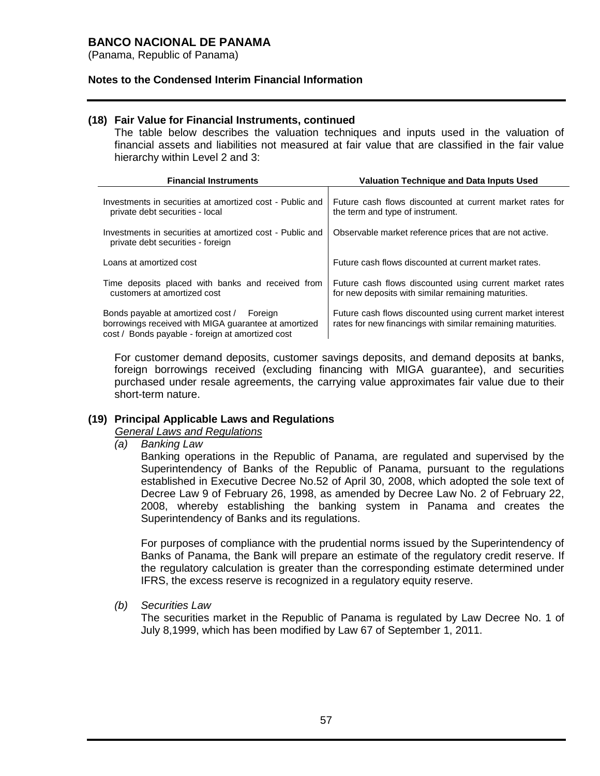(Panama, Republic of Panama)

### **Notes to the Condensed Interim Financial Information**

### **(18) Fair Value for Financial Instruments, continued**

The table below describes the valuation techniques and inputs used in the valuation of financial assets and liabilities not measured at fair value that are classified in the fair value hierarchy within Level 2 and 3:

| <b>Financial Instruments</b>                                                                                                                             | <b>Valuation Technique and Data Inputs Used</b>                                                                           |
|----------------------------------------------------------------------------------------------------------------------------------------------------------|---------------------------------------------------------------------------------------------------------------------------|
| Investments in securities at amortized cost - Public and<br>private debt securities - local                                                              | Future cash flows discounted at current market rates for<br>the term and type of instrument.                              |
| Investments in securities at amortized cost - Public and<br>private debt securities - foreign                                                            | Observable market reference prices that are not active.                                                                   |
| Loans at amortized cost                                                                                                                                  | Future cash flows discounted at current market rates.                                                                     |
| Time deposits placed with banks and received from<br>customers at amortized cost                                                                         | Future cash flows discounted using current market rates<br>for new deposits with similar remaining maturities.            |
| Bonds payable at amortized cost /<br>Foreign<br>borrowings received with MIGA guarantee at amortized<br>cost / Bonds payable - foreign at amortized cost | Future cash flows discounted using current market interest<br>rates for new financings with similar remaining maturities. |

For customer demand deposits, customer savings deposits, and demand deposits at banks, foreign borrowings received (excluding financing with MIGA guarantee), and securities purchased under resale agreements, the carrying value approximates fair value due to their short-term nature.

### **(19) Principal Applicable Laws and Regulations**

### *General Laws and Regulations*

*(a) Banking Law*

Banking operations in the Republic of Panama, are regulated and supervised by the Superintendency of Banks of the Republic of Panama, pursuant to the regulations established in Executive Decree No.52 of April 30, 2008, which adopted the sole text of Decree Law 9 of February 26, 1998, as amended by Decree Law No. 2 of February 22, 2008, whereby establishing the banking system in Panama and creates the Superintendency of Banks and its regulations.

For purposes of compliance with the prudential norms issued by the Superintendency of Banks of Panama, the Bank will prepare an estimate of the regulatory credit reserve. If the regulatory calculation is greater than the corresponding estimate determined under IFRS, the excess reserve is recognized in a regulatory equity reserve.

*(b) Securities Law*

The securities market in the Republic of Panama is regulated by Law Decree No. 1 of July 8,1999, which has been modified by Law 67 of September 1, 2011.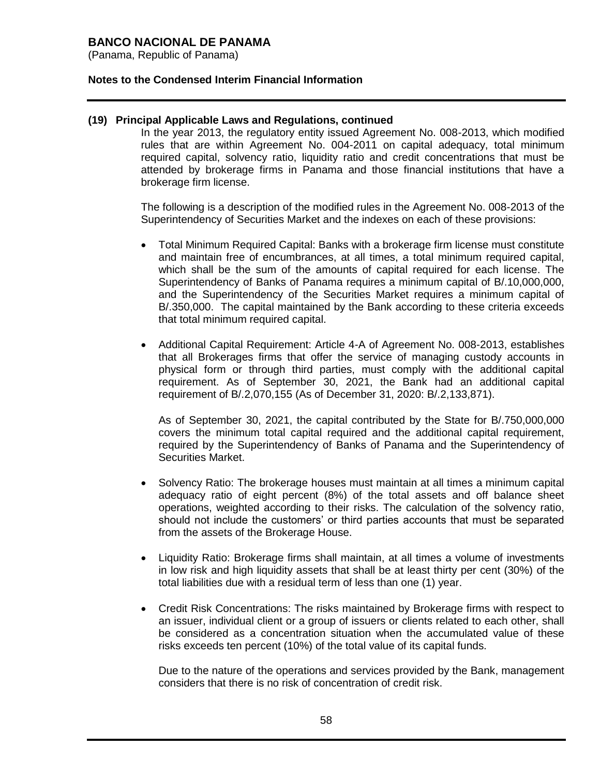(Panama, Republic of Panama)

### **Notes to the Condensed Interim Financial Information**

### **(19) Principal Applicable Laws and Regulations, continued**

In the year 2013, the regulatory entity issued Agreement No. 008-2013, which modified rules that are within Agreement No. 004-2011 on capital adequacy, total minimum required capital, solvency ratio, liquidity ratio and credit concentrations that must be attended by brokerage firms in Panama and those financial institutions that have a brokerage firm license.

The following is a description of the modified rules in the Agreement No. 008-2013 of the Superintendency of Securities Market and the indexes on each of these provisions:

- Total Minimum Required Capital: Banks with a brokerage firm license must constitute and maintain free of encumbrances, at all times, a total minimum required capital, which shall be the sum of the amounts of capital required for each license. The Superintendency of Banks of Panama requires a minimum capital of B/.10,000,000, and the Superintendency of the Securities Market requires a minimum capital of B/.350,000. The capital maintained by the Bank according to these criteria exceeds that total minimum required capital.
- Additional Capital Requirement: Article 4-A of Agreement No. 008-2013, establishes that all Brokerages firms that offer the service of managing custody accounts in physical form or through third parties, must comply with the additional capital requirement. As of September 30, 2021, the Bank had an additional capital requirement of B/.2,070,155 (As of December 31, 2020: B/.2,133,871).

As of September 30, 2021, the capital contributed by the State for B/.750,000,000 covers the minimum total capital required and the additional capital requirement, required by the Superintendency of Banks of Panama and the Superintendency of Securities Market.

- Solvency Ratio: The brokerage houses must maintain at all times a minimum capital adequacy ratio of eight percent (8%) of the total assets and off balance sheet operations, weighted according to their risks. The calculation of the solvency ratio, should not include the customers' or third parties accounts that must be separated from the assets of the Brokerage House.
- Liquidity Ratio: Brokerage firms shall maintain, at all times a volume of investments in low risk and high liquidity assets that shall be at least thirty per cent (30%) of the total liabilities due with a residual term of less than one (1) year.
- Credit Risk Concentrations: The risks maintained by Brokerage firms with respect to an issuer, individual client or a group of issuers or clients related to each other, shall be considered as a concentration situation when the accumulated value of these risks exceeds ten percent (10%) of the total value of its capital funds.

Due to the nature of the operations and services provided by the Bank, management considers that there is no risk of concentration of credit risk.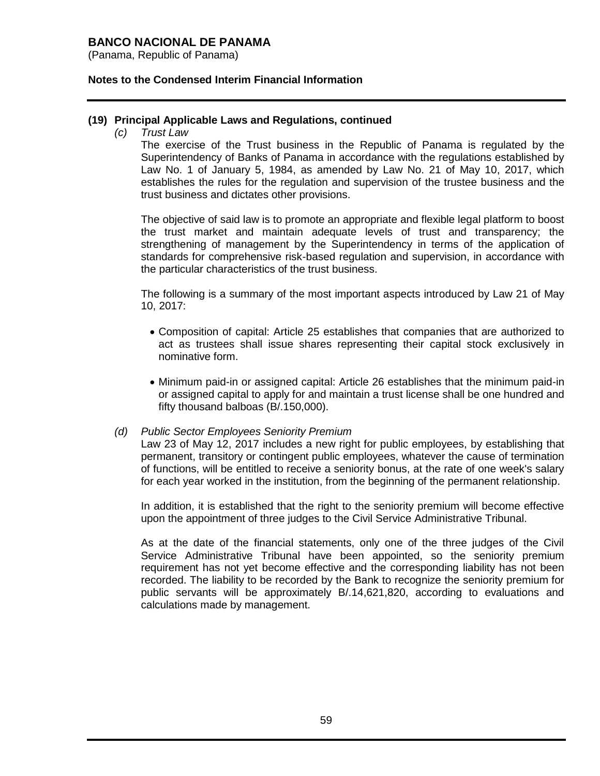(Panama, Republic of Panama)

### **Notes to the Condensed Interim Financial Information**

### **(19) Principal Applicable Laws and Regulations, continued**

*(c) Trust Law*

The exercise of the Trust business in the Republic of Panama is regulated by the Superintendency of Banks of Panama in accordance with the regulations established by Law No. 1 of January 5, 1984, as amended by Law No. 21 of May 10, 2017, which establishes the rules for the regulation and supervision of the trustee business and the trust business and dictates other provisions.

The objective of said law is to promote an appropriate and flexible legal platform to boost the trust market and maintain adequate levels of trust and transparency; the strengthening of management by the Superintendency in terms of the application of standards for comprehensive risk-based regulation and supervision, in accordance with the particular characteristics of the trust business.

The following is a summary of the most important aspects introduced by Law 21 of May 10, 2017:

- Composition of capital: Article 25 establishes that companies that are authorized to act as trustees shall issue shares representing their capital stock exclusively in nominative form.
- Minimum paid-in or assigned capital: Article 26 establishes that the minimum paid-in or assigned capital to apply for and maintain a trust license shall be one hundred and fifty thousand balboas (B/.150,000).

### *(d) Public Sector Employees Seniority Premium*

Law 23 of May 12, 2017 includes a new right for public employees, by establishing that permanent, transitory or contingent public employees, whatever the cause of termination of functions, will be entitled to receive a seniority bonus, at the rate of one week's salary for each year worked in the institution, from the beginning of the permanent relationship.

In addition, it is established that the right to the seniority premium will become effective upon the appointment of three judges to the Civil Service Administrative Tribunal.

As at the date of the financial statements, only one of the three judges of the Civil Service Administrative Tribunal have been appointed, so the seniority premium requirement has not yet become effective and the corresponding liability has not been recorded. The liability to be recorded by the Bank to recognize the seniority premium for public servants will be approximately B/.14,621,820, according to evaluations and calculations made by management.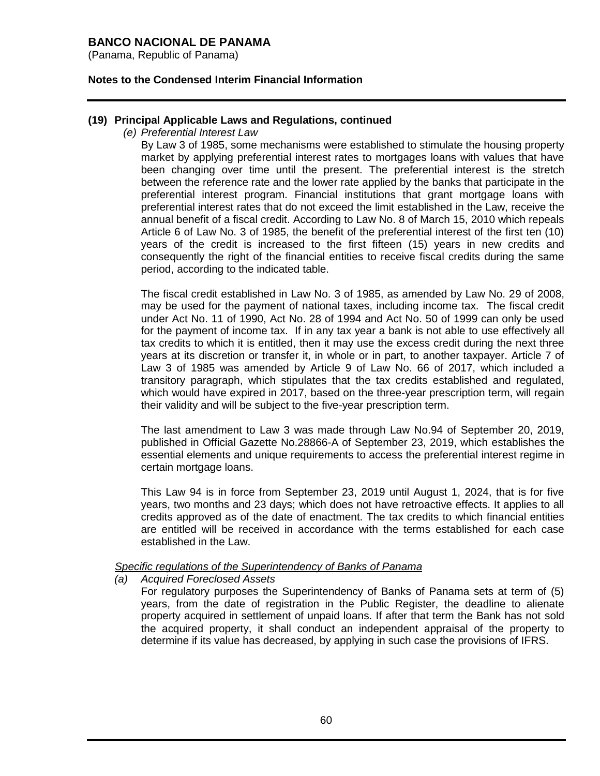(Panama, Republic of Panama)

### **Notes to the Condensed Interim Financial Information**

### **(19) Principal Applicable Laws and Regulations, continued**

*(e) Preferential Interest Law*

By Law 3 of 1985, some mechanisms were established to stimulate the housing property market by applying preferential interest rates to mortgages loans with values that have been changing over time until the present. The preferential interest is the stretch between the reference rate and the lower rate applied by the banks that participate in the preferential interest program. Financial institutions that grant mortgage loans with preferential interest rates that do not exceed the limit established in the Law, receive the annual benefit of a fiscal credit. According to Law No. 8 of March 15, 2010 which repeals Article 6 of Law No. 3 of 1985, the benefit of the preferential interest of the first ten (10) years of the credit is increased to the first fifteen (15) years in new credits and consequently the right of the financial entities to receive fiscal credits during the same period, according to the indicated table.

The fiscal credit established in Law No. 3 of 1985, as amended by Law No. 29 of 2008, may be used for the payment of national taxes, including income tax. The fiscal credit under Act No. 11 of 1990, Act No. 28 of 1994 and Act No. 50 of 1999 can only be used for the payment of income tax. If in any tax year a bank is not able to use effectively all tax credits to which it is entitled, then it may use the excess credit during the next three years at its discretion or transfer it, in whole or in part, to another taxpayer. Article 7 of Law 3 of 1985 was amended by Article 9 of Law No. 66 of 2017, which included a transitory paragraph, which stipulates that the tax credits established and regulated, which would have expired in 2017, based on the three-year prescription term, will regain their validity and will be subject to the five-year prescription term.

The last amendment to Law 3 was made through Law No.94 of September 20, 2019, published in Official Gazette No.28866-A of September 23, 2019, which establishes the essential elements and unique requirements to access the preferential interest regime in certain mortgage loans.

This Law 94 is in force from September 23, 2019 until August 1, 2024, that is for five years, two months and 23 days; which does not have retroactive effects. It applies to all credits approved as of the date of enactment. The tax credits to which financial entities are entitled will be received in accordance with the terms established for each case established in the Law.

### *Specific regulations of the Superintendency of Banks of Panama*

*(a) Acquired Foreclosed Assets*

For regulatory purposes the Superintendency of Banks of Panama sets at term of (5) years, from the date of registration in the Public Register, the deadline to alienate property acquired in settlement of unpaid loans. If after that term the Bank has not sold the acquired property, it shall conduct an independent appraisal of the property to determine if its value has decreased, by applying in such case the provisions of IFRS.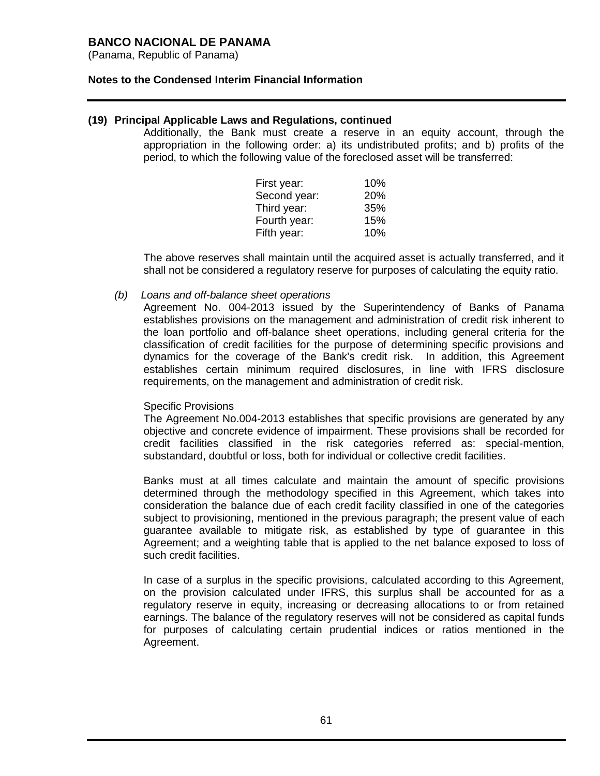(Panama, Republic of Panama)

### **Notes to the Condensed Interim Financial Information**

### **(19) Principal Applicable Laws and Regulations, continued**

Additionally, the Bank must create a reserve in an equity account, through the appropriation in the following order: a) its undistributed profits; and b) profits of the period, to which the following value of the foreclosed asset will be transferred:

| First year:  | 10% |
|--------------|-----|
| Second year: | 20% |
| Third year:  | 35% |
| Fourth year: | 15% |
| Fifth year:  | 10% |

The above reserves shall maintain until the acquired asset is actually transferred, and it shall not be considered a regulatory reserve for purposes of calculating the equity ratio.

*(b) Loans and off-balance sheet operations*

Agreement No. 004-2013 issued by the Superintendency of Banks of Panama establishes provisions on the management and administration of credit risk inherent to the loan portfolio and off-balance sheet operations, including general criteria for the classification of credit facilities for the purpose of determining specific provisions and dynamics for the coverage of the Bank's credit risk. In addition, this Agreement establishes certain minimum required disclosures, in line with IFRS disclosure requirements, on the management and administration of credit risk.

### Specific Provisions

The Agreement No.004-2013 establishes that specific provisions are generated by any objective and concrete evidence of impairment. These provisions shall be recorded for credit facilities classified in the risk categories referred as: special-mention, substandard, doubtful or loss, both for individual or collective credit facilities.

Banks must at all times calculate and maintain the amount of specific provisions determined through the methodology specified in this Agreement, which takes into consideration the balance due of each credit facility classified in one of the categories subject to provisioning, mentioned in the previous paragraph; the present value of each guarantee available to mitigate risk, as established by type of guarantee in this Agreement; and a weighting table that is applied to the net balance exposed to loss of such credit facilities.

In case of a surplus in the specific provisions, calculated according to this Agreement, on the provision calculated under IFRS, this surplus shall be accounted for as a regulatory reserve in equity, increasing or decreasing allocations to or from retained earnings. The balance of the regulatory reserves will not be considered as capital funds for purposes of calculating certain prudential indices or ratios mentioned in the Agreement.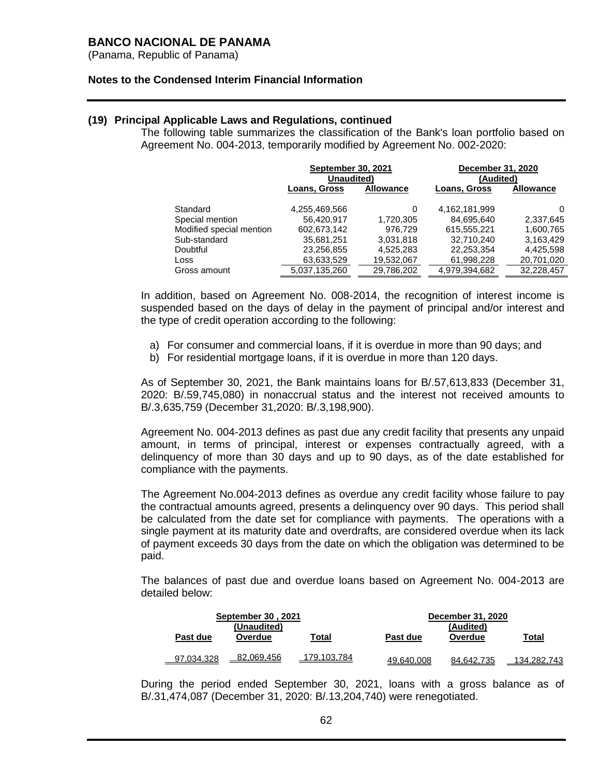(Panama, Republic of Panama)

### **Notes to the Condensed Interim Financial Information**

### **(19) Principal Applicable Laws and Regulations, continued**

The following table summarizes the classification of the Bank's loan portfolio based on Agreement No. 004-2013, temporarily modified by Agreement No. 002-2020:

|                          | <b>September 30, 2021</b><br>Unaudited) |            | December 31, 2020<br>(Audited) |                  |  |
|--------------------------|-----------------------------------------|------------|--------------------------------|------------------|--|
|                          | Loans, Gross<br><b>Allowance</b>        |            | <b>Loans, Gross</b>            | <b>Allowance</b> |  |
| Standard                 | 4,255,469,566                           | 0          | 4,162,181,999                  | 0                |  |
| Special mention          | 56.420.917                              | 1,720,305  | 84,695,640                     | 2,337,645        |  |
| Modified special mention | 602,673,142                             | 976,729    | 615,555,221                    | 1,600,765        |  |
| Sub-standard             | 35,681,251                              | 3,031,818  | 32.710.240                     | 3,163,429        |  |
| Doubtful                 | 23,256,855                              | 4,525,283  | 22,253,354                     | 4,425,598        |  |
| Loss                     | 63,633,529                              | 19,532,067 | 61,998,228                     | 20,701,020       |  |
| Gross amount             | 5,037,135,260                           | 29,786,202 | 4,979,394,682                  | 32,228,457       |  |

In addition, based on Agreement No. 008-2014, the recognition of interest income is suspended based on the days of delay in the payment of principal and/or interest and the type of credit operation according to the following:

- a) For consumer and commercial loans, if it is overdue in more than 90 days; and
- b) For residential mortgage loans, if it is overdue in more than 120 days.

As of September 30, 2021, the Bank maintains loans for B/.57,613,833 (December 31, 2020: B/.59,745,080) in nonaccrual status and the interest not received amounts to B/.3,635,759 (December 31,2020: B/.3,198,900).

Agreement No. 004-2013 defines as past due any credit facility that presents any unpaid amount, in terms of principal, interest or expenses contractually agreed, with a delinquency of more than 30 days and up to 90 days, as of the date established for compliance with the payments.

The Agreement No.004-2013 defines as overdue any credit facility whose failure to pay the contractual amounts agreed, presents a delinquency over 90 days. This period shall be calculated from the date set for compliance with payments. The operations with a single payment at its maturity date and overdrafts, are considered overdue when its lack of payment exceeds 30 days from the date on which the obligation was determined to be paid.

The balances of past due and overdue loans based on Agreement No. 004-2013 are detailed below:

|            | <b>September 30, 2021</b><br>(Unaudited) |             |            | December 31, 2020<br>(Audited) |          |
|------------|------------------------------------------|-------------|------------|--------------------------------|----------|
| Past due   | Overdue                                  | Total       | Past due   | Overdue                        | Total    |
| 97.034.328 | 82.069.456                               | 179.103.784 | 49.640.008 | 84.642.735                     | 134.282. |

During the period ended September 30, 2021, loans with a gross balance as of B/.31,474,087 (December 31, 2020: B/.13,204,740) were renegotiated.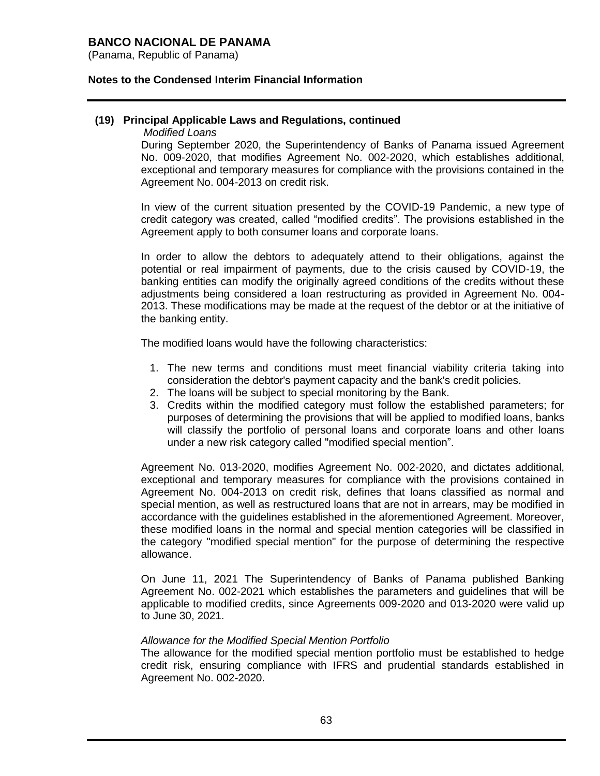(Panama, Republic of Panama)

### **Notes to the Condensed Interim Financial Information**

### **(19) Principal Applicable Laws and Regulations, continued**

*Modified Loans*

During September 2020, the Superintendency of Banks of Panama issued Agreement No. 009-2020, that modifies Agreement No. 002-2020, which establishes additional, exceptional and temporary measures for compliance with the provisions contained in the Agreement No. 004-2013 on credit risk.

In view of the current situation presented by the COVID-19 Pandemic, a new type of credit category was created, called "modified credits". The provisions established in the Agreement apply to both consumer loans and corporate loans.

In order to allow the debtors to adequately attend to their obligations, against the potential or real impairment of payments, due to the crisis caused by COVID-19, the banking entities can modify the originally agreed conditions of the credits without these adjustments being considered a loan restructuring as provided in Agreement No. 004- 2013. These modifications may be made at the request of the debtor or at the initiative of the banking entity.

The modified loans would have the following characteristics:

- 1. The new terms and conditions must meet financial viability criteria taking into consideration the debtor's payment capacity and the bank's credit policies.
- 2. The loans will be subject to special monitoring by the Bank.
- 3. Credits within the modified category must follow the established parameters; for purposes of determining the provisions that will be applied to modified loans, banks will classify the portfolio of personal loans and corporate loans and other loans under a new risk category called "modified special mention".

Agreement No. 013-2020, modifies Agreement No. 002-2020, and dictates additional, exceptional and temporary measures for compliance with the provisions contained in Agreement No. 004-2013 on credit risk, defines that loans classified as normal and special mention, as well as restructured loans that are not in arrears, may be modified in accordance with the guidelines established in the aforementioned Agreement. Moreover, these modified loans in the normal and special mention categories will be classified in the category "modified special mention" for the purpose of determining the respective allowance.

On June 11, 2021 The Superintendency of Banks of Panama published Banking Agreement No. 002-2021 which establishes the parameters and guidelines that will be applicable to modified credits, since Agreements 009-2020 and 013-2020 were valid up to June 30, 2021.

### *Allowance for the Modified Special Mention Portfolio*

The allowance for the modified special mention portfolio must be established to hedge credit risk, ensuring compliance with IFRS and prudential standards established in Agreement No. 002-2020.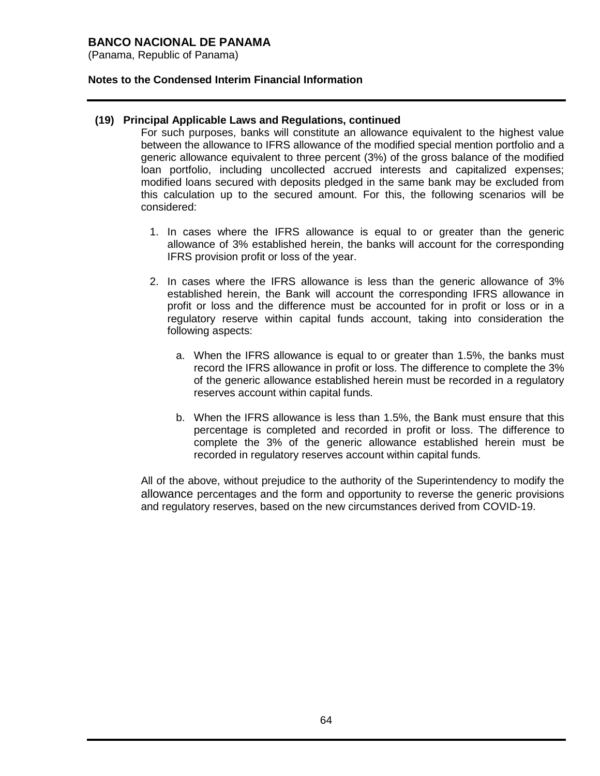(Panama, Republic of Panama)

### **Notes to the Condensed Interim Financial Information**

### **(19) Principal Applicable Laws and Regulations, continued**

For such purposes, banks will constitute an allowance equivalent to the highest value between the allowance to IFRS allowance of the modified special mention portfolio and a generic allowance equivalent to three percent (3%) of the gross balance of the modified loan portfolio, including uncollected accrued interests and capitalized expenses; modified loans secured with deposits pledged in the same bank may be excluded from this calculation up to the secured amount. For this, the following scenarios will be considered:

- 1. In cases where the IFRS allowance is equal to or greater than the generic allowance of 3% established herein, the banks will account for the corresponding IFRS provision profit or loss of the year.
- 2. In cases where the IFRS allowance is less than the generic allowance of 3% established herein, the Bank will account the corresponding IFRS allowance in profit or loss and the difference must be accounted for in profit or loss or in a regulatory reserve within capital funds account, taking into consideration the following aspects:
	- a. When the IFRS allowance is equal to or greater than 1.5%, the banks must record the IFRS allowance in profit or loss. The difference to complete the 3% of the generic allowance established herein must be recorded in a regulatory reserves account within capital funds.
	- b. When the IFRS allowance is less than 1.5%, the Bank must ensure that this percentage is completed and recorded in profit or loss. The difference to complete the 3% of the generic allowance established herein must be recorded in regulatory reserves account within capital funds.

All of the above, without prejudice to the authority of the Superintendency to modify the allowance percentages and the form and opportunity to reverse the generic provisions and regulatory reserves, based on the new circumstances derived from COVID-19.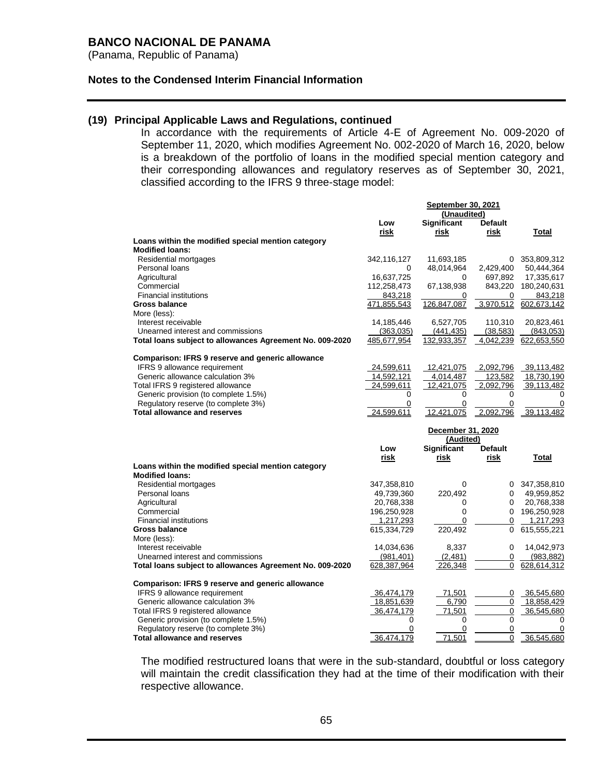(Panama, Republic of Panama)

#### **Notes to the Condensed Interim Financial Information**

### **(19) Principal Applicable Laws and Regulations, continued**

In accordance with the requirements of Article 4-E of Agreement No. 009-2020 of September 11, 2020, which modifies Agreement No. 002-2020 of March 16, 2020, below is a breakdown of the portfolio of loans in the modified special mention category and their corresponding allowances and regulatory reserves as of September 30, 2021, classified according to the IFRS 9 three-stage model:

|                                                                              | <b>September 30, 2021</b> |                       |                |                           |  |
|------------------------------------------------------------------------------|---------------------------|-----------------------|----------------|---------------------------|--|
|                                                                              |                           | (Unaudited)           |                |                           |  |
|                                                                              | Low                       | <b>Significant</b>    | <b>Default</b> |                           |  |
|                                                                              | risk                      | risk                  | risk           | Total                     |  |
| Loans within the modified special mention category                           |                           |                       |                |                           |  |
| <b>Modified loans:</b>                                                       |                           |                       |                |                           |  |
| Residential mortgages                                                        | 342,116,127               | 11,693,185            |                | 0 353,809,312             |  |
| Personal loans                                                               | 0                         | 48,014,964            | 2,429,400      | 50,444,364                |  |
| Agricultural                                                                 | 16,637,725                | 0                     | 697,892        | 17,335,617                |  |
| Commercial                                                                   | 112,258,473               | 67,138,938            | 843,220        | 180,240,631               |  |
| <b>Financial institutions</b>                                                | 843,218                   | 0                     | 0              | 843,218                   |  |
| <b>Gross balance</b>                                                         | 471,855,543               | 126,847,087           | 3,970,512      | 602,673,142               |  |
| More (less):                                                                 |                           |                       |                |                           |  |
| Interest receivable                                                          | 14,185,446                | 6,527,705             | 110,310        | 20,823,461                |  |
| Unearned interest and commissions                                            | (363,035)                 | (441, 435)            | (38, 583)      | (843,053)                 |  |
| Total loans subject to allowances Agreement No. 009-2020                     | 485,677,954               | 132,933,357           | 4,042,239      | 622,653,550               |  |
|                                                                              |                           |                       |                |                           |  |
| <b>Comparison: IFRS 9 reserve and generic allowance</b>                      |                           |                       |                |                           |  |
| <b>IFRS 9 allowance requirement</b>                                          | 24,599,611                | 12,421,075            | 2,092,796      | 39,113,482                |  |
| Generic allowance calculation 3%                                             | 14,592,121                | 4,014,487             | 123,582        | 18,730,190                |  |
| Total IFRS 9 registered allowance                                            | 24,599,611                | 12,421,075            | 2,092,796      | 39,113,482                |  |
| Generic provision (to complete 1.5%)                                         | 0                         | 0                     | 0              | 0                         |  |
| Regulatory reserve (to complete 3%)                                          | 0                         | 0                     | 0              | 0                         |  |
| <b>Total allowance and reserves</b>                                          | 24.599.611                | 12.421.075            | 2.092.796      | 39.113.482                |  |
|                                                                              |                           |                       |                |                           |  |
|                                                                              |                           |                       |                |                           |  |
|                                                                              |                           | December 31, 2020     |                |                           |  |
|                                                                              |                           | (Audited)             |                |                           |  |
|                                                                              | Low                       | <b>Significant</b>    | <b>Default</b> |                           |  |
|                                                                              | risk                      | risk                  | risk           | Total                     |  |
| Loans within the modified special mention category<br><b>Modified loans:</b> |                           |                       |                |                           |  |
| Residential mortgages                                                        |                           | $\Omega$              |                |                           |  |
| Personal loans                                                               | 347,358,810               |                       | 0              | 0 347,358,810             |  |
|                                                                              | 49,739,360                | 220,492               | 0              | 49,959,852                |  |
| Agricultural<br>Commercial                                                   | 20,768,338                | 0<br>0                | 0              | 20,768,338                |  |
| <b>Financial institutions</b>                                                | 196,250,928               | 0                     | 0              | 196,250,928               |  |
| Gross balance                                                                | 1,217,293                 |                       | 0              | 1,217,293                 |  |
|                                                                              | 615,334,729               | 220,492               |                | 615,555,221               |  |
| More (less):<br>Interest receivable                                          |                           |                       | 0              |                           |  |
| Unearned interest and commissions                                            | 14,034,636                | 8,337                 | 0              | 14,042,973                |  |
|                                                                              | (981, 401)<br>628,387,964 | (2,481)<br>226,348    | 0              | (983, 882)<br>628,614,312 |  |
| Total loans subject to allowances Agreement No. 009-2020                     |                           |                       |                |                           |  |
| Comparison: IFRS 9 reserve and generic allowance                             |                           |                       |                |                           |  |
| IFRS 9 allowance requirement                                                 | 36,474,179                | 71,501                | 0              | 36,545,680                |  |
| Generic allowance calculation 3%                                             | 18,851,639                | 6,790                 | 0              | 18,858,429                |  |
| Total IFRS 9 registered allowance                                            | 36,474,179                | 71,501                | $\mathbf 0$    | 36,545,680                |  |
| Generic provision (to complete 1.5%)                                         | 0                         | 0                     | 0              | 0                         |  |
| Regulatory reserve (to complete 3%)                                          | 0<br>36,474,179           | $\mathbf 0$<br>71,501 | $\mathbf 0$    | 0<br>36,545,680           |  |

The modified restructured loans that were in the sub-standard, doubtful or loss category will maintain the credit classification they had at the time of their modification with their respective allowance.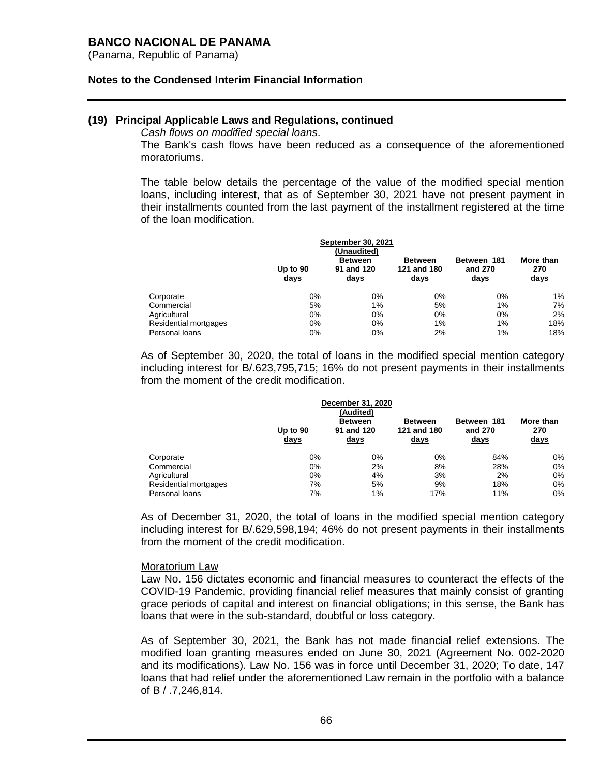(Panama, Republic of Panama)

#### **Notes to the Condensed Interim Financial Information**

### **(19) Principal Applicable Laws and Regulations, continued**

*Cash flows on modified special loans*.

The Bank's cash flows have been reduced as a consequence of the aforementioned moratoriums.

The table below details the percentage of the value of the modified special mention loans, including interest, that as of September 30, 2021 have not present payment in their installments counted from the last payment of the installment registered at the time of the loan modification.

|                       | Up to $90$<br><u>days</u> | <b>September 30, 2021</b><br>(Unaudited)<br><b>Between</b><br>91 and 120<br><u>days</u> | <b>Between</b><br>121 and 180<br><u>days</u> | Between 181<br>and 270<br><u>days</u> | More than<br>270<br><u>days</u> |
|-----------------------|---------------------------|-----------------------------------------------------------------------------------------|----------------------------------------------|---------------------------------------|---------------------------------|
| Corporate             | 0%                        | $0\%$                                                                                   | 0%                                           | 0%                                    | 1%                              |
| Commercial            | 5%                        | 1%                                                                                      | 5%                                           | 1%                                    | 7%                              |
| Agricultural          | 0%                        | 0%                                                                                      | 0%                                           | 0%                                    | 2%                              |
| Residential mortgages | 0%                        | 0%                                                                                      | $1\%$                                        | $1\%$                                 | 18%                             |
| Personal loans        | 0%                        | 0%                                                                                      | 2%                                           | 1%                                    | 18%                             |

As of September 30, 2020, the total of loans in the modified special mention category including interest for B/.623,795,715; 16% do not present payments in their installments from the moment of the credit modification.

|                       | Up to 90<br><u>days</u> | December 31, 2020<br>(Audited)<br><b>Between</b><br>91 and 120<br><u>days</u> | <b>Between</b><br>121 and 180<br><u>days</u> | Between 181<br>and 270<br><u>days</u> | More than<br>270<br><u>days</u> |
|-----------------------|-------------------------|-------------------------------------------------------------------------------|----------------------------------------------|---------------------------------------|---------------------------------|
| Corporate             | 0%                      | 0%                                                                            | 0%                                           | 84%                                   | 0%                              |
| Commercial            | 0%                      | 2%                                                                            | 8%                                           | 28%                                   | $0\%$                           |
| Agricultural          | 0%                      | 4%                                                                            | 3%                                           | 2%                                    | $0\%$                           |
| Residential mortgages | 7%                      | 5%                                                                            | 9%                                           | 18%                                   | 0%                              |
| Personal loans        | 7%                      | 1%                                                                            | 17%                                          | 11%                                   | 0%                              |

As of December 31, 2020, the total of loans in the modified special mention category including interest for B/.629,598,194; 46% do not present payments in their installments from the moment of the credit modification.

#### Moratorium Law

Law No. 156 dictates economic and financial measures to counteract the effects of the COVID-19 Pandemic, providing financial relief measures that mainly consist of granting grace periods of capital and interest on financial obligations; in this sense, the Bank has loans that were in the sub-standard, doubtful or loss category.

As of September 30, 2021, the Bank has not made financial relief extensions. The modified loan granting measures ended on June 30, 2021 (Agreement No. 002-2020 and its modifications). Law No. 156 was in force until December 31, 2020; To date, 147 loans that had relief under the aforementioned Law remain in the portfolio with a balance of B / .7,246,814.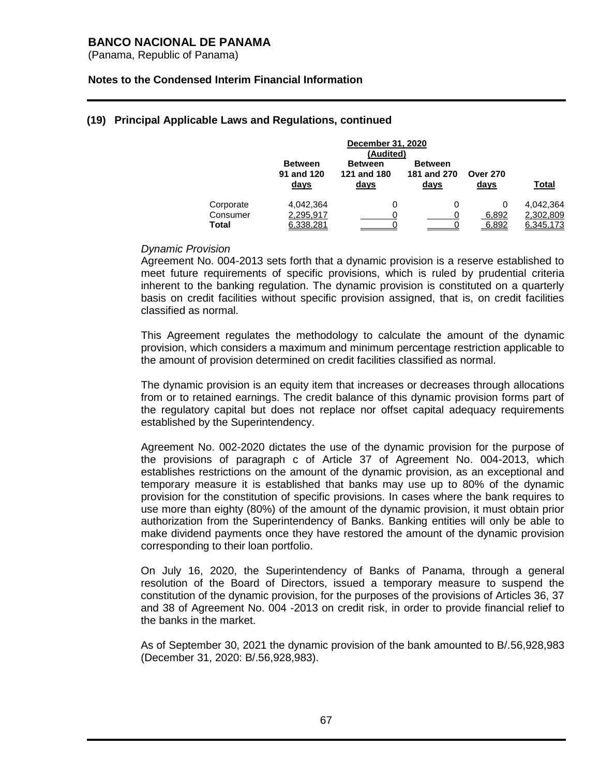(Panama, Republic of Panama)

### **Notes to the Condensed Interim Financial Information**

| December 31, 2020 |                |                |                |                 |              |  |
|-------------------|----------------|----------------|----------------|-----------------|--------------|--|
| (Audited)         |                |                |                |                 |              |  |
|                   | <b>Between</b> | <b>Between</b> | <b>Between</b> |                 |              |  |
|                   | 91 and 120     | 121 and 180    | 181 and 270    | <b>Over 270</b> |              |  |
|                   | days           | days           | days           | days            | <b>Total</b> |  |
|                   |                |                |                |                 |              |  |
| Corporate         | 4.042.364      | 0              | 0              |                 | 4.042.364    |  |
| Consumer          | 2,295,917      |                |                | 6,892           | 2,302,809    |  |
| <b>Total</b>      | 6.338.281      |                |                | 6.892           | 6,345,173    |  |

### **(19) Principal Applicable Laws and Regulations, continued**

### *Dynamic Provision*

Agreement No. 004-2013 sets forth that a dynamic provision is a reserve established to meet future requirements of specific provisions, which is ruled by prudential criteria inherent to the banking regulation. The dynamic provision is constituted on a quarterly basis on credit facilities without specific provision assigned, that is, on credit facilities classified as normal.

This Agreement regulates the methodology to calculate the amount of the dynamic provision, which considers a maximum and minimum percentage restriction applicable to the amount of provision determined on credit facilities classified as normal.

The dynamic provision is an equity item that increases or decreases through allocations from or to retained earnings. The credit balance of this dynamic provision forms part of the regulatory capital but does not replace nor offset capital adequacy requirements established by the Superintendency.

Agreement No. 002-2020 dictates the use of the dynamic provision for the purpose of the provisions of paragraph c of Article 37 of Agreement No. 004-2013, which establishes restrictions on the amount of the dynamic provision, as an exceptional and temporary measure it is established that banks may use up to 80% of the dynamic provision for the constitution of specific provisions. In cases where the bank requires to use more than eighty (80%) of the amount of the dynamic provision, it must obtain prior authorization from the Superintendency of Banks. Banking entities will only be able to make dividend payments once they have restored the amount of the dynamic provision corresponding to their loan portfolio.

On July 16, 2020, the Superintendency of Banks of Panama, through a general resolution of the Board of Directors, issued a temporary measure to suspend the constitution of the dynamic provision, for the purposes of the provisions of Articles 36, 37 and 38 of Agreement No. 004 -2013 on credit risk, in order to provide financial relief to the banks in the market.

As of September 30, 2021 the dynamic provision of the bank amounted to B/.56,928,983 (December 31, 2020: B/.56,928,983).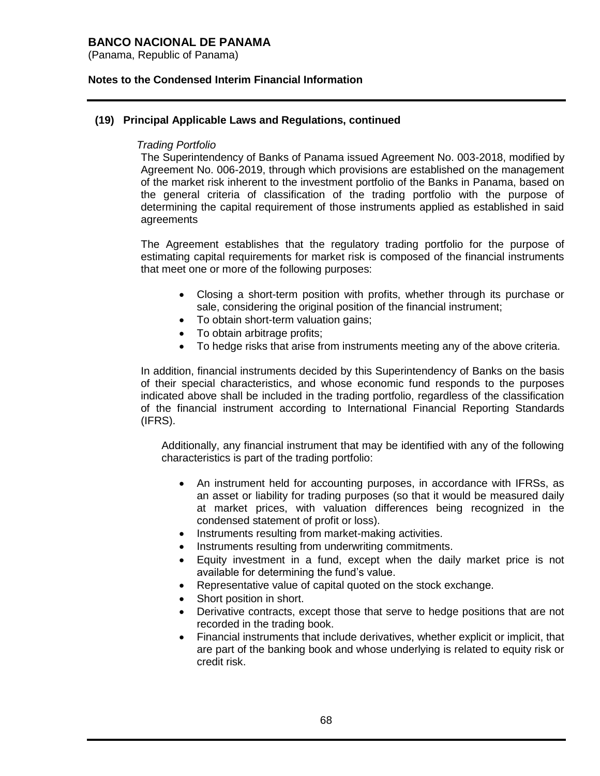(Panama, Republic of Panama)

### **Notes to the Condensed Interim Financial Information**

### **(19) Principal Applicable Laws and Regulations, continued**

### *Trading Portfolio*

The Superintendency of Banks of Panama issued Agreement No. 003-2018, modified by Agreement No. 006-2019, through which provisions are established on the management of the market risk inherent to the investment portfolio of the Banks in Panama, based on the general criteria of classification of the trading portfolio with the purpose of determining the capital requirement of those instruments applied as established in said agreements

The Agreement establishes that the regulatory trading portfolio for the purpose of estimating capital requirements for market risk is composed of the financial instruments that meet one or more of the following purposes:

- Closing a short-term position with profits, whether through its purchase or sale, considering the original position of the financial instrument;
- To obtain short-term valuation gains;
- To obtain arbitrage profits;
- To hedge risks that arise from instruments meeting any of the above criteria.

In addition, financial instruments decided by this Superintendency of Banks on the basis of their special characteristics, and whose economic fund responds to the purposes indicated above shall be included in the trading portfolio, regardless of the classification of the financial instrument according to International Financial Reporting Standards (IFRS).

Additionally, any financial instrument that may be identified with any of the following characteristics is part of the trading portfolio:

- An instrument held for accounting purposes, in accordance with IFRSs, as an asset or liability for trading purposes (so that it would be measured daily at market prices, with valuation differences being recognized in the condensed statement of profit or loss).
- Instruments resulting from market-making activities.
- Instruments resulting from underwriting commitments.
- Equity investment in a fund, except when the daily market price is not available for determining the fund's value.
- Representative value of capital quoted on the stock exchange.
- Short position in short.
- Derivative contracts, except those that serve to hedge positions that are not recorded in the trading book.
- Financial instruments that include derivatives, whether explicit or implicit, that are part of the banking book and whose underlying is related to equity risk or credit risk.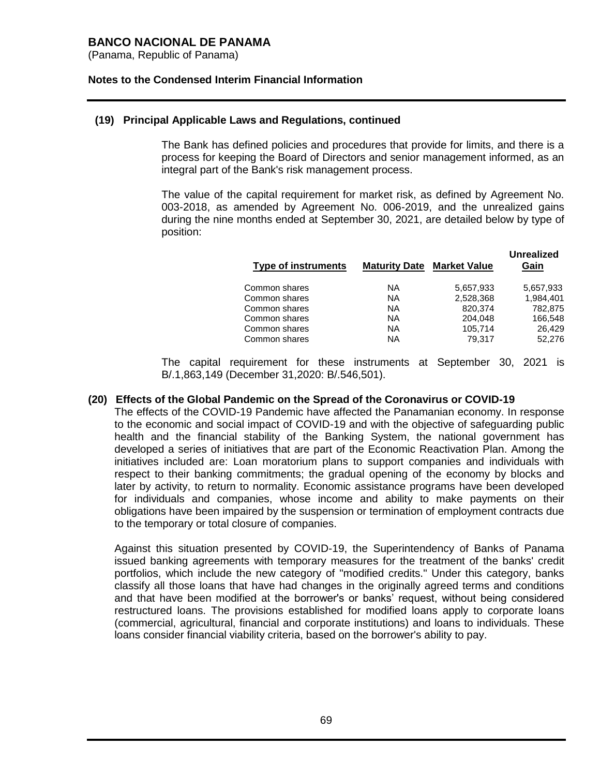(Panama, Republic of Panama)

### **Notes to the Condensed Interim Financial Information**

### **(19) Principal Applicable Laws and Regulations, continued**

The Bank has defined policies and procedures that provide for limits, and there is a process for keeping the Board of Directors and senior management informed, as an integral part of the Bank's risk management process.

The value of the capital requirement for market risk, as defined by Agreement No. 003-2018, as amended by Agreement No. 006-2019, and the unrealized gains during the nine months ended at September 30, 2021, are detailed below by type of position:

|               | <b>Type of instruments</b> | <b>Maturity Date Market Value</b> |           | unrealized<br>Gain |
|---------------|----------------------------|-----------------------------------|-----------|--------------------|
| Common shares |                            | NA.                               | 5.657.933 | 5,657,933          |
| Common shares |                            | <b>NA</b>                         | 2,528,368 | 1,984,401          |
| Common shares |                            | <b>NA</b>                         | 820,374   | 782,875            |
| Common shares |                            | NА                                | 204.048   | 166,548            |
| Common shares |                            | NА                                | 105,714   | 26,429             |
| Common shares |                            | <b>NA</b>                         | 79.317    | 52,276             |
|               |                            |                                   |           |                    |

**Unrealized** 

The capital requirement for these instruments at September 30, 2021 is B/.1,863,149 (December 31,2020: B/.546,501).

### **(20) Effects of the Global Pandemic on the Spread of the Coronavirus or COVID-19**

The effects of the COVID-19 Pandemic have affected the Panamanian economy. In response to the economic and social impact of COVID-19 and with the objective of safeguarding public health and the financial stability of the Banking System, the national government has developed a series of initiatives that are part of the Economic Reactivation Plan. Among the initiatives included are: Loan moratorium plans to support companies and individuals with respect to their banking commitments; the gradual opening of the economy by blocks and later by activity, to return to normality. Economic assistance programs have been developed for individuals and companies, whose income and ability to make payments on their obligations have been impaired by the suspension or termination of employment contracts due to the temporary or total closure of companies.

Against this situation presented by COVID-19, the Superintendency of Banks of Panama issued banking agreements with temporary measures for the treatment of the banks' credit portfolios, which include the new category of "modified credits." Under this category, banks classify all those loans that have had changes in the originally agreed terms and conditions and that have been modified at the borrower's or banks' request, without being considered restructured loans. The provisions established for modified loans apply to corporate loans (commercial, agricultural, financial and corporate institutions) and loans to individuals. These loans consider financial viability criteria, based on the borrower's ability to pay.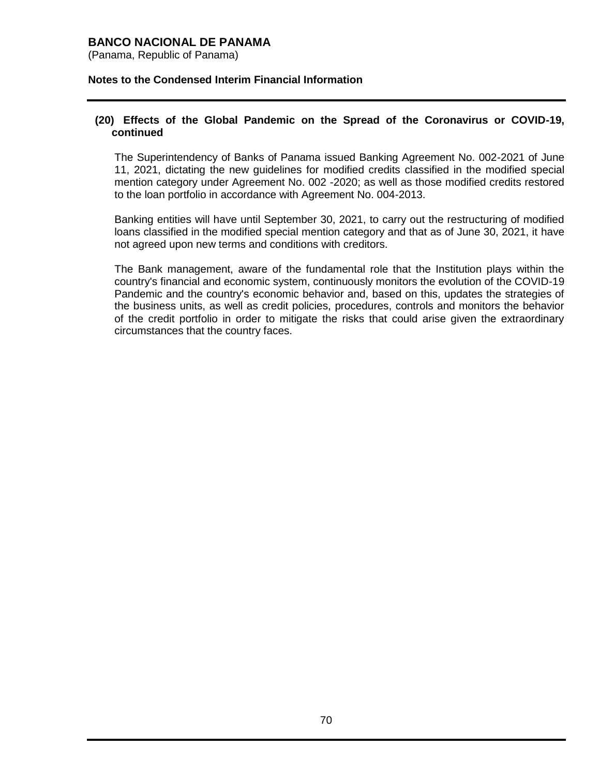(Panama, Republic of Panama)

### **Notes to the Condensed Interim Financial Information**

### **(20) Effects of the Global Pandemic on the Spread of the Coronavirus or COVID-19, continued**

The Superintendency of Banks of Panama issued Banking Agreement No. 002-2021 of June 11, 2021, dictating the new guidelines for modified credits classified in the modified special mention category under Agreement No. 002 -2020; as well as those modified credits restored to the loan portfolio in accordance with Agreement No. 004-2013.

Banking entities will have until September 30, 2021, to carry out the restructuring of modified loans classified in the modified special mention category and that as of June 30, 2021, it have not agreed upon new terms and conditions with creditors.

The Bank management, aware of the fundamental role that the Institution plays within the country's financial and economic system, continuously monitors the evolution of the COVID-19 Pandemic and the country's economic behavior and, based on this, updates the strategies of the business units, as well as credit policies, procedures, controls and monitors the behavior of the credit portfolio in order to mitigate the risks that could arise given the extraordinary circumstances that the country faces.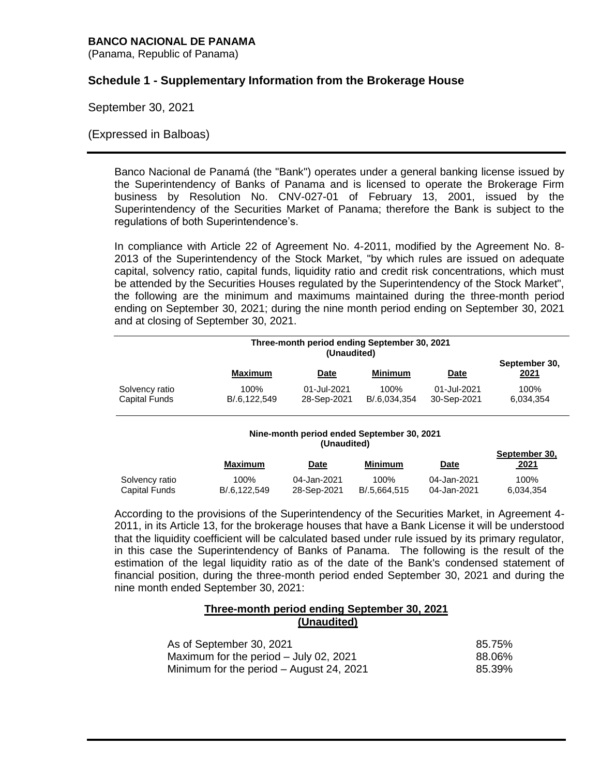(Panama, Republic of Panama)

# **Schedule 1 - Supplementary Information from the Brokerage House**

September 30, 2021

### (Expressed in Balboas)

Banco Nacional de Panamá (the "Bank") operates under a general banking license issued by the Superintendency of Banks of Panama and is licensed to operate the Brokerage Firm business by Resolution No. CNV-027-01 of February 13, 2001, issued by the Superintendency of the Securities Market of Panama; therefore the Bank is subject to the regulations of both Superintendence's.

In compliance with Article 22 of Agreement No. 4-2011, modified by the Agreement No. 8- 2013 of the Superintendency of the Stock Market, "by which rules are issued on adequate capital, solvency ratio, capital funds, liquidity ratio and credit risk concentrations, which must be attended by the Securities Houses regulated by the Superintendency of the Stock Market", the following are the minimum and maximums maintained during the three-month period ending on September 30, 2021; during the nine month period ending on September 30, 2021 and at closing of September 30, 2021.

|                                 | Three-month period ending September 30, 2021<br>(Unaudited) |                            |                      |                            |                       |
|---------------------------------|-------------------------------------------------------------|----------------------------|----------------------|----------------------------|-----------------------|
|                                 | <b>Maximum</b>                                              | <b>Date</b>                | Minimum              | <u>Date</u>                | September 30,<br>2021 |
| Solvency ratio<br>Capital Funds | 100%<br>B/.6,122,549                                        | 01-Jul-2021<br>28-Sep-2021 | 100%<br>B/.6.034.354 | 01-Jul-2021<br>30-Sep-2021 | 100%<br>6,034,354     |

#### **Nine-month period ended September 30, 2021 (Unaudited)**

**September 30,**

|                      | Maximum      | Date        | Minimum      | Date        | September 30,<br>2021 |
|----------------------|--------------|-------------|--------------|-------------|-----------------------|
| Solvency ratio       | 100%         | 04-Jan-2021 | 100%         | 04-Jan-2021 | 100%                  |
| <b>Capital Funds</b> | B/.6.122.549 | 28-Sep-2021 | B/.5.664.515 | 04-Jan-2021 | 6.034.354             |

According to the provisions of the Superintendency of the Securities Market, in Agreement 4- 2011, in its Article 13, for the brokerage houses that have a Bank License it will be understood that the liquidity coefficient will be calculated based under rule issued by its primary regulator, in this case the Superintendency of Banks of Panama. The following is the result of the estimation of the legal liquidity ratio as of the date of the Bank's condensed statement of financial position, during the three-month period ended September 30, 2021 and during the nine month ended September 30, 2021:

### **Three-month period ending September 30, 2021 (Unaudited)**

| As of September 30, 2021                 | 85.75% |
|------------------------------------------|--------|
| Maximum for the period – July 02, 2021   | 88.06% |
| Minimum for the period – August 24, 2021 | 85.39% |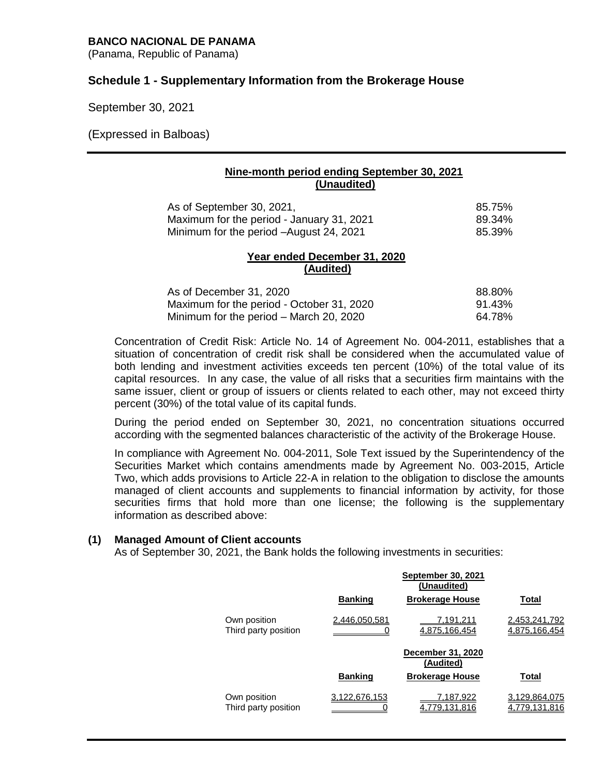### **BANCO NACIONAL DE PANAMA**

(Panama, Republic of Panama)

# **Schedule 1 - Supplementary Information from the Brokerage House**

September 30, 2021

(Expressed in Balboas)

## **Nine-month period ending September 30, 2021 (Unaudited)**

| As of September 30, 2021,                 | 85.75% |
|-------------------------------------------|--------|
| Maximum for the period - January 31, 2021 | 89.34% |
| Minimum for the period - August 24, 2021  | 85.39% |

#### **Year ended December 31, 2020 (Audited)**

| As of December 31, 2020                   | 88.80% |
|-------------------------------------------|--------|
| Maximum for the period - October 31, 2020 | 91.43% |
| Minimum for the period – March 20, 2020   | 64.78% |

Concentration of Credit Risk: Article No. 14 of Agreement No. 004-2011, establishes that a situation of concentration of credit risk shall be considered when the accumulated value of both lending and investment activities exceeds ten percent (10%) of the total value of its capital resources. In any case, the value of all risks that a securities firm maintains with the same issuer, client or group of issuers or clients related to each other, may not exceed thirty percent (30%) of the total value of its capital funds.

During the period ended on September 30, 2021, no concentration situations occurred according with the segmented balances characteristic of the activity of the Brokerage House.

In compliance with Agreement No. 004-2011, Sole Text issued by the Superintendency of the Securities Market which contains amendments made by Agreement No. 003-2015, Article Two, which adds provisions to Article 22-A in relation to the obligation to disclose the amounts managed of client accounts and supplements to financial information by activity, for those securities firms that hold more than one license; the following is the supplementary information as described above:

### **(1) Managed Amount of Client accounts**

As of September 30, 2021, the Bank holds the following investments in securities:

|                                      |                | <b>September 30, 2021</b><br>(Unaudited) |                                |
|--------------------------------------|----------------|------------------------------------------|--------------------------------|
|                                      | <b>Banking</b> | <b>Brokerage House</b>                   | Total                          |
| Own position<br>Third party position | 2,446,050,581  | 7.191.211<br>4.875.166.454               | 2,453,241,792<br>4.875.166.454 |
|                                      |                | December 31, 2020<br>(Audited)           |                                |
|                                      | <b>Banking</b> | <b>Brokerage House</b>                   | Total                          |
| Own position<br>Third party position | 3.122.676.153  | 187.922<br>79.131.816                    | 29.864.075<br>79.131.816       |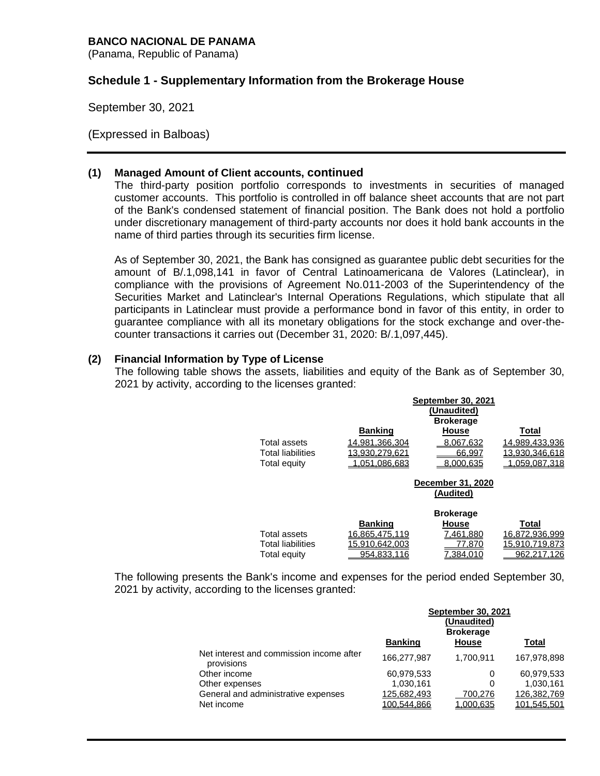### **BANCO NACIONAL DE PANAMA**

(Panama, Republic of Panama)

# **Schedule 1 - Supplementary Information from the Brokerage House**

September 30, 2021

(Expressed in Balboas)

## **(1) Managed Amount of Client accounts, continued**

The third-party position portfolio corresponds to investments in securities of managed customer accounts. This portfolio is controlled in off balance sheet accounts that are not part of the Bank's condensed statement of financial position. The Bank does not hold a portfolio under discretionary management of third-party accounts nor does it hold bank accounts in the name of third parties through its securities firm license.

As of September 30, 2021, the Bank has consigned as guarantee public debt securities for the amount of B/.1,098,141 in favor of Central Latinoamericana de Valores (Latinclear), in compliance with the provisions of Agreement No.011-2003 of the Superintendency of the Securities Market and Latinclear's Internal Operations Regulations, which stipulate that all participants in Latinclear must provide a performance bond in favor of this entity, in order to guarantee compliance with all its monetary obligations for the stock exchange and over-thecounter transactions it carries out (December 31, 2020: B/.1,097,445).

# **(2) Financial Information by Type of License**

The following table shows the assets, liabilities and equity of the Bank as of September 30, 2021 by activity, according to the licenses granted:

|                          |                                | <b>September 30, 2021</b><br>(Unaudited)<br><b>Brokerage</b> |                |  |
|--------------------------|--------------------------------|--------------------------------------------------------------|----------------|--|
|                          | <b>Banking</b>                 | <b>House</b>                                                 | Total          |  |
| Total assets             | 14.981.366.304                 | 8.067.632                                                    | 14.989.433.936 |  |
| <b>Total liabilities</b> | 13.930.279.62                  | 66.997                                                       | 13.930.346.618 |  |
| Total equity             | .051.086.683                   | 8.000.635                                                    | .059.087.318   |  |
|                          | December 31, 2020<br>(Audited) |                                                              |                |  |
|                          |                                | <b>Brokerage</b>                                             |                |  |
|                          | <b>Banking</b>                 | <b>House</b>                                                 | Total          |  |
| Total assets             | 16.865.475.119                 | 461.880.'                                                    | 16,872,936,999 |  |
| <b>Total liabilities</b> | 15.910.642.003                 | 77.870                                                       | 15.910.719.873 |  |
| Total equity             | 954.833.1                      | 384.01. '                                                    | 962.217.1      |  |

The following presents the Bank's income and expenses for the period ended September 30, 2021 by activity, according to the licenses granted:

|                                                        | <b>September 30, 2021</b><br>(Unaudited)<br><b>Brokerage</b> |              |              |
|--------------------------------------------------------|--------------------------------------------------------------|--------------|--------------|
|                                                        | <b>Banking</b>                                               | <b>House</b> | <b>Total</b> |
| Net interest and commission income after<br>provisions | 166,277,987                                                  | 1,700,911    | 167,978,898  |
| Other income                                           | 60,979,533                                                   | 0            | 60,979,533   |
| Other expenses                                         | 1,030,161                                                    | 0            | 1,030,161    |
| General and administrative expenses                    | 125,682,493                                                  | 700,276      | 126,382,769  |
| Net income                                             | 100.544.866                                                  | 1.000.635    | 101.545.501  |